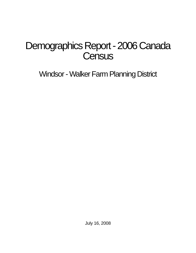# Demographics Report - 2006 Canada **Census**

Windsor - Walker Farm Planning District

July 16, 2008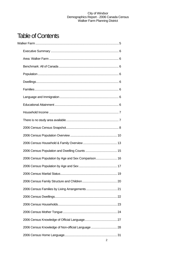## Table of Contents

| 2006 Census Population by Age and Sex Comparison 16 |  |
|-----------------------------------------------------|--|
|                                                     |  |
|                                                     |  |
|                                                     |  |
|                                                     |  |
|                                                     |  |
|                                                     |  |
|                                                     |  |
|                                                     |  |
| 2006 Census Knowledge of Non-official Language  28  |  |
|                                                     |  |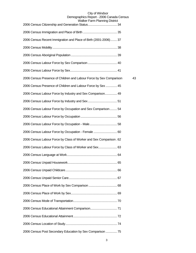| rancı ı anın ıanımış Distric                                        |    |
|---------------------------------------------------------------------|----|
|                                                                     |    |
| 2006 Census Recent Immigration and Place of Birth (2001-2006)  37   |    |
|                                                                     |    |
|                                                                     |    |
|                                                                     |    |
|                                                                     |    |
| 2006 Census Presence of Children and Labour Force by Sex Comparison | 43 |
| 2006 Census Presence of Children and Labour Force by Sex  45        |    |
| 2006 Census Labour Force by Industry and Sex Comparison 49          |    |
|                                                                     |    |
| 2006 Census Labour Force by Occupation and Sex Comparison 54        |    |
|                                                                     |    |
|                                                                     |    |
| 2006 Census Labour Force by Occupation - Female  60                 |    |
| 2006 Census Labour Force by Class of Worker and Sex Comparison. 62  |    |
| 2006 Census Labour Force by Class of Worker and Sex 63              |    |
|                                                                     |    |
|                                                                     |    |
|                                                                     |    |
|                                                                     |    |
|                                                                     |    |
|                                                                     |    |
|                                                                     |    |
|                                                                     |    |
|                                                                     |    |
|                                                                     |    |
| 2006 Census Post Secondary Education by Sex Comparison  75          |    |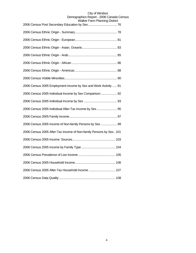| 2006 Census 2005 Employment Income by Sex and Work Activity  91    |
|--------------------------------------------------------------------|
| 2006 Census 2005 Individual Income by Sex Comparison 92            |
|                                                                    |
| 2006 Census 2005 Individual After-Tax Income by Sex  95            |
|                                                                    |
| 2006 Census 2005 Income of Non-family Persons by Sex  99           |
| 2006 Census 2005 After-Tax Income of Non-family Persons by Sex 101 |
|                                                                    |
|                                                                    |
|                                                                    |
|                                                                    |
| 2006 Census 2005 After-Tax Household Income  107                   |
|                                                                    |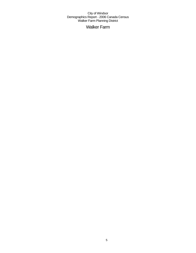## Walker Farm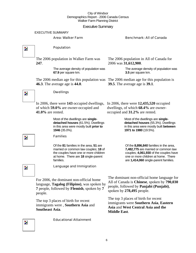## Executive Summary

EXECUTIVE SUMMARY

## Area: Walker Farm Benchmark: All of Canada

Population  $\overline{\mathbf{z}}$ The 2006 population in Walker Farm was The 2006 population in All of Canada for 2006 was **31,612,900**. **247**. The average density of population was The average density of population was **3.5** per square km. **67.9** per square km. The 2006 median age for this population was The 2006 median age for this population is **46.3**. The average age is **44.0**. **39.5**. The average age is **39.1**. Dwellings  $\overline{\phantom{a}}$ In 2006, there were **143** occupied dwellings, In 2006, there were **12,435,520** occupied of which **59.0%** are owner-occupied and dwellings, of which **68.4%** are owner-**41.0%** are rented. occupied and **31.2%** are rented. Most of the dwellings are **single-**Most of the dwellings are **singledetached houses** (61.5%). Dwellings **detached houses** (55.3%). Dwellings in this area were mostly built **prior to**  in this area were mostly built **between 1946** (35.0%). **1971 to 1980** (19.5%). Families Z. Of the **81** families in the area, **51** are Of the **8,896,840** families in the area, married or common law couples; **18** of **7,482,775** are married or common law couples; **4,061,930** of the couples have the couples have one or more children one or more children at home. There at home. There are **18** single-parent families. are **1,414,060** single-parent families. Language and Immigration Z. The dominant non-official home language for For 2006, the dominant non-official home All of Canada is **Chinese**, spoken by **790,030** language, **Tagalog (Filipino)**, was spoken by people, followed by **Panjabi (Punjabi)**, **7** people, followed by **Flemish**, spoken by **7** spoken by **278,495** people. people. The top 3 places of birth for recent The top 3 places of birth for recent immigrants were **Southern Asia**, **Eastern**  immigrants were , **Southern Asia** and **Asia** and **West Central Asia and the Southeast Asia**.



 $\overline{\phantom{a}}$ 

**Middle East**.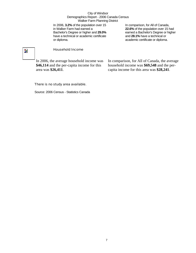In 2006, **3.2%** of the population over 15 in Walker Farm had earned a Bachelor's Degree or higher and **29.0%** have a technical or academic certificate or diploma.

In comparison, for All of Canada, **22.6%** of the population over 15 had earned a Bachelor's Degree or higher and **28.1%** have a technical or academic certificate or diploma.

## $\overline{\mathbf{z}}$

## Household Income

In 2006, the average household income was **\$46,114** and the per-capita income for this area was **\$26,411**.

In comparison, for All of Canada, the average household income was **\$69,548** and the percapita income for this area was **\$28,241**.

## There is no study area available.

Source: 2006 Census - Statistics Canada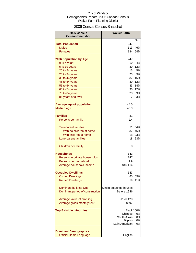## 2006 Census Census Snapshot

| 2006 Census<br><b>Census Snapshot</b> | <b>Walker Farm</b>     |                   |
|---------------------------------------|------------------------|-------------------|
|                                       |                        | %                 |
| <b>Total Population</b>               | 247                    |                   |
| <b>Males</b>                          | 113                    | 46%               |
| <b>Females</b>                        | 134                    | 54%               |
| 2006 Population by Age                | 247                    |                   |
| 0 to 4 years                          | 10                     | 4%                |
| 5 to 19 years                         | 30                     | 12%               |
| 20 to 24 years                        | 13                     | 5%                |
| 25 to 34 years                        | 23                     | 9%                |
| 35 to 44 years                        | 37                     | 15%               |
| 45 to 54 years                        | 30                     | 12%               |
| 55 to 64 years                        | 33                     | 14%               |
| 65 to 74 years                        | 30                     | 12%               |
| 75 to 84 years                        | 23                     | 9%                |
| 85 years and over                     | 7                      | 3%                |
| <b>Average age of population</b>      | 44.0                   |                   |
| <b>Median age</b>                     | 46.3                   |                   |
| <b>Families</b>                       | 81                     |                   |
| Persons per family                    | 2.4                    |                   |
| <b>Two-parent families</b>            | 51                     | 64%               |
| With no children at home              | 37                     | 45%               |
| With children at home                 | 18                     | 23%               |
| Lone-parent families                  | 18                     | 23%               |
| Children per family                   | 0.8                    |                   |
|                                       |                        |                   |
| <b>Households</b>                     | 143                    |                   |
| Persons in private households         | 247                    |                   |
| Persons per household                 | 1.9                    |                   |
| Average household income              | \$46,114               |                   |
| <b>Occupied Dwellings</b>             | 143                    |                   |
| <b>Owned Dwellings</b>                | 85                     | 59%               |
| <b>Rented Dwellings</b>               | 59                     | 41%               |
|                                       |                        |                   |
| Dominant building type                | Single detached houses |                   |
| Dominant period of construction       | Before 1946            |                   |
| Average value of dwelling             | \$126,428              |                   |
| Average gross monthly rent            | \$597                  |                   |
|                                       |                        |                   |
| <b>Top 5 visible minorities</b>       |                        | <b>Black</b> 100% |
|                                       | Chinese                | 0%                |
|                                       | South Asianl           | 0%                |
|                                       | Filipino               | 0%                |
|                                       | Latin American         | 0%                |
| <b>Dominant Demographics</b>          |                        |                   |
| <b>Official Home Language</b>         | English                |                   |
|                                       |                        |                   |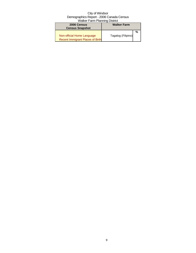| 2006 Census                             | <b>Walker Farm</b> |  |  |  |
|-----------------------------------------|--------------------|--|--|--|
| <b>Census Snapshot</b>                  |                    |  |  |  |
|                                         |                    |  |  |  |
| Non-official Home Language              | Tagalog (Filipino) |  |  |  |
| <b>Recent Immigrant Places of Birth</b> |                    |  |  |  |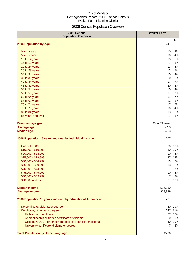## 2006 Census Population Overview

| 2006 Census<br><b>Population Overview</b>                   | <b>Walker Farm</b> |     |
|-------------------------------------------------------------|--------------------|-----|
| 2006 Population by Age                                      | %<br>247           |     |
| 0 to 4 years                                                | 10                 | 4%  |
| 5 to 9 years                                                | 10                 | 4%  |
| 10 to 14 years                                              | 13                 | 5%  |
| 15 to 19 years                                              | $\overline{7}$     | 3%  |
| 20 to 24 years                                              | 13                 | 5%  |
| 25 to 29 years                                              | 13                 | 5%  |
| 30 to 34 years                                              | 10                 | 4%  |
| 35 to 39 years                                              | 20                 | 8%  |
| 40 to 44 years                                              | 17                 | 7%  |
| 45 to 49 years                                              | 20                 | 8%  |
| 50 to 54 years                                              | 10                 | 4%  |
| 55 to 59 years                                              | 17                 | 7%  |
| 60 to 64 years                                              | 17                 | 7%  |
| 65 to 69 years                                              | 13                 | 5%  |
| 70 to 74 years                                              | 17                 | 7%  |
| 75 to 79 years                                              | 10                 | 4%  |
| 80 to 84 years                                              | 13                 | 5%  |
| 85 years and over                                           | 7                  | 3%  |
| <b>Dominant age group</b>                                   | 35 to 39 years     |     |
| <b>Average age</b>                                          | 44.0               |     |
| <b>Median age</b>                                           | 46.3               |     |
| 2006 Population 15 years and over by Individual Income      | 207                |     |
| <b>Under \$10,000</b>                                       | 20                 | 10% |
| \$10,000 - \$19,999                                         | 60                 | 29% |
| \$20,000 - \$24,999                                         | 10                 | 5%  |
| \$25,000 - \$29,999                                         | 27                 | 13% |
| \$30,000 - \$34,999                                         | 13                 | 6%  |
| \$35,000 - \$39,999                                         | 13                 | 6%  |
| \$40,000 - \$44,999                                         | $\overline{7}$     | 3%  |
| \$45,000 - \$49,999                                         | 10                 | 5%  |
| \$50,000 - \$59,999                                         | $\overline{7}$     | 3%  |
| \$60,000 and over                                           | 27                 | 13% |
| <b>Median income</b>                                        | \$26,250           |     |
| <b>Average income</b>                                       | \$28,889           |     |
| 2006 Population 15 years and over by Educational Attainment | 207                |     |
| No certificate, diploma or degree                           | 29%<br>60          |     |
| Certificate, diploma or degree                              | 147<br>71%         |     |
| High school certificate                                     | 77                 | 37% |
| Apprenticeship or trades certificate or diploma             | 20                 | 10% |
| College, CEGEP or other non-university certificate/diploma  | 40                 | 19% |
| University certificate, diploma or degree                   | 7                  | 3%  |
| <b>Total Population by Home Language</b>                    | \$276              |     |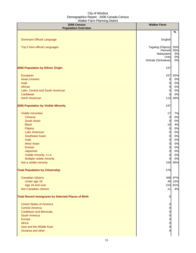| 2006 Census<br><b>Population Overview</b>                  | <b>Walker Farm</b>               |          |
|------------------------------------------------------------|----------------------------------|----------|
|                                                            |                                  | $\%$     |
| <b>Dominant Official Language</b>                          | English                          |          |
| Top 5 Non-official Languages                               | Tagalog (Filipino)               | 50%      |
|                                                            | Flemish                          | 50%      |
|                                                            | Malayalam<br>Urdu                | 0%<br>0% |
|                                                            | Sinhala (Sinhalese)              | 0%       |
| 2006 Population by Ethnic Origin                           | 247                              |          |
| European                                                   | 227                              | 92%      |
| Asian, Oceanic                                             | $\mathbf 0$                      | 0%       |
| Arab                                                       | $\overline{0}$                   | 0%       |
| African                                                    | $\overline{0}$                   | 0%       |
| Latin, Central and South American                          | $\overline{0}$                   | 0%       |
| Caribbean                                                  | $\Omega$                         | 0%       |
| <b>North American</b>                                      | 113                              | 46%      |
| <b>2006 Population by Visible Minority</b>                 | 247                              |          |
| Visible minorities                                         | 17                               | 7%       |
| <b>Chinese</b>                                             | $\overline{0}$                   | 0%       |
| <b>South Asian</b>                                         | $\overline{0}$                   | 0%       |
| <b>Black</b>                                               | 10                               | 4%       |
| Filipino                                                   | $\overline{0}$                   | 0%       |
| <b>Latin American</b>                                      | $\overline{0}$                   | 0%       |
| <b>Southeast Asian</b>                                     | $\overline{0}$                   | 0%       |
| Arab                                                       | $\overline{0}$                   | 0%       |
| <b>West Asian</b>                                          | $\overline{0}$                   | 0%       |
| Korean                                                     | $\overline{0}$                   | 0%       |
| Japanese                                                   | $\overline{0}$                   | 0%<br>0% |
| Visible minority, n.i.e.<br>Multiple visible minority      | $\overline{0}$<br>$\overline{0}$ | 0%       |
| Not a visible minority                                     | 234                              | 95%      |
|                                                            |                                  |          |
| <b>Total Population by Citizenship</b>                     | 276                              |          |
| Canadian citizens                                          |                                  | 268 97%  |
| Under age 18                                               |                                  | 40 15%   |
| Age 18 and over                                            | 224                              | 81%      |
| Not Canadian citizens                                      | 11                               | 4%       |
| <b>Total Recent Immigrants by Selected Places of Birth</b> | 0                                |          |
| <b>United States of America</b>                            | 0                                |          |
| <b>Central America</b>                                     | 0                                |          |
| <b>Caribbean and Bermuda</b>                               | 0                                |          |
| <b>South America</b>                                       | 0                                |          |
| Europe                                                     | 0                                |          |
| Africa                                                     | 0                                |          |
| Asia and the Middle East                                   | 0                                |          |
| Oceania and other                                          | 0                                |          |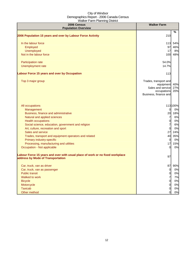| 2006 Census<br><b>Population Overview</b>                                                                          | <b>Walker Farm</b>                                                                              |                   |
|--------------------------------------------------------------------------------------------------------------------|-------------------------------------------------------------------------------------------------|-------------------|
|                                                                                                                    |                                                                                                 | %                 |
| 2006 Population 15 years and over by Labour Force Activity                                                         | 210                                                                                             |                   |
| In the labour force                                                                                                | $113$                                                                                           | 54%               |
| Employed                                                                                                           | 97                                                                                              | 46%               |
| Unemployed                                                                                                         | 17                                                                                              | 8%                |
| Not in the labour force                                                                                            | 100                                                                                             | 48%               |
| Participation rate                                                                                                 | 54.0%                                                                                           |                   |
| Unemployment rate                                                                                                  | 14.7%                                                                                           |                   |
| <b>Labour Force 15 years and over by Occupation</b>                                                                | 113                                                                                             |                   |
| Top 3 major group                                                                                                  | Trades, transport and<br>equipment<br>Sales and service<br>occupations<br>Business, finance and | 40%<br>27%<br>20% |
| All occupations                                                                                                    |                                                                                                 | 113 100%          |
| Management                                                                                                         | 0                                                                                               | 0%                |
| Business, finance and administrative                                                                               | 20                                                                                              | 18%               |
| Natural and applied sciences                                                                                       | $\overline{7}$                                                                                  | 6%                |
| <b>Health occupations</b>                                                                                          | $\overline{0}$                                                                                  | 0%                |
| Social science, education, government and religion                                                                 | $\overline{7}$                                                                                  | 6%                |
| Art, culture, recreation and sport                                                                                 | $\overline{0}$                                                                                  | 0%                |
| Sales and service                                                                                                  | 27                                                                                              | 24%               |
| Trades, transport and equipment operators and related                                                              | 40                                                                                              | 35%               |
| Primary industry-specific                                                                                          | $\overline{0}$                                                                                  | 0%                |
| Processing, manufacturing and utilities                                                                            | 17                                                                                              | 15%               |
| Occupation - Not applicable                                                                                        | $\Omega$                                                                                        | 0%                |
| Labour Force 15 years and over with usual place of work or no fixed workplace<br>address by Mode of Transportation | 97                                                                                              |                   |
| Car, truck, van as driver                                                                                          | 87                                                                                              | 90%               |
| Car, truck, van as passenger                                                                                       | $\overline{0}$                                                                                  | 0%                |
| <b>Public transit</b>                                                                                              | $\overline{0}$                                                                                  | 0%                |
| Walked to work                                                                                                     | $\overline{7}$                                                                                  | 7%                |
| <b>Bicycle</b>                                                                                                     | $\overline{0}$                                                                                  | 0%                |
| Motorcycle                                                                                                         | 0                                                                                               | 0%                |
| <b>Taxicab</b>                                                                                                     | 0                                                                                               | 0%                |
| Other method                                                                                                       | 0                                                                                               | 0%                |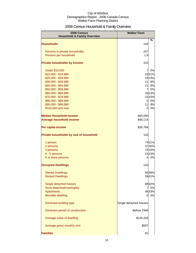## 2006 Census Household & Family Overview

| %<br><b>Households</b><br>143<br>Persons in private households<br>247<br>Persons per household<br>1.9<br>143<br><b>Private households by Income</b><br>$\overline{7}$<br>5%<br><b>Under \$10,000</b><br>\$10,000 - \$19,999<br>\$20,000 - \$29,999<br>1813%<br>\$30,000 - \$39,999<br>11<br>8%<br>\$40,000 - \$49,999<br>11<br>8%<br>\$50,000 - \$59,999<br>$\overline{7}$<br>5%<br>\$60,000 - \$69,999<br>3323%<br>\$70,000 - \$79,999<br>1510%<br>\$80,000 - \$89,999<br>0%<br>$\overline{0}$<br>\$90,000 - \$99,999<br>11<br>8%<br>\$100,000 and over<br>0%<br>0<br>\$45,000<br>\$46,114<br>\$26,768<br>143<br>7451%<br>1 person<br>3726%<br>2 persons<br>15 10%<br>3 persons<br>1510%<br>4 - 5 persons<br>3%<br>6 or more persons<br>4<br>143<br><b>Occupied Dwellings</b><br>8559%<br><b>Owned Dwellings</b><br>5941%<br><b>Rented Dwellings</b><br>Single detached houses<br>8862%<br>Semi-detached/row/duplex<br>5%<br>7<br><b>Apartments</b><br>4833%<br>Movable dwelling<br>0%<br>$\Omega$<br>Dominant building type<br>Single detached houses<br>Dominant period of construction<br>Before 1946<br>Average value of dwelling<br>\$126,428<br>Average gross monthly rent<br>\$597 | 2006 Census<br><b>Household &amp; Family Overview</b> | <b>Walker Farm</b> |  |
|--------------------------------------------------------------------------------------------------------------------------------------------------------------------------------------------------------------------------------------------------------------------------------------------------------------------------------------------------------------------------------------------------------------------------------------------------------------------------------------------------------------------------------------------------------------------------------------------------------------------------------------------------------------------------------------------------------------------------------------------------------------------------------------------------------------------------------------------------------------------------------------------------------------------------------------------------------------------------------------------------------------------------------------------------------------------------------------------------------------------------------------------------------------------------------------------|-------------------------------------------------------|--------------------|--|
|                                                                                                                                                                                                                                                                                                                                                                                                                                                                                                                                                                                                                                                                                                                                                                                                                                                                                                                                                                                                                                                                                                                                                                                            |                                                       |                    |  |
| 2921%                                                                                                                                                                                                                                                                                                                                                                                                                                                                                                                                                                                                                                                                                                                                                                                                                                                                                                                                                                                                                                                                                                                                                                                      |                                                       |                    |  |
|                                                                                                                                                                                                                                                                                                                                                                                                                                                                                                                                                                                                                                                                                                                                                                                                                                                                                                                                                                                                                                                                                                                                                                                            |                                                       |                    |  |
|                                                                                                                                                                                                                                                                                                                                                                                                                                                                                                                                                                                                                                                                                                                                                                                                                                                                                                                                                                                                                                                                                                                                                                                            |                                                       |                    |  |
|                                                                                                                                                                                                                                                                                                                                                                                                                                                                                                                                                                                                                                                                                                                                                                                                                                                                                                                                                                                                                                                                                                                                                                                            |                                                       |                    |  |
|                                                                                                                                                                                                                                                                                                                                                                                                                                                                                                                                                                                                                                                                                                                                                                                                                                                                                                                                                                                                                                                                                                                                                                                            |                                                       |                    |  |
|                                                                                                                                                                                                                                                                                                                                                                                                                                                                                                                                                                                                                                                                                                                                                                                                                                                                                                                                                                                                                                                                                                                                                                                            |                                                       |                    |  |
|                                                                                                                                                                                                                                                                                                                                                                                                                                                                                                                                                                                                                                                                                                                                                                                                                                                                                                                                                                                                                                                                                                                                                                                            |                                                       |                    |  |
|                                                                                                                                                                                                                                                                                                                                                                                                                                                                                                                                                                                                                                                                                                                                                                                                                                                                                                                                                                                                                                                                                                                                                                                            |                                                       |                    |  |
|                                                                                                                                                                                                                                                                                                                                                                                                                                                                                                                                                                                                                                                                                                                                                                                                                                                                                                                                                                                                                                                                                                                                                                                            |                                                       |                    |  |
|                                                                                                                                                                                                                                                                                                                                                                                                                                                                                                                                                                                                                                                                                                                                                                                                                                                                                                                                                                                                                                                                                                                                                                                            |                                                       |                    |  |
|                                                                                                                                                                                                                                                                                                                                                                                                                                                                                                                                                                                                                                                                                                                                                                                                                                                                                                                                                                                                                                                                                                                                                                                            |                                                       |                    |  |
|                                                                                                                                                                                                                                                                                                                                                                                                                                                                                                                                                                                                                                                                                                                                                                                                                                                                                                                                                                                                                                                                                                                                                                                            |                                                       |                    |  |
|                                                                                                                                                                                                                                                                                                                                                                                                                                                                                                                                                                                                                                                                                                                                                                                                                                                                                                                                                                                                                                                                                                                                                                                            |                                                       |                    |  |
|                                                                                                                                                                                                                                                                                                                                                                                                                                                                                                                                                                                                                                                                                                                                                                                                                                                                                                                                                                                                                                                                                                                                                                                            |                                                       |                    |  |
|                                                                                                                                                                                                                                                                                                                                                                                                                                                                                                                                                                                                                                                                                                                                                                                                                                                                                                                                                                                                                                                                                                                                                                                            |                                                       |                    |  |
|                                                                                                                                                                                                                                                                                                                                                                                                                                                                                                                                                                                                                                                                                                                                                                                                                                                                                                                                                                                                                                                                                                                                                                                            |                                                       |                    |  |
|                                                                                                                                                                                                                                                                                                                                                                                                                                                                                                                                                                                                                                                                                                                                                                                                                                                                                                                                                                                                                                                                                                                                                                                            | <b>Median Household Income</b>                        |                    |  |
|                                                                                                                                                                                                                                                                                                                                                                                                                                                                                                                                                                                                                                                                                                                                                                                                                                                                                                                                                                                                                                                                                                                                                                                            | <b>Average household income</b>                       |                    |  |
|                                                                                                                                                                                                                                                                                                                                                                                                                                                                                                                                                                                                                                                                                                                                                                                                                                                                                                                                                                                                                                                                                                                                                                                            | Per capita income                                     |                    |  |
|                                                                                                                                                                                                                                                                                                                                                                                                                                                                                                                                                                                                                                                                                                                                                                                                                                                                                                                                                                                                                                                                                                                                                                                            | Private households by size of household               |                    |  |
|                                                                                                                                                                                                                                                                                                                                                                                                                                                                                                                                                                                                                                                                                                                                                                                                                                                                                                                                                                                                                                                                                                                                                                                            |                                                       |                    |  |
|                                                                                                                                                                                                                                                                                                                                                                                                                                                                                                                                                                                                                                                                                                                                                                                                                                                                                                                                                                                                                                                                                                                                                                                            |                                                       |                    |  |
|                                                                                                                                                                                                                                                                                                                                                                                                                                                                                                                                                                                                                                                                                                                                                                                                                                                                                                                                                                                                                                                                                                                                                                                            |                                                       |                    |  |
|                                                                                                                                                                                                                                                                                                                                                                                                                                                                                                                                                                                                                                                                                                                                                                                                                                                                                                                                                                                                                                                                                                                                                                                            |                                                       |                    |  |
|                                                                                                                                                                                                                                                                                                                                                                                                                                                                                                                                                                                                                                                                                                                                                                                                                                                                                                                                                                                                                                                                                                                                                                                            |                                                       |                    |  |
|                                                                                                                                                                                                                                                                                                                                                                                                                                                                                                                                                                                                                                                                                                                                                                                                                                                                                                                                                                                                                                                                                                                                                                                            |                                                       |                    |  |
|                                                                                                                                                                                                                                                                                                                                                                                                                                                                                                                                                                                                                                                                                                                                                                                                                                                                                                                                                                                                                                                                                                                                                                                            |                                                       |                    |  |
|                                                                                                                                                                                                                                                                                                                                                                                                                                                                                                                                                                                                                                                                                                                                                                                                                                                                                                                                                                                                                                                                                                                                                                                            |                                                       |                    |  |
|                                                                                                                                                                                                                                                                                                                                                                                                                                                                                                                                                                                                                                                                                                                                                                                                                                                                                                                                                                                                                                                                                                                                                                                            |                                                       |                    |  |
|                                                                                                                                                                                                                                                                                                                                                                                                                                                                                                                                                                                                                                                                                                                                                                                                                                                                                                                                                                                                                                                                                                                                                                                            |                                                       |                    |  |
|                                                                                                                                                                                                                                                                                                                                                                                                                                                                                                                                                                                                                                                                                                                                                                                                                                                                                                                                                                                                                                                                                                                                                                                            |                                                       |                    |  |
|                                                                                                                                                                                                                                                                                                                                                                                                                                                                                                                                                                                                                                                                                                                                                                                                                                                                                                                                                                                                                                                                                                                                                                                            |                                                       |                    |  |
|                                                                                                                                                                                                                                                                                                                                                                                                                                                                                                                                                                                                                                                                                                                                                                                                                                                                                                                                                                                                                                                                                                                                                                                            |                                                       |                    |  |
|                                                                                                                                                                                                                                                                                                                                                                                                                                                                                                                                                                                                                                                                                                                                                                                                                                                                                                                                                                                                                                                                                                                                                                                            |                                                       |                    |  |
|                                                                                                                                                                                                                                                                                                                                                                                                                                                                                                                                                                                                                                                                                                                                                                                                                                                                                                                                                                                                                                                                                                                                                                                            |                                                       |                    |  |
|                                                                                                                                                                                                                                                                                                                                                                                                                                                                                                                                                                                                                                                                                                                                                                                                                                                                                                                                                                                                                                                                                                                                                                                            |                                                       |                    |  |
|                                                                                                                                                                                                                                                                                                                                                                                                                                                                                                                                                                                                                                                                                                                                                                                                                                                                                                                                                                                                                                                                                                                                                                                            |                                                       |                    |  |
| 81                                                                                                                                                                                                                                                                                                                                                                                                                                                                                                                                                                                                                                                                                                                                                                                                                                                                                                                                                                                                                                                                                                                                                                                         | <b>Families</b>                                       |                    |  |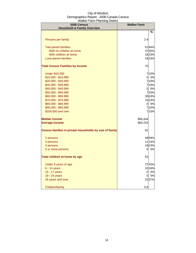| 2006 Census<br><b>Household &amp; Family Overview</b>   | <b>Walker Farm</b> |                          |
|---------------------------------------------------------|--------------------|--------------------------|
|                                                         |                    | $\overline{\mathcal{C}}$ |
|                                                         |                    |                          |
| Persons per family                                      | 2.4                |                          |
| <b>Two-parent families</b>                              |                    | 5164%                    |
| With no children at home                                |                    | 3745%                    |
| With children at home                                   |                    | 1823%                    |
| Lone-parent families                                    |                    | 1823%                    |
| <b>Total Census Families by Income</b>                  | 70                 |                          |
| <b>Under \$10,000</b>                                   |                    | 710%                     |
| \$10,000 - \$19,999                                     | 0                  | 0%                       |
| $$20,000 - $29,999$                                     |                    | 710%                     |
| \$30,000 - \$39,999                                     |                    | 710%                     |
| \$40,000 - \$49,999                                     | 01                 | 0%                       |
| \$50,000 - \$59,999                                     |                    | 7 10%                    |
| \$60,000 - \$69,999                                     |                    | 3043%                    |
| \$70,000 - \$79,999                                     |                    | 1014%                    |
| \$80,000 - \$89,999                                     | 0                  | 0%                       |
| \$90,000 - \$99,999                                     |                    | 710%                     |
| \$100,000 and over                                      |                    | 710%                     |
| <b>Median income</b>                                    | \$64,444           |                          |
| <b>Average income</b>                                   | \$63,224           |                          |
| Census families in private households by size of family | 81                 |                          |
| 2 persons                                               |                    | 4859%                    |
| 3 persons                                               |                    | 11 14%                   |
| 4 persons                                               |                    | 1823%                    |
| 5 or more persons                                       | 0                  | 0%                       |
| Total children at home by age                           | 63                 |                          |
| Under 6 years of age                                    |                    | 2742%                    |
| 6 - 14 years                                            |                    | 1016%                    |
| 15 - 17 years                                           | 0                  | 0%                       |
| 18 - 24 years                                           | 0                  | 0%                       |
| 25 years and over                                       |                    | 2337%                    |
| Children/family                                         | 0.8                |                          |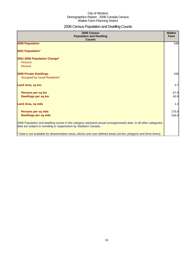## 2006 Census Population and Dwelling Counts

| 2006 Census<br><b>Population and Dwelling</b><br><b>Counts</b>                                                                                                                           | <b>Walker</b><br>Farm |
|------------------------------------------------------------------------------------------------------------------------------------------------------------------------------------------|-----------------------|
| 2006 Population                                                                                                                                                                          | 249                   |
| 2001 Population*                                                                                                                                                                         |                       |
| 2001-2006 Population Change*<br>Persons                                                                                                                                                  |                       |
| Percent                                                                                                                                                                                  |                       |
| <b>2006 Private Dwellings</b>                                                                                                                                                            | 150                   |
| Occupied by Usual Residents*                                                                                                                                                             |                       |
| Land Area, sq km                                                                                                                                                                         | 3.7                   |
| Persons per sq km                                                                                                                                                                        | 67.9                  |
| Dwellings per sq km                                                                                                                                                                      | 40.9                  |
| <b>Land Area, sq mile</b>                                                                                                                                                                | 1.4                   |
| Persons per sq mile                                                                                                                                                                      | 175.8                 |
| <b>Dwellings per sq mile</b>                                                                                                                                                             | 105.9                 |
| 2006 Population and dwelling counts in this category represent actual (unsuppressed) data. In all other categories,<br>data are subject to rounding or suppression by Statistics Canada. |                       |
| * Data is not available for dissemination areas, blocks and user-defined areas (circles, polygons and drive-times)                                                                       |                       |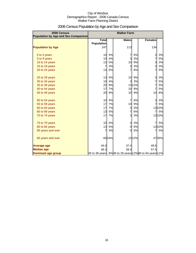| 2006 Census<br>Population by Age and Sex Comparison |                                   | <b>Walker Farm</b> |                         |        |                                                       |        |
|-----------------------------------------------------|-----------------------------------|--------------------|-------------------------|--------|-------------------------------------------------------|--------|
|                                                     | <b>Total</b><br><b>Population</b> |                    | <b>Males</b>            |        | <b>Females</b>                                        |        |
| <b>Population by Age</b>                            | 247                               |                    | 113                     |        | 134                                                   |        |
| 0 to 4 years                                        | 10                                | 4%                 | 7                       | 6%     | 3                                                     | 3%     |
| 5 to 9 years                                        | 10                                | 4%                 | $\overline{3}$          | 3%     | 7                                                     | 5%     |
| 10 to 14 years                                      | 13                                | 5%                 | 10                      | 9%     | 3                                                     | 3%     |
| 15 to 19 years                                      | 7                                 | 3%                 | 3                       | 3%     | 3                                                     | 3%     |
| 20 to 24 years                                      | 13                                | 5%                 | 7                       | 6%     | 7                                                     | 5%     |
| 25 to 29 years                                      | 13                                | 5%                 | 10                      | 9%     | 3                                                     | 3%     |
| 30 to 34 years                                      | 10                                | 4%                 | 3                       | 3%     | 7                                                     | 5%     |
| 35 to 39 years                                      | 20                                | 8%                 |                         | 1312%  | 7                                                     | 5%     |
| 40 to 44 years                                      | 17                                | 7%                 | 10                      | 9%     | $\overline{7}$                                        | 5%     |
| 45 to 49 years                                      | 20                                | 8%                 | 10                      | 9%     | 10                                                    | 8%     |
| 50 to 54 years                                      | 10                                | 4%                 | 7                       | 6%     | 3                                                     | 3%     |
| 55 to 59 years                                      | 17                                | 7%                 | 10                      | 9%     | 7                                                     | 5%     |
| 60 to 64 years                                      | 17                                | 7%                 | 3                       | 3%     |                                                       | 1310%  |
| 65 to 69 years                                      | 13                                | 5%                 | $\overline{7}$          | 6%     | 7                                                     | 5%     |
| 70 to 74 years                                      | 17                                | 7%                 | $\overline{3}$          | 3%     |                                                       | 1310%  |
| 75 to 79 years                                      | 10                                | 4%                 | $\overline{\mathbf{3}}$ | 3%     | 7                                                     | 5%     |
| 80 to 84 years                                      | 13                                | 5%                 | $\overline{0}$          | 0%     |                                                       | 13 10% |
| 85 years and over                                   |                                   | 3%                 | 0                       | 0%     | 7                                                     | 5%     |
| 65 years and over                                   |                                   | 6024%              |                         | 13 12% |                                                       | 4735%  |
| <b>Average age</b>                                  | 44.0                              |                    | 37.4                    |        | 49.6                                                  |        |
| <b>Median age</b>                                   | 46.3                              |                    | 39.4                    |        | 57.5                                                  |        |
| <b>Dominant age group</b>                           |                                   |                    |                         |        | 35 to 39 years 8%35 to 39 years 12%80 to 84 years 11% |        |

## 2006 Census Population by Age and Sex Comparison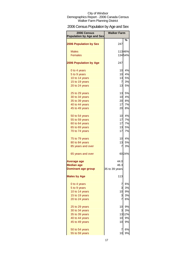## 2006 Census Population by Age and Sex

| 2006 Census<br><b>Population by Age and Sex</b> | <b>Walker Farm</b> |           |
|-------------------------------------------------|--------------------|-----------|
|                                                 |                    | %         |
| <b>2006 Population by Sex</b>                   | 247                |           |
| <b>Males</b>                                    |                    | 11346%    |
| <b>Females</b>                                  |                    | 13454%    |
|                                                 |                    |           |
| <b>2006 Population by Age</b>                   | 247                |           |
| 0 to 4 years                                    | 10                 | 4%        |
| 5 to 9 years                                    | 10                 | 4%        |
| 10 to 14 years                                  | 13                 | 5%        |
| 15 to 19 years                                  | 7                  | 3%        |
| 20 to 24 years                                  | 13                 | 5%        |
| 25 to 29 years                                  | 13                 | 5%        |
| 30 to 34 years                                  | 10                 | 4%        |
| 35 to 39 years                                  | 20                 | 8%        |
| 40 to 44 years                                  | 17                 | 7%        |
| 45 to 49 years                                  | 20                 | <b>8%</b> |
| 50 to 54 years                                  | 10                 | 4%        |
| 55 to 59 years                                  | 17                 | 7%        |
| 60 to 64 years                                  | 17                 | 7%        |
| 65 to 69 years                                  | 13                 | 5%        |
| 70 to 74 years                                  | 17                 | 7%        |
| 75 to 79 years                                  | 10                 | 4%        |
| 80 to 84 years                                  | 13                 | 5%        |
| 85 years and over                               | 7                  | 3%        |
| 65 years and over                               |                    | 6024%     |
| Average age                                     | 44.0               |           |
| <b>Median age</b>                               | 46.3               |           |
| <b>Dominant age group</b>                       | 35 to 39 years     |           |
| <b>Males by Age</b>                             | 113                |           |
| 0 to 4 years                                    | 7                  | 6%        |
| 5 to 9 years                                    | 3                  | 3%        |
| 10 to 14 years                                  | 10                 | 9%        |
| 15 to 19 years                                  | 3                  | 3%        |
| 20 to 24 years                                  |                    | 6%        |
| 25 to 29 years                                  | 10                 | 9%        |
| 30 to 34 years                                  | 3                  | 3%        |
| 35 to 39 years                                  |                    | 13 12%    |
| 40 to 44 years                                  | 10                 | 9%        |
| 45 to 49 years                                  | 10                 | 9%        |
| 50 to 54 years                                  | 7                  | 6%        |
| 55 to 59 years                                  | 10                 | 9%        |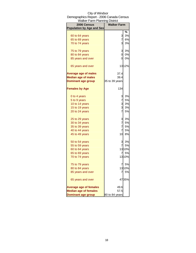| <b>Walker Farm Planning District</b>            |                      |
|-------------------------------------------------|----------------------|
| 2006 Census<br><b>Population by Age and Sex</b> | <b>Walker Farm</b>   |
|                                                 | %                    |
| 60 to 64 years                                  | 3%<br>3              |
| 65 to 69 years                                  | 7<br>6%              |
| 70 to 74 years                                  | 3<br>3%              |
|                                                 |                      |
| 75 to 79 years                                  | 3%<br>3              |
| 80 to 84 years                                  | 0%<br>Ol             |
| 85 years and over                               | 0<br>0%              |
| 65 years and over                               | 1312%                |
| <b>Average age of males</b>                     | 37.4                 |
| <b>Median age of males</b>                      | 39.4                 |
| <b>Dominant age group</b>                       | 35 to 39 years       |
| <b>Females by Age</b>                           | 134                  |
| 0 to 4 years                                    | 3%<br>3              |
| 5 to 9 years                                    | 7<br>5%              |
| 10 to 14 years                                  | 3<br>3%              |
| 15 to 19 years                                  | $\mathbf{3}$<br>3%   |
| 20 to 24 years                                  | $\overline{7}$<br>5% |
| 25 to 29 years                                  | 3%<br>3              |
| 30 to 34 years                                  | 7<br>5%              |
| 35 to 39 years                                  | $\overline{7}$<br>5% |
| 40 to 44 years                                  | $\overline{7}$<br>5% |
| 45 to 49 years                                  | 8%<br>10             |
| 50 to 54 years                                  | 3%<br>3              |
| 55 to 59 years                                  | $\overline{7}$<br>5% |
| 60 to 64 years                                  | 13 10%               |
| 65 to 69 years                                  | 5%<br>7              |
| 70 to 74 years                                  | 13 10%               |
| 75 to 79 years                                  | 5%<br>7              |
| 80 to 84 years                                  | 13 10%               |
| 85 years and over                               | 5%<br>7              |
| 65 years and over                               | 4735%                |
| <b>Average age of females</b>                   | 49.6                 |
| <b>Median age of females</b>                    | 57.5                 |
| <b>Dominant age group</b>                       | 80 to 84 years       |

## City of Windsor Demographics Report - 2006 Canada Census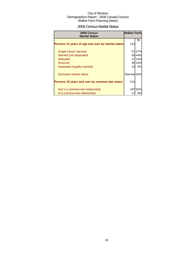## 2006 Census Marital Status

| 2006 Census<br><b>Marital Status</b>               | <b>Walker Farm</b> |        |
|----------------------------------------------------|--------------------|--------|
| Persons 15 years of age and over by marital status | 214                | %      |
| Single (never married)                             |                    | 57 27% |
| Married (not separated)                            |                    | 93 44% |
| Widowed                                            |                    | 27 13% |
| <b>Divorced</b>                                    |                    | 30 14% |
| Separated (legally married)                        | 10                 | 5%     |
| Dominant marital status                            | Married 43%        |        |
| Persons 15 years and over by common-law status     | 214                |        |
| Not in a common-law relationship                   | 197                | 92%    |
| In a common-law relationship                       |                    | 8%     |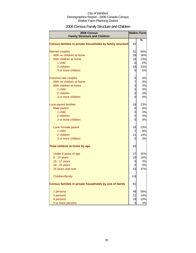## 2006 Census Family Structure and Children

| <b>2006 Census</b><br><b>Family Structure and Children</b> |                | <b>Walker Farm</b> |
|------------------------------------------------------------|----------------|--------------------|
|                                                            |                | %                  |
| Census families in private households by family structure  | 81             |                    |
| <b>Married couples</b>                                     | 51             | 64%                |
| With no children at home                                   | 29             | 36%                |
| With children at home                                      | 18             | 23%                |
| 1 child                                                    | $\overline{0}$ | 0%                 |
| 2 children                                                 | 18             | 23%                |
| 3 or more children                                         | $\overline{0}$ | 0%                 |
| Common-law couples                                         | 0              | 0%                 |
| With no children at home                                   | 7              | 9%                 |
| With children at home                                      | 0              | 0%                 |
| 1 child                                                    | 0              | 0%                 |
| 2 children                                                 | 0              | 0%                 |
| 3 or more children                                         | 0              | 0%                 |
| Lone-parent families                                       | 18             | 23%                |
| Male parent                                                | 0              | 0%                 |
| 1 child                                                    | 0              | 0%                 |
| 2 children                                                 | 0              | 0%                 |
| 3 or more children                                         | 0              | 0%                 |
| Lone Female parent                                         | 18             | 23%                |
| 1 child                                                    | $\overline{7}$ | 9%                 |
| 2 children                                                 | 11             | 14%                |
| 3 or more children                                         | 0              | 0%                 |
| Total children at home by age                              | 63             |                    |
| Under 6 years of age                                       | 27             | 42%                |
| $6 - 14$ years                                             | 10             | 16%                |
| 15 - 17 years                                              | 0              | 0%                 |
| 18 - 24 years                                              | 0              | 0%                 |
| 25 years and over                                          | 23             | 37%                |
| Children/family                                            | 0.8            |                    |
| Census families in private households by size of family    | 81             |                    |
| 2 persons                                                  | 48             | 59%                |
| 3 persons                                                  | 11             | 14%                |
| 4 persons                                                  | 18             | 23%                |
| 5 or more persons                                          | 0              | 0%                 |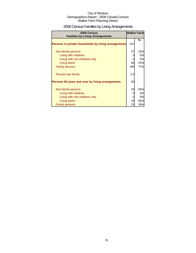## 2006 Census Families by Living Arrangements

| 2006 Census<br><b>Families by Living Arrangements</b> | <b>Walker Farm</b> |     |
|-------------------------------------------------------|--------------------|-----|
|                                                       |                    | %   |
| Persons in private households by living arrangements  | 247                |     |
| Non-family persons                                    | 57                 | 23% |
| Living with relatives                                 |                    | 0%  |
| Living with non-relatives only                        |                    | 0%  |
| Living alone                                          | 60                 | 24% |
| <b>Family persons</b>                                 | 190                | 77% |
| Persons per family                                    | 2.4                |     |
| Persons 65 years and over by living arrangements      | 60                 |     |
| Non-family persons                                    | 33                 | 56% |
| Living with relatives                                 |                    | 0%  |
| Living with non-relatives only                        |                    | 0%  |
| Living alone                                          | 33                 | 56% |
| <b>Family persons</b>                                 | 23                 | 39% |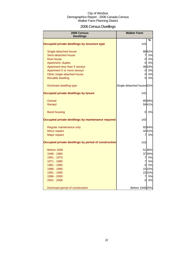## 2006 Census Dwellings

| 2006 Census<br><b>Dwellings</b>                      | <b>Walker Farm</b>        |        |
|------------------------------------------------------|---------------------------|--------|
|                                                      |                           | %      |
| Occupied private dwellings by structure type         | 143                       |        |
| Single-detached house                                |                           | 8862%  |
| Semi-detached house                                  | 7                         | 5%     |
| <b>Row house</b>                                     | οl                        | 0%     |
| Apartment, duplex                                    | οl                        | 0%     |
| Apartment less than 5 storeys                        |                           | 4833%  |
| Apartment 5 or more storeys                          | $\overline{0}$            | 0%     |
| Other single-attached house                          | $\overline{0}$            | 0%     |
| Movable dwelling                                     | 0                         | 0%     |
| Dominant dwelling type                               | Single-detached house 62% |        |
| Occupied private dwellings by tenure                 | 143                       |        |
| Owned                                                |                           | 8559%  |
| Rented                                               |                           | 5941%  |
| <b>Band housing</b>                                  | 0                         | 0%     |
| Occupied private dwellings by maintenance required   | 143                       |        |
| Regular maintenance only                             |                           | 9264%  |
| Minor repairs                                        |                           | 4431%  |
| <b>Major repairs</b>                                 | 7                         | 5%     |
| Occupied private dwellings by period of construction | 143                       |        |
| Before 1946                                          |                           | 5136%  |
| 1946 - 1960                                          |                           | 3726%  |
| 1961 - 1970                                          | $\overline{7}$            | 5%     |
| 1971 - 1980                                          | $\overline{7}$            | 5%     |
| 1981 - 1985                                          | Οl                        | 0%     |
| 1986 - 1990                                          |                           | 15 10% |
| 1991 - 1995                                          |                           | 2215%  |
| 1996 - 2000                                          | $\overline{7}$            | 5%     |
| 2001 - 2006                                          | 0                         | 0%     |
| Dominant period of construction                      | Before 1946 35%           |        |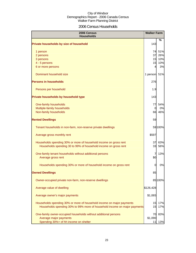## 2006 Census Households

| 2006 Census<br><b>Households</b>                                          | <b>Walker Farm</b> |         |
|---------------------------------------------------------------------------|--------------------|---------|
| Private households by size of household                                   | 143                | ℅       |
| 1 person                                                                  |                    | 74 51%  |
| 2 persons                                                                 | 37                 | 26%     |
| 3 persons                                                                 |                    | 15 10%  |
| 4 - 5 persons                                                             | 15                 | 10%     |
| 6 or more persons                                                         | 41                 | 3%      |
| Dominant household size                                                   | 1 person 51%       |         |
| <b>Persons in households</b>                                              | 276                |         |
| Persons per household                                                     | 1.9                |         |
| Private households by household type                                      | 143                |         |
| One-family households                                                     | 77                 | 54%     |
| Multiple-family households                                                | 0                  | 0%      |
| Non-family households                                                     | 66                 | 46%     |
| <b>Rented Dwellings</b>                                                   | 59                 |         |
| Tenant households in non-farm, non-reserve private dwellings              |                    | 59 100% |
| Average gross monthly rent                                                | \$597              |         |
| Households spending 30% or more of household income on gross rent         | 37                 | 63%     |
| Households spending 30 to 99% of household income on gross rent           | 33                 | 56%     |
| One-family tenant households without additional persons                   | 7                  | 13%     |
| Average gross rent                                                        | \$0                |         |
| Households spending 30% or more of household income on gross rent         | 0                  | 0%      |
| <b>Owned Dwellings</b>                                                    | 85                 |         |
| Owner-occupied private non-farm, non-reserve dwellings                    |                    | 85 100% |
| Average value of dwelling                                                 | \$126,428          |         |
| Average owner's major payments                                            | \$1,065            |         |
| Households spending 30% or more of household income on major payments     | 15                 | 17%     |
| Households spending 30% to 99% more of household income on major payments | 15                 | 17%     |
| One-family owner-occupied households without additional persons           | 70                 | 83%     |
| Average major payments                                                    | \$1,090            |         |
| Spending 30%+ of hh income on shelter                                     | 11l                | 13%     |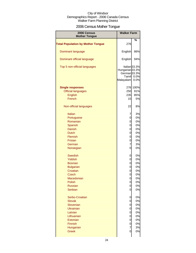## 2006 Census Mother Tongue

| 2006 Census<br><b>Mother Tongue</b>      | <b>Walker Farm</b>                                               |                                          |
|------------------------------------------|------------------------------------------------------------------|------------------------------------------|
|                                          |                                                                  | %                                        |
| <b>Total Population by Mother Tongue</b> | 276                                                              |                                          |
| Dominant language                        | English                                                          | 86%                                      |
| Dominant official language               | English                                                          | 94%                                      |
| Top 5 non-official languages             | Hungarian <sub>33.3%</sub><br>German 33.3%<br>Tamil<br>Malayalam | Italian <sub>33.3%</sub><br>0.0%<br>0.0% |
| <b>Single responses</b>                  |                                                                  | 276 100%                                 |
| <b>Official languages</b>                | 250                                                              | 91%                                      |
| English                                  | 235                                                              | 85%                                      |
| French                                   | 15                                                               | 5%                                       |
| Non-official languages                   | 22                                                               | 8%                                       |
| Italian                                  | 7                                                                | 3%                                       |
| Portuguese                               | 0                                                                | 0%                                       |
| Romanian                                 | 0                                                                | 0%                                       |
| Spanish                                  | 0                                                                | 0%                                       |
| <b>Danish</b>                            | 0                                                                | 0%                                       |
| <b>Dutch</b>                             | 0                                                                | 0%                                       |
| Flemish                                  | 0                                                                | 0%                                       |
| <b>Frisian</b>                           | 0                                                                | 0%                                       |
| German                                   | $\overline{7}$                                                   | 3%                                       |
| Norwegian                                | 0                                                                | 0%                                       |
| <b>Swedish</b>                           | 0                                                                | 0%                                       |
| <b>Yiddish</b>                           | 0                                                                | 0%                                       |
| <b>Bosnian</b>                           | 0                                                                | 0%                                       |
| <b>Bulgarian</b>                         | 0                                                                | 0%                                       |
| Croatian                                 | 0                                                                | 0%                                       |
| Czech                                    | 0                                                                | $0\%$                                    |
| Macedonian                               | 0                                                                | 0%                                       |
| Polish                                   | 0                                                                | 0%                                       |
| <b>Russian</b>                           | 0                                                                | 0%                                       |
| Serbian                                  | 0                                                                | 0%                                       |
| Serbo-Croatian                           | 0                                                                | 0%                                       |
| <b>Slovak</b>                            | 0                                                                | 0%                                       |
| Slovenian                                | 0                                                                | 0%                                       |
| <b>Ukrainian</b>                         | $\mathbf 0$                                                      | 0%                                       |
| Latvian                                  | $\overline{0}$                                                   | 0%                                       |
| Lithuanian                               | $\overline{0}$                                                   | 0%                                       |
| Estonian                                 | $\mathbf{0}$                                                     | 0%                                       |
| Finnish                                  | 0                                                                | 0%                                       |
| Hungarian                                | 7                                                                | 3%                                       |
| <b>Greek</b>                             | 0                                                                | 0%                                       |
|                                          |                                                                  |                                          |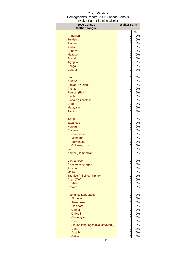| 2006 Census<br><b>Mother Tongue</b> | <b>Walker Farm</b>            |    |
|-------------------------------------|-------------------------------|----|
|                                     |                               | %  |
| Armenian                            | 0                             | 0% |
| <b>Turkish</b>                      | 0                             | 0% |
| Amharic                             | 0                             | 0% |
| Arabic                              | 0                             | 0% |
| <b>Hebrew</b>                       | $\overline{0}$                | 0% |
| <b>Maltese</b>                      | 0                             | 0% |
| Somali                              | 0                             | 0% |
| Tigrigna                            | 0                             | 0% |
| Bengali                             | 0                             | 0% |
| Gujarati                            | 0                             | 0% |
| Hindi                               | 0                             | 0% |
| <b>Kurdish</b>                      | 0                             | 0% |
| Panjabi (Punjabi)                   | 0                             | 0% |
| Pashto                              | 0                             | 0% |
| Persian (Farsi)                     | 0                             | 0% |
| Sindhi                              | 0                             | 0% |
| Sinhala (Sinhalese)                 | 0                             | 0% |
| Urdu                                | 0                             | 0% |
| Malayalam                           | 0                             | 0% |
| Tamil                               | 0                             | 0% |
| <b>Telugu</b>                       | 0                             | 0% |
| Japanese                            | 0                             | 0% |
| Korean                              | 0                             | 0% |
| <b>Chinese</b>                      | 0                             | 0% |
| Cantonese                           | 0                             | 0% |
| <b>Mandarin</b>                     | 0                             | 0% |
| <b>Taiwanese</b>                    | 0                             | 0% |
| Chinese, n.o.s.                     | 0                             | 0% |
| Lao                                 | 0                             | 0% |
| Khmer (Cambodian)                   | 0                             | 0% |
| Vietnamese                          | 0                             | 0% |
| Bisayan languages                   | O                             | 0% |
| <b>Ilocano</b>                      | 0                             | 0% |
| <b>Malay</b>                        | $\mathbf 0$                   | 0% |
| Tagalog (Pilipino, Filipino)        | 0                             | 0% |
| Akan (Twi)                          | 0                             | 0% |
| <b>Swahili</b>                      | 0                             | 0% |
| <b>Creoles</b>                      | 0                             | 0% |
| <b>Aboriginal Languages</b>         | 0                             | 0% |
| Algonquin                           | 0                             | 0% |
| Atikamekw                           | 0                             | 0% |
| <b>Blackfoot</b>                    | 0                             | 0% |
| Carrier                             | $\overline{0}$                | 0% |
| Chilcotin                           | $\overline{0}$                | 0% |
| Chipewyan                           | 0                             | 0% |
| <b>Cree</b>                         | 0                             | 0% |
| Siouan languages (Dakota/Sioux)     | $\overline{0}$                | 0% |
| Dene                                | 0                             | 0% |
| <b>Dogrib</b><br>Gitksan            | $\overline{0}$<br>$\mathbf 0$ | 0% |
|                                     |                               | 0% |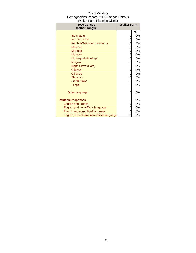| 2006 Census                               | <b>Walker Farm</b> |    |
|-------------------------------------------|--------------------|----|
| <b>Mother Tongue</b>                      |                    |    |
|                                           |                    | %  |
| Inuinnaqtun                               |                    | 0% |
| Inuktitut, n.i.e.                         |                    | 0% |
| Kutchin-Gwich'in (Loucheux)               |                    | 0% |
| <b>Malecite</b>                           | 0                  | 0% |
| Mi'kmag                                   | 0                  | 0% |
| <b>Mohawk</b>                             | 0                  | 0% |
| Montagnais-Naskapi                        | 0                  | 0% |
| Nisga'a                                   | 0                  | 0% |
| North Slave (Hare)                        | 0                  | 0% |
| Ojibway                                   | 0                  | 0% |
| Oji-Cree                                  | 0                  | 0% |
| Shuswap                                   | 0                  | 0% |
| <b>South Slave</b>                        | 0                  | 0% |
| <b>Tlingit</b>                            |                    | 0% |
|                                           |                    |    |
| Other languages                           | Ω                  | 0% |
|                                           |                    |    |
| <b>Multiple responses</b>                 |                    | 0% |
| <b>English and French</b>                 | 0                  | 0% |
| English and non-official language         |                    | 0% |
| French and non-official language          |                    | 0% |
| English, French and non-official language |                    | 0% |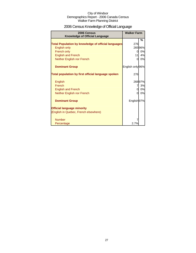## 2006 Census Knowledge of Official Language

| 2006 Census<br><b>Knowledge of Official Language</b>       | <b>Walker Farm</b> |        |
|------------------------------------------------------------|--------------------|--------|
|                                                            |                    | %      |
| <b>Total Population by knowledge of official languages</b> | 276                |        |
| English only                                               |                    | 26596% |
| French only                                                | 0                  | 0%     |
| <b>English and French</b>                                  | 11                 | 4%     |
| Neither English nor French                                 | 0                  | 0%     |
| <b>Dominant Group</b>                                      | English only 96%   |        |
| Total population by first official language spoken         | 276                |        |
| English                                                    |                    | 26897% |
| French                                                     | 7                  | 3%     |
| <b>English and French</b>                                  | 0                  | 0%     |
| Neither English nor French                                 | ი                  | 0%     |
| <b>Dominant Group</b>                                      | English 97%        |        |
| <b>Official language minority</b>                          |                    |        |
| (English in Quebec, French elsewhere)                      |                    |        |
| <b>Number</b>                                              |                    |        |
| Percentage                                                 | $2.7\%$            |        |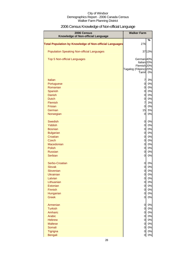## 2006 Census Knowledge of Non-official Language

| 2006 Census<br>Knowledge of Non-official Language              | <b>Walker Farm</b>                               |          |
|----------------------------------------------------------------|--------------------------------------------------|----------|
| <b>Total Population by Knowledge of Non-official Languages</b> | 276                                              | $\%$     |
| <b>Population Speaking Non-official Languages</b>              |                                                  | 37 13%   |
| <b>Top 5 Non-official Languages</b>                            | German 40%<br>Italian <sub>20%</sub>             |          |
|                                                                | Flemish <sub>20%</sub><br>Tagalog (Filipino) 20% |          |
| Italian                                                        | Tamil<br>7                                       | 0%<br>3% |
| Portuguese                                                     | $\overline{0}$                                   | 0%       |
| Romanian                                                       | 0                                                | 0%       |
| Spanish                                                        | 0                                                | 0%       |
| <b>Danish</b>                                                  | $\mathbf 0$                                      | 0%       |
| <b>Dutch</b>                                                   | 0                                                | 0%       |
| Flemish                                                        | $\overline{7}$                                   | 3%       |
| Frisian                                                        | $\mathbf 0$                                      | 0%       |
| German                                                         | 15                                               | 5%       |
| Norwegian                                                      | $\mathbf 0$                                      | 0%       |
| <b>Swedish</b>                                                 | 0                                                | 0%       |
| Yiddish                                                        | 0                                                | 0%       |
| <b>Bosnian</b>                                                 | $\mathbf 0$                                      | 0%       |
| <b>Bulgarian</b>                                               | $\mathbf 0$                                      | 0%       |
| Croatian<br><b>Czech</b>                                       | 0<br>0                                           | 0%       |
| Macedonian                                                     | $\overline{0}$                                   | 0%<br>0% |
| Polish                                                         | $\overline{0}$                                   | 0%       |
| <b>Russian</b>                                                 | 0                                                | 0%       |
| <b>Serbian</b>                                                 | 0                                                | 0%       |
| Serbo-Croatian                                                 | 0                                                | 0%       |
| <b>Slovak</b>                                                  | 0                                                | 0%       |
| Slovenian                                                      | 0                                                | 0%       |
| Ukrainian<br>Latvian                                           | 0<br>$\mathbf 0$                                 | 0%<br>0% |
| Lithuanian                                                     | $\mathbf 0$                                      | 0%       |
| Estonian                                                       | $\mathbf 0$                                      | 0%       |
| Finnish                                                        | $\mathbf 0$                                      | 0%       |
| Hungarian                                                      | $\mathbf 0$                                      | 0%       |
| <b>Greek</b>                                                   | 0                                                | 0%       |
| Armenian                                                       | $\overline{0}$                                   | 0%       |
| <b>Turkish</b><br>Amharic                                      | $\overline{0}$<br>$\overline{0}$                 | 0%<br>0% |
| Arabic                                                         | $\overline{0}$                                   | 0%       |
| <b>Hebrew</b>                                                  | $\overline{0}$                                   | 0%       |
| <b>Maltese</b>                                                 | $\overline{0}$                                   | 0%       |
| Somali                                                         | $\overline{0}$                                   | 0%       |
| Tigrigna                                                       | 0                                                | $0\%$    |
| <b>Bengali</b>                                                 | 0                                                | $0\%$    |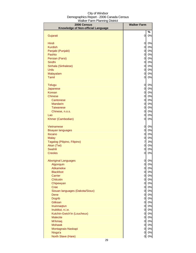| 2006 Census                        | <b>Walker Farm</b>               |          |
|------------------------------------|----------------------------------|----------|
| Knowledge of Non-official Language |                                  |          |
|                                    |                                  | %<br>0%  |
| Gujarati                           | 0                                |          |
| Hindi                              | 0                                | 0%       |
| <b>Kurdish</b>                     | 0                                | 0%       |
| Panjabi (Punjabi)                  | $\mathbf 0$                      | 0%       |
| Pashto                             | $\mathbf 0$                      | 0%       |
| Persian (Farsi)                    | 0                                | 0%       |
| Sindhi                             | 0                                | 0%       |
| Sinhala (Sinhalese)                | 0                                | 0%       |
| Urdu                               | $\mathbf 0$                      | 0%       |
| Malayalam                          | 0                                | 0%       |
| <b>Tamil</b>                       | $\mathbf 0$                      | 0%       |
| <b>Telugu</b>                      | 0                                | 0%       |
| Japanese                           | 0                                | 0%       |
| Korean                             | 0                                | 0%       |
| <b>Chinese</b>                     | 0                                | 0%       |
| Cantonese                          | $\mathbf 0$                      | 0%       |
| <b>Mandarin</b>                    | $\mathbf 0$                      | 0%       |
| <b>Taiwanese</b>                   | $\mathbf 0$                      | 0%       |
| Chinese, n.o.s.                    | $\mathbf 0$                      | 0%       |
| Lao                                | $\mathbf 0$                      | 0%       |
| Khmer (Cambodian)                  | 0                                | 0%       |
| <b>Vietnamese</b>                  | 0                                | 0%       |
| <b>Bisayan languages</b>           | 0                                | 0%       |
| Ilocano                            | 0                                | 0%       |
| <b>Malay</b>                       | 0                                | 0%       |
| Tagalog (Pilipino, Filipino)       | $\overline{7}$                   | 3%       |
| Akan (Twi)                         | $\mathbf 0$                      | 0%       |
| Swahili                            | $\mathbf 0$                      | 0%       |
| <b>Creoles</b>                     | 0                                | 0%       |
| <b>Aboriginal Languages</b>        | 0                                | 0%       |
| Algonquin                          | $\overline{0}$                   | 0%       |
| <b>Atikamekw</b>                   | $\mathbf 0$                      | $0\%$    |
| <b>Blackfoot</b>                   | $\overline{0}$                   | 0%       |
| Carrier                            | $\overline{0}$                   | 0%       |
| Chilcotin                          | $\overline{0}$                   | 0%       |
| Chipewyan<br><b>Cree</b>           | $\overline{0}$<br>$\overline{0}$ | 0%<br>0% |
| Siouan languages (Dakota/Sioux)    | $\overline{0}$                   | 0%       |
| <b>Dene</b>                        | $\overline{0}$                   | 0%       |
| <b>Dogrib</b>                      | $\overline{0}$                   | 0%       |
| <b>Gitksan</b>                     | $\overline{0}$                   | 0%       |
| Inuinnaqtun                        | $\overline{0}$                   | 0%       |
| Inuktitut, n.i.e.                  | $\overline{0}$                   | 0%       |
| Kutchin-Gwich'in (Loucheux)        | $\overline{0}$                   | 0%       |
| <b>Malecite</b>                    | 0                                | 0%       |
| <b>Mi'kmaq</b>                     | $\overline{0}$                   | 0%       |
| <b>Mohawk</b>                      | $\overline{0}$                   | 0%       |
| Montagnais-Naskapi<br>Nisga'a      | $\overline{0}$<br>0              | 0%<br>0% |
| North Slave (Hare)                 | 0                                | $0\%$    |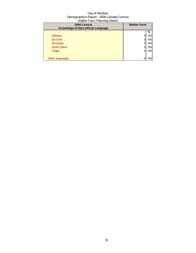| 2006 Census                        | <b>Walker Farm</b> |    |
|------------------------------------|--------------------|----|
| Knowledge of Non-official Language |                    |    |
|                                    |                    | %  |
| Ojibway                            |                    | 0% |
| Oji-Cree                           |                    | 0% |
| Shuswap                            |                    | 0% |
| <b>South Slave</b>                 |                    | 0% |
| <b>Tlingit</b>                     |                    | 0% |
|                                    |                    |    |
| Other languages                    |                    | 0% |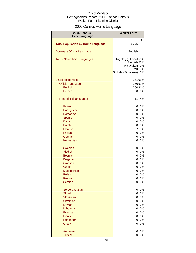## 2006 Census Home Language

| 2006 Census                              | <b>Walker Farm</b>     |          |
|------------------------------------------|------------------------|----------|
| <b>Home Language</b>                     |                        |          |
| <b>Total Population by Home Language</b> | \$276                  | %        |
| <b>Dominant Official Language</b>        | English                |          |
| Top 5 Non-official Languages             | Tagalog (Filipino) 50% |          |
|                                          | Flemish <sub>50%</sub> |          |
|                                          | Malayalam<br>Urdu      | 0%<br>0% |
|                                          | Sinhala (Sinhalese)    | 0%       |
| Single responses                         |                        | 26195%   |
| <b>Official languages</b>                |                        | 25091%   |
| English                                  |                        | 25091%   |
| French                                   | 0                      | 0%       |
| Non-official languages                   | 11                     | 4%       |
| Italian                                  | 0                      | 0%       |
| Portuguese                               | 0                      | 0%       |
| Romanian                                 | 0                      | 0%       |
| Spanish                                  | 0                      | 0%       |
| Danish                                   | 0                      | 0%       |
| <b>Dutch</b>                             | 0                      | 0%       |
| Flemish                                  | $\overline{7}$         | 3%       |
| <b>Frisian</b>                           | $\overline{0}$         | 0%       |
| German<br>Norwegian                      | 0<br>0                 | 0%<br>0% |
| <b>Swedish</b>                           | 0                      | 0%       |
| <b>Yiddish</b>                           | $\overline{0}$         | 0%       |
| <b>Bosnian</b>                           | $\overline{0}$         | 0%       |
| <b>Bulgarian</b>                         | $\overline{0}$         | 0%       |
| Croatian                                 | $\overline{0}$         | 0%       |
| <b>Czech</b>                             | 0                      | 0%       |
| Macedonian                               | 0                      | 0%       |
| Polish                                   | $\overline{0}$         | 0%       |
| <b>Russian</b>                           | $\overline{0}$         | 0%       |
| <b>Serbian</b>                           | 0                      | 0%       |
| Serbo-Croatian                           | 0                      | 0%       |
| <b>Slovak</b>                            | $\overline{0}$         | 0%       |
| Slovenian                                | $\overline{0}$         | 0%       |
| <b>Ukrainian</b>                         | $\overline{0}$         | 0%       |
| Latvian                                  | 0                      | 0%       |
| Lithuanian                               | $\overline{0}$         | 0%       |
| Estonian                                 | $\overline{0}$         | 0%       |
| <b>Finnish</b>                           | $\overline{0}$         | 0%       |
| Hungarian                                | 0<br>0                 | 0%       |
| <b>Greek</b>                             |                        | 0%       |
| Armenian                                 | 0                      | 0%       |
| <b>Turkish</b>                           | 0                      | 0%       |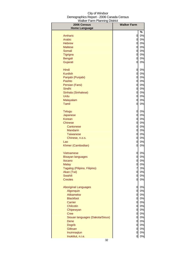| 2006 Census                     | <b>Walker Farm</b>               |          |
|---------------------------------|----------------------------------|----------|
| <b>Home Language</b>            |                                  |          |
|                                 |                                  | %        |
| Amharic                         | $\overline{0}$                   | 0%       |
| Arabic                          | 0                                | 0%       |
| <b>Hebrew</b>                   | 0                                | 0%       |
| <b>Maltese</b>                  | $\mathbf{0}$                     | 0%       |
| Somali                          | $\mathbf{0}$                     | 0%       |
| <b>Tigrigna</b>                 | $\overline{0}$                   | 0%       |
| <b>Bengali</b>                  | 이                                | 0%       |
| Gujarati                        | 0                                | 0%       |
| Hindi                           | 0                                | 0%       |
| <b>Kurdish</b>                  | <sub>0</sub>                     | 0%       |
| Panjabi (Punjabi)               | 이                                | 0%       |
| Pashto                          | $\overline{0}$                   | 0%       |
| Persian (Farsi)                 | $\mathsf{Q}$                     | 0%       |
| Sindhi                          | $\overline{0}$                   | 0%       |
| Sinhala (Sinhalese)             | 이                                | 0%       |
| Urdu                            | 0                                | 0%       |
| Malayalam                       | 0                                | 0%       |
| <b>Tamil</b>                    | $\overline{0}$                   | 0%       |
| Telugu                          | 0                                | 0%       |
| Japanese                        | $\overline{0}$                   | 0%       |
| Korean                          | $\overline{0}$                   | 0%       |
| Chinese                         | ol                               | 0%       |
| Cantonese                       | ol                               | 0%       |
| <b>Mandarin</b>                 | $\overline{0}$                   | 0%       |
| <b>Taiwanese</b>                | 0                                | 0%       |
| Chinese, n.o.s.                 | 0                                | 0%       |
| Lao                             | 0<br>0                           | 0%<br>0% |
| Khmer (Cambodian)               |                                  |          |
| Vietnamese                      | 0                                | 0%       |
| <b>Bisayan languages</b>        | 0                                | 0%       |
| <b>Ilocano</b>                  | 0                                | 0%       |
| <b>Malay</b>                    | 0                                | 0%       |
| Tagalog (Pilipino, Filipino)    | 7                                | 3%       |
| Akan (Twi)                      | $\overline{0}$                   | 0%       |
| Swahili                         | $\overline{0}$                   | 0%       |
| <b>Creoles</b>                  | $\overline{0}$                   | 0%       |
| <b>Aboriginal Languages</b>     | <sub>0</sub>                     | 0%       |
| Algonquin                       | $\overline{0}$                   | 0%       |
| Atikamekw                       | $\overline{0}$                   | 0%       |
| <b>Blackfoot</b>                | $\overline{0}$                   | 0%       |
| Carrier                         |                                  | 0 0%     |
| Chilcotin                       | $\overline{0}$                   | 0%       |
| Chipewyan                       | $\overline{0}$                   | 0%       |
| <b>Cree</b>                     | $\overline{0}$                   | 0%       |
| Siouan languages (Dakota/Sioux) | $\overline{0}$                   | 0%       |
| Dene                            | $\overline{0}$                   | 0%       |
| <b>Dogrib</b><br>Gitksan        | $\mathsf{Q}$                     | 0%       |
| Inuinnaqtun                     | $\overline{a}$<br>$\overline{0}$ | 0%<br>0% |
| Inuktitut, n.i.e.               | 이                                | $0\%$    |
|                                 |                                  |          |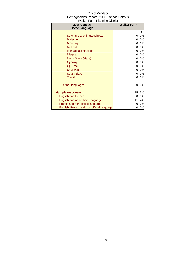| 2006 Census                               | <b>Walker Farm</b> |    |
|-------------------------------------------|--------------------|----|
| <b>Home Language</b>                      |                    |    |
|                                           |                    | %  |
| Kutchin-Gwich'in (Loucheux)               | 0                  | 0% |
| <b>Malecite</b>                           | 0                  | 0% |
| Mi'kmaq                                   | 0                  | 0% |
| <b>Mohawk</b>                             | 0                  | 0% |
| Montagnais-Naskapi                        | 0                  | 0% |
| Nisga'a                                   | 0                  | 0% |
| North Slave (Hare)                        | 0                  | 0% |
| Ojibway                                   | 0                  | 0% |
| Oji-Cree                                  | 0                  | 0% |
| Shuswap                                   | 0                  | 0% |
| <b>South Slave</b>                        | 0                  | 0% |
| <b>Tlingit</b>                            | 0                  | 0% |
|                                           |                    |    |
| Other languages                           | 0                  | 0% |
|                                           |                    |    |
| <b>Multiple responses</b>                 | 15                 | 5% |
| <b>English and French</b>                 | 0                  | 0% |
| English and non-official language         | 11                 | 4% |
| French and non-official language          | 0                  | 0% |
| English, French and non-official language | 0                  | 0% |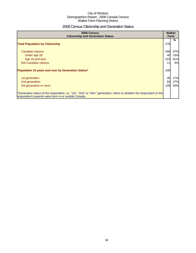## 2006 Census Citizenship and Generation Status

| 2006 Census<br><b>Citizenship and Generation Status</b>                                                                                                                       |     | <b>Walker</b><br>Farm |  |
|-------------------------------------------------------------------------------------------------------------------------------------------------------------------------------|-----|-----------------------|--|
| <b>Total Population by Citizenship</b>                                                                                                                                        | 276 | %                     |  |
| Canadian citizens                                                                                                                                                             | 268 | 97%                   |  |
| Under age 18                                                                                                                                                                  | 40  | 15%                   |  |
| Age 18 and over                                                                                                                                                               | 224 | 81%                   |  |
| Not Canadian citizens                                                                                                                                                         | 11  | 4%                    |  |
| Population 15 years and over by Generation Status*                                                                                                                            | 235 |                       |  |
| 1st generation                                                                                                                                                                | 40  | 17%                   |  |
| 2nd generation                                                                                                                                                                | 63  | 27%                   |  |
| 3rd generation or more                                                                                                                                                        | 129 | 55%                   |  |
| *Generation status of the respondent, i.e. "1st", "2nd" or "3rd+" generation, refers to whether the respondent or the<br>respondent's parents were born in or outside Canada. |     |                       |  |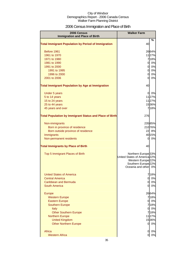## 2006 Census Immigration and Place of Birth

| 2006 Census                                                    | <b>Walker Farm</b>                                                                                                                                        |        |
|----------------------------------------------------------------|-----------------------------------------------------------------------------------------------------------------------------------------------------------|--------|
| <b>Immigration and Place of Birth</b>                          |                                                                                                                                                           |        |
| <b>Total Immigrant Population by Period of Immigration</b>     | 40                                                                                                                                                        | %      |
| Before 1961                                                    |                                                                                                                                                           | 2664%  |
| 1961 to 1970                                                   |                                                                                                                                                           | 1127%  |
| 1971 to 1980                                                   |                                                                                                                                                           | 7 18%  |
| 1981 to 1990                                                   | $\overline{0}$                                                                                                                                            | 0%     |
| 1991 to 2000                                                   | $\overline{0}$                                                                                                                                            | 0%     |
| 1991 to 1995                                                   | $\overline{0}$                                                                                                                                            | 0%     |
| 1996 to 2000                                                   | $\overline{0}$                                                                                                                                            | 0%     |
| 2001 to 2006                                                   | 0                                                                                                                                                         | 0%     |
| <b>Total Immigrant Population by Age at Immigration</b>        | 40                                                                                                                                                        |        |
| Under 5 years                                                  | 0                                                                                                                                                         | 0%     |
| 5 to 14 years                                                  |                                                                                                                                                           | 1127%  |
| 15 to 24 years                                                 |                                                                                                                                                           | 1127%  |
| 25 to 44 years                                                 |                                                                                                                                                           | 1536%  |
| 45 years and over                                              |                                                                                                                                                           | 718%   |
| <b>Total Population by Immigrant Status and Place of Birth</b> | 276                                                                                                                                                       |        |
| Non-immigrants                                                 |                                                                                                                                                           | 23585% |
| Born in province of residence                                  |                                                                                                                                                           | 21076% |
| Born outside province of residence                             |                                                                                                                                                           | 22 8%  |
| Immigrants                                                     |                                                                                                                                                           | 40 15% |
| Non-permanent residents                                        | 0                                                                                                                                                         | 0%     |
| <b>Total Immigrants by Place of Birth</b>                      | 40                                                                                                                                                        |        |
| Top 5 Immigrant Places of Birth                                | Northern Europe <sup>33%</sup><br>United States of America 22%<br>Western Europe <sup>22%</sup><br>Southern Europe <sup>22%</sup><br>Oceania and other 0% |        |
| <b>United States of America</b>                                |                                                                                                                                                           | 718%   |
| <b>Central America</b>                                         | $\overline{0}$                                                                                                                                            | 0%     |
| Caribbean and Bermuda                                          | $\overline{0}$                                                                                                                                            | 0%     |
| <b>South America</b>                                           | 0                                                                                                                                                         | 0%     |
| <b>Europe</b>                                                  |                                                                                                                                                           | 2664%  |
| <b>Western Europe</b>                                          |                                                                                                                                                           | 718%   |
| <b>Eastern Europe</b>                                          | <sub>0</sub>                                                                                                                                              | 0%     |
| <b>Southern Europe</b>                                         |                                                                                                                                                           | 718%   |
| <b>Italy</b>                                                   | 0                                                                                                                                                         | 0%     |
| <b>Other Southern Europe</b>                                   |                                                                                                                                                           | 718%   |
| <b>Northern Europe</b>                                         |                                                                                                                                                           | 1127%  |
| <b>United Kingdom</b>                                          |                                                                                                                                                           | 1536%  |
| <b>Other Northern Europe</b>                                   | $\overline{0}$                                                                                                                                            | 0%     |
| Africa                                                         | 0                                                                                                                                                         | 0%     |
| <b>Western Africa</b>                                          | 0                                                                                                                                                         | 0%     |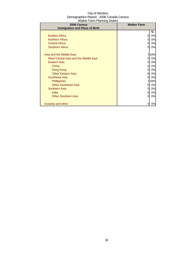| City of Windsor                          |
|------------------------------------------|
| Demographics Report - 2006 Canada Census |
| Walker Farm Planning District            |

| 2006 Census                           | <b>Walker Farm</b> |      |
|---------------------------------------|--------------------|------|
| <b>Immigration and Place of Birth</b> |                    |      |
|                                       |                    | %    |
| <b>Eastern Africa</b>                 | 0                  | 0%   |
| <b>Northern Africa</b>                | 0                  | 0%   |
| <b>Central Africa</b>                 | 0                  | 0%   |
| Southern Africa                       | Ω                  | 0%   |
|                                       |                    |      |
| Asia and the Middle East              |                    | 718% |
| West Central Asia and the Middle East | 0                  | 0%   |
| <b>Eastern Asia</b>                   | 0                  | 0%   |
| China                                 | 0                  | 0%   |
| Hong Kong                             | Ω                  | 0%   |
| <b>Other Eastern Asia</b>             |                    | 0%   |
| <b>Southeast Asia</b>                 | 0                  | 0%   |
| <b>Philippines</b>                    |                    | 18%  |
| <b>Other Southeast Asia</b>           |                    | 0%   |
| Southern Asia                         | 0                  | 0%   |
| India                                 | Ω                  | 0%   |
| <b>Other Southern Asia</b>            | 0                  | 0%   |
|                                       |                    |      |
| Oceania and other                     |                    | 0%   |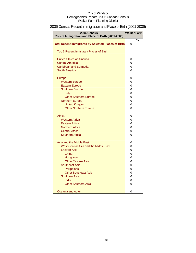## 2006 Census Recent Immigration and Place of Birth (2001-2006)

| 2006 Census<br>Recent Immigration and Place of Birth (2001-2006) | <b>Walker Farm</b> |   |
|------------------------------------------------------------------|--------------------|---|
|                                                                  |                    | % |
| <b>Total Recent Immigrants by Selected Places of Birth</b>       | 0                  |   |
| Top 5 Recent Immigrant Places of Birth                           |                    |   |
| <b>United States of America</b>                                  | 0                  |   |
| <b>Central America</b>                                           | 0                  |   |
| Caribbean and Bermuda                                            | 0                  |   |
| South America                                                    | 0                  |   |
| Europe                                                           | 0                  |   |
| <b>Western Europe</b>                                            | 0                  |   |
| <b>Eastern Europe</b>                                            | 0                  |   |
| <b>Southern Europe</b>                                           | $\overline{0}$     |   |
| Italy                                                            | $\overline{0}$     |   |
| <b>Other Southern Europe</b>                                     | $\mathbf 0$        |   |
| <b>Northern Europe</b>                                           | $\overline{0}$     |   |
| <b>United Kingdom</b>                                            | $\overline{0}$     |   |
| <b>Other Northern Europe</b>                                     | $\overline{0}$     |   |
| Africa                                                           | 0                  |   |
| <b>Western Africa</b>                                            | $\overline{0}$     |   |
| <b>Eastern Africa</b>                                            | $\mathbf 0$        |   |
| <b>Northern Africa</b>                                           | $\overline{0}$     |   |
| <b>Central Africa</b>                                            | $\overline{0}$     |   |
| <b>Southern Africa</b>                                           | 0                  |   |
| Asia and the Middle East                                         | 0                  |   |
| West Central Asia and the Middle East                            | $\overline{0}$     |   |
| <b>Eastern Asia</b>                                              | $\mathbf 0$        |   |
| China                                                            | $\mathbf 0$        |   |
| <b>Hong Kong</b>                                                 | $\overline{0}$     |   |
| <b>Other Eastern Asia</b>                                        | $\overline{0}$     |   |
| <b>Southeast Asia</b>                                            | $\overline{0}$     |   |
| Philippines                                                      | $\overline{0}$     |   |
| <b>Other Southeast Asia</b>                                      | $\overline{0}$     |   |
| <b>Southern Asia</b>                                             | $\overline{0}$     |   |
| India                                                            | 0                  |   |
| <b>Other Southern Asia</b>                                       | 0                  |   |
| Oceania and other                                                | 0                  |   |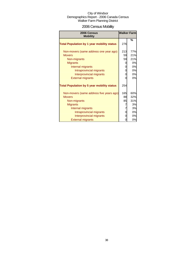## 2006 Census Mobility

| 2006 Census<br><b>Mobility</b>                    |     | <b>Walker Farm</b> |
|---------------------------------------------------|-----|--------------------|
| <b>Total Population by 1 year mobility status</b> | 276 | %                  |
| Non-movers (same address one year ago)            | 213 | 77%                |
| <b>Movers</b>                                     | 59  | 21%                |
| Non-migrants                                      | 59  | 21%                |
| <b>Migrants</b>                                   | 0   | 0%                 |
| Internal migrants                                 | 0   | 0%                 |
| Intraprovincial migrants                          | 0   | 0%                 |
| Interprovincial migrants                          | 0   | 0%                 |
| <b>External migrants</b>                          | 0   | 0%                 |
| <b>Total Population by 5 year mobility status</b> | 254 |                    |
| Non-movers (same address five years ago)          | 165 | 60%                |
| <b>Movers</b>                                     | 88  | 32%                |
| Non-migrants                                      | 85  | 31%                |
| <b>Migrants</b>                                   | 7   | 3%                 |
| Internal migrants                                 | 7   | 3%                 |
| Intraprovincial migrants                          | 0   | 0%                 |
| Interprovincial migrants                          | 0   | 0%                 |
| <b>External migrants</b>                          | 0   | 0%                 |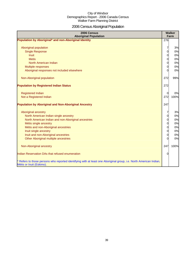# 2006 Census Aboriginal Population

| 2006 Census<br><b>Aboriginal Population</b>                                                                                                                                                                                                                                                 |                                                                               | <b>Walker</b><br>Farm                        |
|---------------------------------------------------------------------------------------------------------------------------------------------------------------------------------------------------------------------------------------------------------------------------------------------|-------------------------------------------------------------------------------|----------------------------------------------|
| Population by Aboriginal* and non-Aboriginal Identity                                                                                                                                                                                                                                       | 276                                                                           |                                              |
| Aboriginal population<br><b>Single Response</b><br><b>Inuit</b><br><b>Metis</b><br>North American Indian<br>Multiple responses<br>Aboriginal responses not included elsewhere                                                                                                               | 7<br>0<br>$\overline{0}$<br>$\overline{0}$<br>$\overline{0}$<br>0<br>$\Omega$ | 3%<br>0%<br>0%<br>0%<br>0%<br>0%<br>0%       |
| Non-Aboriginal population                                                                                                                                                                                                                                                                   | 272                                                                           | 99%                                          |
| <b>Population by Registered Indian Status</b>                                                                                                                                                                                                                                               | 272                                                                           |                                              |
| <b>Registered Indian</b><br>Not a Registered Indian                                                                                                                                                                                                                                         | 0<br>272                                                                      | 0%<br>100%                                   |
| <b>Population by Aboriginal and Non-Aboriginal Ancestry</b>                                                                                                                                                                                                                                 | 247                                                                           |                                              |
| Aboriginal ancestry<br>North American Indian single ancestry<br>North American Indian and non-Aboriginal ancestries<br>Métis single ancestry<br>Métis and non-Aboriginal ancestries<br>Inuit single ancestry<br>Inuit and non-Aboriginal ancestries<br>Other Aboriginal multiple ancestries | 0<br>$\overline{0}$<br>$\overline{0}$<br>$\overline{0}$<br>0<br>0<br>0        | 3%<br>0%<br>0%<br>0%<br>0%<br>0%<br>0%<br>0% |
| Non-Aboriginal ancestry                                                                                                                                                                                                                                                                     | 247                                                                           | 100%                                         |
| Indian Reservation DAs that refused enumeration                                                                                                                                                                                                                                             | O                                                                             |                                              |
| * Refers to those persons who reported identifying with at least one Aboriginal group, i.e. North American Indian,<br>Métis or Inuit (Eskimo).                                                                                                                                              |                                                                               |                                              |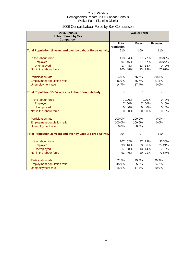## 2006 Census Labour Force by Sex Comparison

| <b>Labour Force by Sex</b><br><b>Comparison</b><br><b>Total</b><br><b>Males</b><br><b>Females</b><br>Population<br><b>Total Population 15 years and over by Labour Force Activity</b><br>210<br>100<br>110<br>In the labour force<br>113 54%<br>77%<br>3330%<br>77<br>97<br>3027%<br>46%<br>67<br>67%<br>Employed<br>8%<br>13%<br>0%<br>Unemployed<br>17<br>13<br>$\Omega$<br>Not in the labour force<br>48%<br>23<br>23%<br>7367%<br>100<br>76.7%<br>54.0%<br>30.3%<br><b>Participation rate</b><br>66.7%<br>Employment-population ratio<br>27.3%<br>46.0%<br>Unemployment rate<br>14.7%<br>17.4%<br>0.0%<br><b>Total Population 15-24 years by Labour Force Activity</b><br>7<br>7<br>7100%<br>7 100%<br>In the labour force<br>0%<br>0 |
|-------------------------------------------------------------------------------------------------------------------------------------------------------------------------------------------------------------------------------------------------------------------------------------------------------------------------------------------------------------------------------------------------------------------------------------------------------------------------------------------------------------------------------------------------------------------------------------------------------------------------------------------------------------------------------------------------------------------------------------------|
|                                                                                                                                                                                                                                                                                                                                                                                                                                                                                                                                                                                                                                                                                                                                           |
|                                                                                                                                                                                                                                                                                                                                                                                                                                                                                                                                                                                                                                                                                                                                           |
|                                                                                                                                                                                                                                                                                                                                                                                                                                                                                                                                                                                                                                                                                                                                           |
|                                                                                                                                                                                                                                                                                                                                                                                                                                                                                                                                                                                                                                                                                                                                           |
|                                                                                                                                                                                                                                                                                                                                                                                                                                                                                                                                                                                                                                                                                                                                           |
|                                                                                                                                                                                                                                                                                                                                                                                                                                                                                                                                                                                                                                                                                                                                           |
|                                                                                                                                                                                                                                                                                                                                                                                                                                                                                                                                                                                                                                                                                                                                           |
|                                                                                                                                                                                                                                                                                                                                                                                                                                                                                                                                                                                                                                                                                                                                           |
|                                                                                                                                                                                                                                                                                                                                                                                                                                                                                                                                                                                                                                                                                                                                           |
|                                                                                                                                                                                                                                                                                                                                                                                                                                                                                                                                                                                                                                                                                                                                           |
|                                                                                                                                                                                                                                                                                                                                                                                                                                                                                                                                                                                                                                                                                                                                           |
|                                                                                                                                                                                                                                                                                                                                                                                                                                                                                                                                                                                                                                                                                                                                           |
|                                                                                                                                                                                                                                                                                                                                                                                                                                                                                                                                                                                                                                                                                                                                           |
|                                                                                                                                                                                                                                                                                                                                                                                                                                                                                                                                                                                                                                                                                                                                           |
|                                                                                                                                                                                                                                                                                                                                                                                                                                                                                                                                                                                                                                                                                                                                           |
| 7100%<br>7 100%<br>0%<br>Employed<br>0                                                                                                                                                                                                                                                                                                                                                                                                                                                                                                                                                                                                                                                                                                    |
| 0%<br>0%<br>0%<br><b>Unemployed</b><br>$\overline{0}$<br>$\overline{0}$<br>$\Omega$                                                                                                                                                                                                                                                                                                                                                                                                                                                                                                                                                                                                                                                       |
| 0%<br>0%<br>Not in the labour force<br>$\Omega$<br>0%<br>$\Omega$<br>$\Omega$                                                                                                                                                                                                                                                                                                                                                                                                                                                                                                                                                                                                                                                             |
|                                                                                                                                                                                                                                                                                                                                                                                                                                                                                                                                                                                                                                                                                                                                           |
| 100.0%<br>100.0%<br>0.0%<br><b>Participation rate</b>                                                                                                                                                                                                                                                                                                                                                                                                                                                                                                                                                                                                                                                                                     |
| 100.0%<br>100.0%<br>0.0%<br><b>Employment-population ratio</b>                                                                                                                                                                                                                                                                                                                                                                                                                                                                                                                                                                                                                                                                            |
| <b>Unemployment rate</b><br>0.0%<br>0.0%                                                                                                                                                                                                                                                                                                                                                                                                                                                                                                                                                                                                                                                                                                  |
| <b>Total Population 25 years and over by Labour Force Activity</b><br>97<br>204<br>110                                                                                                                                                                                                                                                                                                                                                                                                                                                                                                                                                                                                                                                    |
|                                                                                                                                                                                                                                                                                                                                                                                                                                                                                                                                                                                                                                                                                                                                           |
| In the labour force<br>107 52%<br>79%<br>3330%<br>77                                                                                                                                                                                                                                                                                                                                                                                                                                                                                                                                                                                                                                                                                      |
| 63<br>2724%<br>Employed<br>93<br>46%<br>66%                                                                                                                                                                                                                                                                                                                                                                                                                                                                                                                                                                                                                                                                                               |
| <b>Unemployed</b><br>17<br>8%<br>13<br>14%<br>6%<br>7                                                                                                                                                                                                                                                                                                                                                                                                                                                                                                                                                                                                                                                                                     |
| 20<br>7367%<br>Not in the labour force<br>93<br>46%<br>21%                                                                                                                                                                                                                                                                                                                                                                                                                                                                                                                                                                                                                                                                                |
| 79.3%<br><b>Participation rate</b><br>52.5%<br>30.3%                                                                                                                                                                                                                                                                                                                                                                                                                                                                                                                                                                                                                                                                                      |
| <b>Employment-population ratio</b><br>65.5%<br>24.2%<br>45.9%                                                                                                                                                                                                                                                                                                                                                                                                                                                                                                                                                                                                                                                                             |
| 15.6%<br>17.4%<br>20.0%<br>Unemployment rate                                                                                                                                                                                                                                                                                                                                                                                                                                                                                                                                                                                                                                                                                              |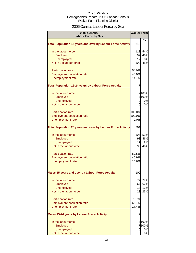## 2006 Census Labour Force by Sex

| 2006 Census<br><b>Labour Force by Sex</b>                          | <b>Walker Farm</b> |         |
|--------------------------------------------------------------------|--------------------|---------|
|                                                                    |                    | %       |
| <b>Total Population 15 years and over by Labour Force Activity</b> | 210                |         |
| In the labour force                                                | 113                | 54%     |
| Employed                                                           | 97                 | 46%     |
| <b>Unemployed</b>                                                  | 17                 | 8%      |
| Not in the labour force                                            | 100                | 48%     |
| Participation rate                                                 | 54.0%              |         |
| Employment-population ratio                                        | 46.0%              |         |
| Unemployment rate                                                  | 14.7%              |         |
| <b>Total Population 15-24 years by Labour Force Activity</b>       | 7                  |         |
| In the labour force                                                |                    | 7100%   |
| Employed                                                           |                    | 7100%   |
| <b>Unemployed</b>                                                  | 0                  | 0%      |
| Not in the labour force                                            | 0                  | 0%      |
| Participation rate                                                 | 100.0%             |         |
| Employment-population ratio                                        | 100.0%             |         |
| Unemployment rate                                                  | 0.0%               |         |
| <b>Total Population 25 years and over by Labour Force Activity</b> | 204                |         |
| In the labour force                                                |                    | 107 52% |
| Employed                                                           | 93                 | 46%     |
| <b>Unemployed</b>                                                  | 17                 | 8%      |
| Not in the labour force                                            | 93                 | 46%     |
| Participation rate                                                 | 52.5%              |         |
| <b>Employment-population ratio</b>                                 | 45.9%              |         |
| Unemployment rate                                                  | 15.6%              |         |
| Males 15 years and over by Labour Force Activity                   | 100                |         |
| In the labour force                                                | 77                 | 77%     |
| Employed                                                           | 67                 | 67%     |
| <b>Unemployed</b>                                                  | 13                 | 13%     |
| Not in the labour force                                            | 23                 | 23%     |
| Participation rate                                                 | 76.7%              |         |
| Employment-population ratio                                        | 66.7%              |         |
| Unemployment rate                                                  | 17.4%              |         |
| <b>Males 15-24 years by Labour Force Activity</b>                  | 7                  |         |
| In the labour force                                                |                    | 7100%   |
| Employed                                                           |                    | 7 100%  |
| <b>Unemployed</b>                                                  | 0                  | 0%      |
| Not in the labour force                                            | 0                  | $0\%$   |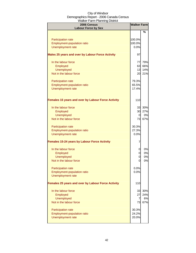| 2006 Census<br><b>Labour Force by Sex</b>                 | <b>Walker Farm</b> |     |
|-----------------------------------------------------------|--------------------|-----|
|                                                           |                    | %   |
|                                                           |                    |     |
| Participation rate                                        | 100.0%             |     |
| Employment-population ratio<br>Unemployment rate          | 100.0%<br>0.0%     |     |
|                                                           |                    |     |
| Males 25 years and over by Labour Force Activity          | 97                 |     |
| In the labour force                                       | 77                 | 79% |
| Employed                                                  | 63                 | 66% |
| <b>Unemployed</b>                                         | 13                 | 14% |
| Not in the labour force                                   | 20                 | 21% |
| Participation rate                                        | 79.3%              |     |
| <b>Employment-population ratio</b>                        | 65.5%              |     |
| Unemployment rate                                         | 17.4%              |     |
|                                                           |                    |     |
| <b>Females 15 years and over by Labour Force Activity</b> | 110                |     |
| In the labour force                                       | 33                 | 30% |
| Employed                                                  | 30                 | 27% |
| <b>Unemployed</b>                                         | 0                  | 0%  |
| Not in the labour force                                   | 73                 | 67% |
| Participation rate                                        | 30.3%              |     |
| Employment-population ratio                               | 27.3%              |     |
| <b>Unemployment rate</b>                                  | 0.0%               |     |
| <b>Females 15-24 years by Labour Force Activity</b>       | 7                  |     |
| In the labour force                                       | 0                  | 0%  |
| Employed                                                  | 0                  | 0%  |
| <b>Unemployed</b>                                         | 0                  | 0%  |
| Not in the labour force                                   | 0                  | 0%  |
| Participation rate                                        | 0.0%               |     |
| <b>Employment-population ratio</b>                        | 0.0%               |     |
| Unemployment rate                                         |                    |     |
| <b>Females 25 years and over by Labour Force Activity</b> | 110                |     |
| In the labour force                                       | 33                 | 30% |
| Employed                                                  | 27                 | 24% |
| Unemployed                                                | $\overline{7}$     | 6%  |
| Not in the labour force                                   | 73                 | 67% |
| Participation rate                                        | 30.3%              |     |
| Employment-population ratio                               | 24.2%              |     |
| Unemployment rate                                         | 20.0%              |     |
|                                                           |                    |     |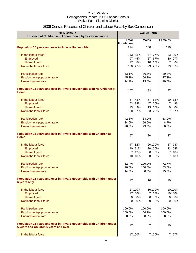## 2006 Census Presence of Children and Labour Force by Sex Comparison

| 2006 Census<br>Presence of Children and Labour Force by Sex Comparison                                          | <b>Walker Farm</b>           |        |              |         |                |         |
|-----------------------------------------------------------------------------------------------------------------|------------------------------|--------|--------------|---------|----------------|---------|
|                                                                                                                 | $\overline{\mathsf{T}}$ otal |        | <b>Males</b> |         | <b>Females</b> |         |
|                                                                                                                 | Population                   |        |              |         |                |         |
| <b>Population 15 years and over in Private Households</b>                                                       | 214                          |        | 100          |         | 110            |         |
| In the labour force                                                                                             | 113                          | 53%    | 77           | 77%     | 33             | 30%     |
| Employed                                                                                                        | 97                           | 45%    | 67           | 67%     | 30             | 27%     |
| Unemployed                                                                                                      | 17                           | 8%     | 10           | 10%     | 7              | 6%      |
| Not in the labour force                                                                                         | 100                          | 47%    | 23           | 23%     | 73             | 67%     |
| <b>Participation rate</b>                                                                                       | 53.1%                        |        | 76.7%        |         | 30.3%          |         |
| Employment-population ratio                                                                                     | 45.3%                        |        | 66.7%        |         | 27.3%          |         |
| Unemployment rate                                                                                               | 14.7%                        |        | 13.0%        |         | 20.0%          |         |
| Population 15 years and over in Private Households with No Children at<br><b>Home</b>                           | 157                          |        | 83           |         | 77             |         |
| In the labour force                                                                                             | 67                           | 43%    | 57           | 68%     | 10             | 13%     |
| Employed                                                                                                        | 53                           | 34%    | 47           | 56%     | 7              | 9%      |
| <b>Unemployed</b>                                                                                               | 13                           | 9%     | 13           | 16%     | $\overline{0}$ | 0%      |
| Not in the labour force                                                                                         | 90                           | 57%    | 23           | 28%     | 67             | 87%     |
| Participation rate                                                                                              | 42.6%                        |        | 68.0%        |         | 13.0%          |         |
| Employment-population ratio                                                                                     | 34.0%                        |        | 56.0%        |         | 8.7%           |         |
| Unemployment rate                                                                                               | 20.0%                        |        | 23.5%        |         | 0.0%           |         |
| Population 15 years and over in Private Households with Children at<br><b>Home</b>                              | 57                           |        | 20           |         | 37             |         |
| In the labour force                                                                                             | 47                           | 82%    |              | 20 100% | 27             | 73%     |
| Employed                                                                                                        | 40                           | 71%    |              | 20 100% | 23             | 64%     |
| <b>Unemployed</b>                                                                                               | 7                            | 12%    | 0            | 0%      | 7              | 18%     |
| Not in the labour force                                                                                         | 10                           | 18%    | $\Omega$     | 0%      | 7              | 18%     |
| <b>Participation rate</b>                                                                                       | 82.4%                        |        | 100.0%       |         | 72.7%          |         |
| <b>Employment-population ratio</b>                                                                              | 70.6%                        |        | 100.0%       |         | 63.6%          |         |
| Unemployment rate                                                                                               | 14.3%                        |        | 0.0%         |         | 25.0%          |         |
| Population 15 years and over in Private Households with Children under<br><b>6 years only</b>                   | 17                           |        | 10           |         | 10             |         |
| In the labour force                                                                                             |                              | 17100% |              | 10 100% |                | 10100%  |
| Employed                                                                                                        |                              | 17100% | 7            | 67%     |                | 10 100% |
| <b>Unemployed</b>                                                                                               | $\mathbf 0$                  | 0%     | 0            | 0%      | $\overline{0}$ | 0%      |
| Not in the labour force                                                                                         | 0                            | 0%     | 0l           | 0%      | $\Omega$       | 0%      |
| Participation rate                                                                                              | 100.0%                       |        | 100.0%       |         | 100.0%         |         |
| Employment-population ratio                                                                                     | 100.0%                       |        | 66.7%        |         | 100.0%         |         |
| Unemployment rate                                                                                               | 0.0%                         |        | 0.0%         |         | 0.0%           |         |
| Population 15 years and over in Private Households with Children under<br>6 years and Children 6 years and over | 17                           |        |              |         | 10             |         |
| In the labour force                                                                                             |                              | 17100% |              | 7 100%  | 7              | 67%     |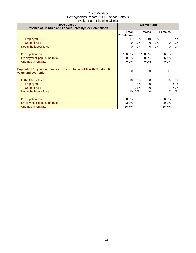| 2006 Census                                                                               | <b>Walker Farm</b>         |         |              |        |         |     |
|-------------------------------------------------------------------------------------------|----------------------------|---------|--------------|--------|---------|-----|
| Presence of Children and Labour Force by Sex Comparison                                   | Total<br><b>Population</b> |         | <b>Males</b> |        | Females |     |
| Employed                                                                                  |                            | 17 100% |              | 10150% |         | 67% |
| <b>Unemployed</b>                                                                         |                            | 0%      | 0            | 0%     |         | 0%  |
| Not in the labour force                                                                   |                            | 0%      | $\Omega$     | 0%     |         | 0%  |
| Participation rate                                                                        | 100.0%                     |         | 100.0%       |        | 66.7%   |     |
| Employment-population ratio                                                               | 100.0%                     |         | 150.0%       |        | 66.7%   |     |
| Unemployment rate                                                                         | 0.0%                       |         | 0.0%         |        | 0.0%    |     |
| Population 15 years and over in Private Households with Children 6<br>years and over only | 20                         |         |              |        | 17      |     |
| In the labour force                                                                       | 10                         | 50%     | 0            |        | 10      | 60% |
| Employed                                                                                  |                            | 33%     | $\Omega$     |        |         | 40% |
| <b>Unemployed</b>                                                                         |                            | 33%     | 0            |        |         | 40% |
| Not in the labour force                                                                   | 10                         | 50%     | ∩            |        |         | 40% |
| Participation rate                                                                        | 50.0%                      |         |              |        | 60.0%   |     |
| Employment-population ratio                                                               | 33.3%                      |         |              |        | 40.0%   |     |
| Unemployment rate                                                                         | 66.7%                      |         |              |        | 66.7%   |     |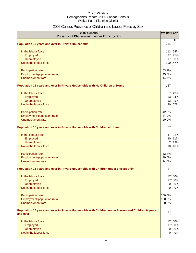## 2006 Census Presence of Children and Labour Force by Sex

| 2006 Census<br>Presence of Children and Labour Force by Sex                                         | <b>Walker Farm</b> |           |
|-----------------------------------------------------------------------------------------------------|--------------------|-----------|
| <b>Population 15 years and over in Private Households</b>                                           | 214                | %         |
|                                                                                                     |                    |           |
| In the labour force                                                                                 | 113                | 53%       |
| Employed                                                                                            | 97<br>17           | 45%       |
| Unemployed<br>Not in the labour force                                                               | 100                | 8%<br>47% |
|                                                                                                     |                    |           |
| Participation rate                                                                                  | 53.1%              |           |
| Employment-population ratio                                                                         | 45.3%              |           |
| Unemployment rate                                                                                   | 14.7%              |           |
| Population 15 years and over in Private Households with No Children at Home                         | 157                |           |
| In the labour force                                                                                 | 67                 | 43%       |
| Employed                                                                                            | 53                 | 34%       |
| <b>Unemployed</b>                                                                                   | 13                 | 9%        |
| Not in the labour force                                                                             | 90                 | 57%       |
| Participation rate                                                                                  | 42.6%              |           |
| Employment-population ratio                                                                         | 34.0%              |           |
| Unemployment rate                                                                                   | 20.0%              |           |
| Population 15 years and over in Private Households with Children at Home                            | 57                 |           |
| In the labour force                                                                                 | 47                 | 82%       |
| Employed                                                                                            | 40                 | 71%       |
| Unemployed                                                                                          | $\overline{7}$     | 12%       |
| Not in the labour force                                                                             | 10                 | 18%       |
| Participation rate                                                                                  | 82.4%              |           |
| Employment-population ratio                                                                         | 70.6%              |           |
| Unemployment rate                                                                                   | 14.3%              |           |
| Population 15 years and over in Private Households with Children under 6 years only                 | 17                 |           |
| In the labour force                                                                                 |                    | 17 100%   |
| Employed                                                                                            |                    | 17100%    |
| Unemployed                                                                                          | $\overline{0}$     | 0%        |
| Not in the labour force                                                                             | $\Omega$           | 0%        |
| Participation rate                                                                                  | 100.0%             |           |
| Employment-population ratio                                                                         | 100.0%             |           |
| Unemployment rate                                                                                   | 0.0%               |           |
| Population 15 years and over in Private Households with Children under 6 years and Children 6 years |                    |           |
| and over                                                                                            | 17                 |           |
| In the labour force                                                                                 |                    | 17 100%   |
| Employed                                                                                            |                    | 17100%    |
| Unemployed                                                                                          | $\overline{0}$     | 0%        |
| Not in the labour force                                                                             | $\overline{0}$     | 0%        |
|                                                                                                     |                    |           |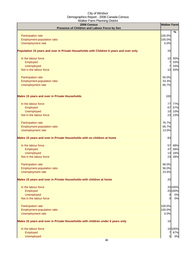| 2006 Census<br>Presence of Children and Labour Force by Sex                            | <b>Walker Farm</b> |         |
|----------------------------------------------------------------------------------------|--------------------|---------|
|                                                                                        |                    | %       |
| Participation rate                                                                     | 100.0%             |         |
| Employment-population ratio                                                            | 100.0%             |         |
| Unemployment rate                                                                      | 0.0%               |         |
| Population 15 years and over in Private Households with Children 6 years and over only | 20                 |         |
| In the labour force                                                                    | 10                 | 50%     |
| Employed                                                                               | 7                  | 33%     |
| Unemployed                                                                             | 7                  | 33%     |
| Not in the labour force                                                                |                    | 10 50%  |
| Participation rate                                                                     | 50.0%              |         |
| Employment-population ratio                                                            | 33.3%              |         |
| Unemployment rate                                                                      | 66.7%              |         |
| <b>Males 15 years and over in Private Households</b>                                   | 100                |         |
| In the labour force                                                                    | 77                 | 77%     |
| Employed                                                                               | 67                 | 67%     |
| Unemployed                                                                             | 10                 | 10%     |
| Not in the labour force                                                                | 23                 | 23%     |
| Participation rate                                                                     | 76.7%              |         |
| Employment-population ratio                                                            | 66.7%              |         |
| Unemployment rate                                                                      | 13.0%              |         |
| Males 15 years and over in Private Households with no children at home                 | 83                 |         |
| In the labour force                                                                    | 57                 | 68%     |
| Employed                                                                               | 47                 | 56%     |
| Unemployed                                                                             | 13                 | 16%     |
| Not in the labour force                                                                | 23                 | 28%     |
|                                                                                        |                    |         |
| <b>Participation rate</b>                                                              | 68.0%              |         |
| Employment-population ratio                                                            | 56.0%              |         |
| Unemployment rate                                                                      | 23.5%              |         |
| Males 15 years and over in Private Households with children at home                    | 20                 |         |
| In the labour force                                                                    |                    | 20 100% |
| Employed                                                                               |                    | 20 100% |
| Unemployed                                                                             | $\overline{0}$     | 0%      |
| Not in the labour force                                                                | $\overline{0}$     | 0%      |
| Participation rate                                                                     | 100.0%             |         |
| Employment-population ratio                                                            | 100.0%             |         |
| Unemployment rate                                                                      | 0.0%               |         |
| Males 15 years and over in Private Households with children under 6 years only         | 10                 |         |
| In the labour force                                                                    |                    | 10 100% |
| Employed                                                                               | 7                  | 67%     |
| Unemployed                                                                             | $\overline{0}$     | 0%      |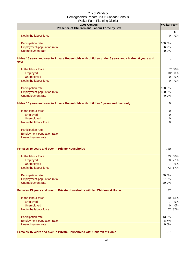| 2006 Census<br>Presence of Children and Labour Force by Sex                                                | <b>Walker Farm</b> |         |
|------------------------------------------------------------------------------------------------------------|--------------------|---------|
|                                                                                                            |                    | %       |
| Not in the labour force                                                                                    | $\overline{0}$     | 0%      |
|                                                                                                            |                    |         |
| Participation rate<br>Employment-population ratio                                                          | 100.0%<br>66.7%    |         |
| Unemployment rate                                                                                          | 0.0%               |         |
|                                                                                                            |                    |         |
| Males 15 years and over in Private Households with children under 6 years and children 6 years and<br>over | 7                  |         |
| In the labour force                                                                                        |                    | 7 100%  |
| Employed                                                                                                   |                    | 10 150% |
| <b>Unemployed</b>                                                                                          | $\overline{0}$     | 0%      |
| Not in the labour force                                                                                    | $\Omega$           | 0%      |
| Participation rate                                                                                         | 100.0%             |         |
| Employment-population ratio                                                                                | 150.0%             |         |
| Unemployment rate                                                                                          | 0.0%               |         |
| Males 15 years and over in Private Households with children 6 years and over only                          | 0                  |         |
|                                                                                                            |                    |         |
| In the labour force                                                                                        | 0                  |         |
| Employed                                                                                                   | 0                  |         |
| <b>Unemployed</b>                                                                                          | 0                  |         |
| Not in the labour force                                                                                    |                    |         |
| Participation rate                                                                                         |                    |         |
| <b>Employment-population ratio</b>                                                                         |                    |         |
| Unemployment rate                                                                                          |                    |         |
| Females 15 years and over in Private Households                                                            | 110                |         |
| In the labour force                                                                                        | 33                 | 30%     |
| Employed                                                                                                   | 30                 | 27%     |
| <b>Unemployed</b>                                                                                          | $\overline{7}$     | 6%      |
| Not in the labour force                                                                                    | 73                 | 67%     |
| Participation rate                                                                                         | 30.3%              |         |
| Employment-population ratio                                                                                | 27.3%              |         |
| Unemployment rate                                                                                          | 20.0%              |         |
| Females 15 years and over in Private Households with No Children at Home                                   | 77                 |         |
| In the labour force                                                                                        |                    | 10 13%  |
| Employed                                                                                                   | $\overline{7}$     | 9%      |
| <b>Unemployed</b>                                                                                          | $\overline{0}$     | 0%      |
| Not in the labour force                                                                                    | 67                 | 87%     |
| Participation rate                                                                                         | 13.0%              |         |
| Employment-population ratio                                                                                | 8.7%               |         |
| Unemployment rate                                                                                          | 0.0%               |         |
|                                                                                                            |                    |         |
| Females 15 years and over in Private Households with Children at Home                                      | 37                 |         |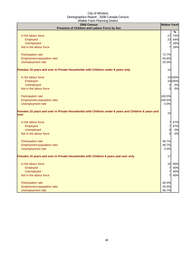| 2006 Census<br>Presence of Children and Labour Force by Sex                                                  | <b>Walker Farm</b> |         |
|--------------------------------------------------------------------------------------------------------------|--------------------|---------|
|                                                                                                              |                    | $\%$    |
| In the labour force                                                                                          | 27                 | 73%     |
| Employed                                                                                                     | 23                 | 64%     |
| <b>Unemployed</b>                                                                                            | $\overline{7}$     | 18%     |
| Not in the labour force                                                                                      | 7                  | 18%     |
| Participation rate                                                                                           | 72.7%              |         |
| Employment-population ratio                                                                                  | 63.6%              |         |
| Unemployment rate                                                                                            | 25.0%              |         |
| Females 15 years and over in Private Households with Children under 6 years only                             | 10                 |         |
| In the labour force                                                                                          |                    | 10 100% |
| Employed                                                                                                     |                    | 10100%  |
| <b>Unemployed</b>                                                                                            | $\overline{0}$     | 0%      |
| Not in the labour force                                                                                      | $\overline{0}$     | 0%      |
| Participation rate                                                                                           | 100.0%             |         |
| Employment-population ratio                                                                                  | 100.0%             |         |
| Unemployment rate                                                                                            | 0.0%               |         |
| Females 15 years and over in Private Households with Children under 6 years and Children 6 years and<br>over | 10                 |         |
| In the labour force                                                                                          | 7                  | 67%     |
| Employed                                                                                                     | $\overline{7}$     | 67%     |
| <b>Unemployed</b>                                                                                            | $\overline{0}$     | 0%      |
| Not in the labour force                                                                                      | $\Omega$           | 0%      |
| Participation rate                                                                                           | 66.7%              |         |
| Employment-population ratio                                                                                  | 66.7%              |         |
| Unemployment rate                                                                                            | 0.0%               |         |
| Females 15 years and over in Private Households with Children 6 years and over only                          | 17                 |         |
| In the labour force                                                                                          |                    | 10 60%  |
| Employed                                                                                                     | 7                  | 40%     |
| Unemployed                                                                                                   | 7                  | 40%     |
| Not in the labour force                                                                                      | 7                  | 40%     |
| Participation rate                                                                                           | 60.0%              |         |
| Employment-population ratio                                                                                  | 40.0%              |         |
| Unemployment rate                                                                                            | 66.7%              |         |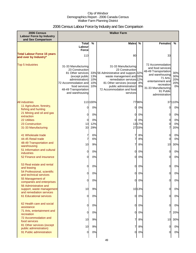## 2006 Census Labour Force by Industry and Sex Comparison

| 2006 Census<br><b>Labour Force by Industry</b><br>and Sex Comparison | <b>Walker Farm</b>                                                                                                                                                                   |                          |                                                                                                                                                                                                                                             |          |                                                                                                                                                                                       |                                |
|----------------------------------------------------------------------|--------------------------------------------------------------------------------------------------------------------------------------------------------------------------------------|--------------------------|---------------------------------------------------------------------------------------------------------------------------------------------------------------------------------------------------------------------------------------------|----------|---------------------------------------------------------------------------------------------------------------------------------------------------------------------------------------|--------------------------------|
|                                                                      | <b>Total</b>                                                                                                                                                                         | %                        | <b>Males</b>                                                                                                                                                                                                                                | $\%$     | <b>Females</b>                                                                                                                                                                        | %                              |
|                                                                      | Labour<br>Force                                                                                                                                                                      |                          |                                                                                                                                                                                                                                             |          |                                                                                                                                                                                       |                                |
| <b>Total Labour Force 15 years</b><br>and over by Industry*          | 113                                                                                                                                                                                  |                          | 80                                                                                                                                                                                                                                          |          | 33                                                                                                                                                                                    |                                |
| <b>Top 5 Industries</b>                                              | 31-33 Manufacturing<br>23 Construction<br>81 Other services<br>(except public<br>administration)<br>72 Accommodation and<br>food services<br>48-49 Transportation<br>and warehousing | 13%<br>10%<br>10%<br>10% | 31-33 Manufacturing<br>23 Construction<br>33% 56 Administrative and support, 32%<br>waste management and 16%<br>remediation services 12%<br>81 Other services (except 8%<br>public administration)<br>72 Accommodation and food<br>services | 8%       | 72 Accommodation<br>and food services<br>48-49 Transportation<br>and warehousing<br>71 Arts.<br>entertainment and<br>recreation<br>31-33 Manufacturing<br>91 Public<br>administration | 30%<br>30%<br>20%<br>20%<br>0% |
| <b>All industries</b>                                                |                                                                                                                                                                                      | 113 100%                 |                                                                                                                                                                                                                                             | 7796%    |                                                                                                                                                                                       | 37110%                         |
| 11 Agriculture, forestry,<br>fishing and hunting                     | U                                                                                                                                                                                    | 0%                       | $\Omega$                                                                                                                                                                                                                                    | 0%       | 0                                                                                                                                                                                     | 0%                             |
| 21 Mining and oil and gas<br>extraction                              | 0                                                                                                                                                                                    | 0%                       | 0                                                                                                                                                                                                                                           | 0%       | 0                                                                                                                                                                                     | 0%                             |
| <b>22 Utilities</b>                                                  | 0                                                                                                                                                                                    | 0%                       | $\Omega$                                                                                                                                                                                                                                    | 0%       | 0                                                                                                                                                                                     | 0%                             |
| 23 Construction                                                      | 13                                                                                                                                                                                   | 12%                      |                                                                                                                                                                                                                                             | 1317%    | 0                                                                                                                                                                                     | 0%                             |
| 31-33 Manufacturing                                                  | 33                                                                                                                                                                                   | 29%                      |                                                                                                                                                                                                                                             | 2733%    | 7                                                                                                                                                                                     | 20%                            |
| 41 Wholesale trade<br>44-45 Retail trade                             | 7                                                                                                                                                                                    | 6%<br>6%                 |                                                                                                                                                                                                                                             | 8%<br>8% | 0<br>$\overline{0}$                                                                                                                                                                   | 0%<br>0%                       |
| 48-49 Transportation and<br>warehousing                              | 10                                                                                                                                                                                   | 9%                       |                                                                                                                                                                                                                                             | 8%       | 10                                                                                                                                                                                    | 30%                            |
| 51 Information and cultural<br><b>industries</b>                     | $\Omega$                                                                                                                                                                             | 0%                       | $\Omega$                                                                                                                                                                                                                                    | 0%       | 0                                                                                                                                                                                     | 0%                             |
| 52 Finance and insurance                                             | 0                                                                                                                                                                                    | 0%                       | $\Omega$                                                                                                                                                                                                                                    | 0%       | 0                                                                                                                                                                                     | 0%                             |
| 53 Real estate and rental<br>and leasing                             | 0                                                                                                                                                                                    | 0%                       | $\Omega$                                                                                                                                                                                                                                    | 0%       | 0                                                                                                                                                                                     | 0%                             |
| 54 Professional, scientific<br>and technical services                |                                                                                                                                                                                      | 0%                       | $\overline{0}$                                                                                                                                                                                                                              | 0%       | 0                                                                                                                                                                                     | 0%                             |
| 55 Management of<br>companies and enterprises                        | 0                                                                                                                                                                                    | 0%                       | $\Omega$                                                                                                                                                                                                                                    | 0%       | 0                                                                                                                                                                                     | 0%                             |
| 56 Administrative and<br>support, waste management                   | 10                                                                                                                                                                                   | 9%                       |                                                                                                                                                                                                                                             | 1013%    | 0                                                                                                                                                                                     | 0%                             |
| and remediation services<br><b>61 Educational services</b>           | 0                                                                                                                                                                                    | 0%                       | $\overline{0}$                                                                                                                                                                                                                              | 0%       | 0                                                                                                                                                                                     | 0%                             |
|                                                                      |                                                                                                                                                                                      |                          |                                                                                                                                                                                                                                             |          |                                                                                                                                                                                       |                                |
| 62 Health care and social<br>assistance                              | 0                                                                                                                                                                                    | 0%                       | $\overline{0}$                                                                                                                                                                                                                              | 0%       | 0                                                                                                                                                                                     | 0%                             |
| 71 Arts, entertainment and<br>recreation                             | 0                                                                                                                                                                                    | 0%                       | $\Omega$                                                                                                                                                                                                                                    | 0%       | 7                                                                                                                                                                                     | 20%                            |
| 72 Accommodation and<br>food services                                | 10                                                                                                                                                                                   | 9%                       |                                                                                                                                                                                                                                             | 8%       | 10                                                                                                                                                                                    | 30%                            |
| 81 Other services (except<br>public administration)                  | 10                                                                                                                                                                                   | 9%                       | 7                                                                                                                                                                                                                                           | 8%       | $\overline{0}$                                                                                                                                                                        | 0%                             |
| 91 Public administration                                             | 0                                                                                                                                                                                    | 0%                       | 0                                                                                                                                                                                                                                           | 0%       | 0                                                                                                                                                                                     | 0%                             |
|                                                                      |                                                                                                                                                                                      |                          |                                                                                                                                                                                                                                             |          |                                                                                                                                                                                       |                                |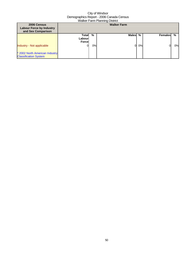| 2006 Census<br><b>Labour Force by Industry</b><br>and Sex Comparison |                                   |    | <b>Walker Farm</b> |    |                |    |
|----------------------------------------------------------------------|-----------------------------------|----|--------------------|----|----------------|----|
|                                                                      | Total<br>Labourl<br><b>Forcel</b> | %  | Males %            |    | <b>Females</b> | %  |
| <b>Industry - Not applicable</b>                                     | OI                                | 0% |                    | 0% |                | 0% |
| * 2002 North American Industry<br><b>Classification System</b>       |                                   |    |                    |    |                |    |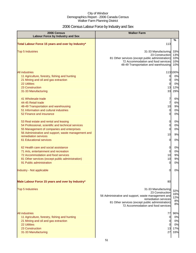## 2006 Census Labour Force by Industry and Sex

| 2006 Census<br><b>Labour Force by Industry and Sex</b>                                                                                                                                                                                              | <b>Walker Farm</b>                                                                                                                                                                                              |                                          |
|-----------------------------------------------------------------------------------------------------------------------------------------------------------------------------------------------------------------------------------------------------|-----------------------------------------------------------------------------------------------------------------------------------------------------------------------------------------------------------------|------------------------------------------|
| Total Labour Force 15 years and over by Industry*                                                                                                                                                                                                   | 113                                                                                                                                                                                                             | %                                        |
| <b>Top 5 Industries</b>                                                                                                                                                                                                                             | 31-33 Manufacturing<br>23 Construction<br>81 Other services (except public administration)<br>72 Accommodation and food services<br>48-49 Transportation and warehousing                                        | 33%<br>13%<br>10%<br>10%<br>10%          |
| <b>All industries</b><br>11 Agriculture, forestry, fishing and hunting<br>21 Mining and oil and gas extraction<br><b>22 Utilities</b><br>23 Construction<br>31-33 Manufacturing                                                                     | 0<br>0<br>0<br>13<br>33                                                                                                                                                                                         | 113 100%<br>0%<br>0%<br>0%<br>12%<br>29% |
| 41 Wholesale trade<br>44-45 Retail trade<br>48-49 Transportation and warehousing<br>51 Information and cultural industries<br>52 Finance and insurance                                                                                              | 7<br>7<br>10<br>$\overline{0}$<br>0                                                                                                                                                                             | 6%<br>6%<br>9%<br>0%<br>0%               |
| 53 Real estate and rental and leasing<br>54 Professional, scientific and technical services<br>55 Management of companies and enterprises<br>56 Administrative and support, waste management and<br>remediation services<br>61 Educational services | 0<br>0<br>0<br>10<br>0                                                                                                                                                                                          | 0%<br>0%<br>0%<br>9%<br>0%               |
| 62 Health care and social assistance<br>71 Arts, entertainment and recreation<br>72 Accommodation and food services<br>81 Other services (except public administration)<br>91 Public administration                                                 | 0<br>0<br>10<br>10<br>0                                                                                                                                                                                         | 0%<br>0%<br>9%<br>9%<br>0%               |
| Industry - Not applicable                                                                                                                                                                                                                           | 0                                                                                                                                                                                                               | 0%                                       |
| Male Labour Force 15 years and over by Industry*                                                                                                                                                                                                    | 80                                                                                                                                                                                                              |                                          |
| <b>Top 5 Industries</b>                                                                                                                                                                                                                             | 31-33 Manufacturing<br>23 Construction<br>56 Administrative and support, waste management and<br>remediation services<br>81 Other services (except public administration)<br>72 Accommodation and food services | 32%<br>16%<br>12%<br>8%<br>8%            |
| <b>All industries</b><br>11 Agriculture, forestry, fishing and hunting<br>21 Mining and oil and gas extraction<br>22 Utilities<br>23 Construction<br>31-33 Manufacturing                                                                            | 77<br>0<br>0<br>0<br>13<br>27                                                                                                                                                                                   | 96%<br>0%<br>0%<br>0%<br>17%<br>33%      |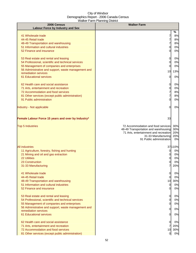| 2006 Census<br><b>Labour Force by Industry and Sex</b>                                           | <b>Walker Farm</b>                                                                                                                                                                                 |          |
|--------------------------------------------------------------------------------------------------|----------------------------------------------------------------------------------------------------------------------------------------------------------------------------------------------------|----------|
|                                                                                                  | %                                                                                                                                                                                                  |          |
| 41 Wholesale trade<br>44-45 Retail trade                                                         | 7<br>7                                                                                                                                                                                             | 8%<br>8% |
| 48-49 Transportation and warehousing                                                             | 7                                                                                                                                                                                                  | 8%       |
| 51 Information and cultural industries                                                           | 0                                                                                                                                                                                                  | 0%       |
| 52 Finance and insurance                                                                         | <sup>O</sup>                                                                                                                                                                                       | 0%       |
| 53 Real estate and rental and leasing                                                            | $\overline{0}$                                                                                                                                                                                     | 0%       |
| 54 Professional, scientific and technical services                                               | $\overline{0}$                                                                                                                                                                                     | 0%       |
| 55 Management of companies and enterprises                                                       | 0                                                                                                                                                                                                  | 0%       |
| 56 Administrative and support, waste management and<br>remediation services                      | 13%<br>10                                                                                                                                                                                          |          |
| 61 Educational services                                                                          | 0                                                                                                                                                                                                  | 0%       |
| 62 Health care and social assistance                                                             | 0                                                                                                                                                                                                  | 0%       |
| 71 Arts, entertainment and recreation                                                            | 0                                                                                                                                                                                                  | 0%       |
| 72 Accommodation and food services                                                               | 7                                                                                                                                                                                                  | 8%       |
| 81 Other services (except public administration)<br>91 Public administration                     | 7<br><sub>0</sub>                                                                                                                                                                                  | 8%<br>0% |
|                                                                                                  |                                                                                                                                                                                                    |          |
| Industry - Not applicable                                                                        | 0                                                                                                                                                                                                  | 0%       |
| Female Labour Force 15 years and over by Industry*                                               | 33                                                                                                                                                                                                 |          |
| <b>Top 5 Industries</b>                                                                          | 30%<br>72 Accommodation and food services<br>48-49 Transportation and warehousing<br>30%<br>71 Arts, entertainment and recreation<br>20%<br>31-33 Manufacturing<br>20%<br>91 Public administration | 0%       |
| <b>All industries</b>                                                                            | 37110%                                                                                                                                                                                             |          |
| 11 Agriculture, forestry, fishing and hunting                                                    | 01                                                                                                                                                                                                 | 0%       |
| 21 Mining and oil and gas extraction                                                             | 0l                                                                                                                                                                                                 | 0%       |
| <b>22 Utilities</b>                                                                              | 0l                                                                                                                                                                                                 | 0%       |
| 23 Construction                                                                                  | $\overline{0}$                                                                                                                                                                                     | 0%       |
| 31-33 Manufacturing                                                                              | 20%                                                                                                                                                                                                |          |
| 41 Wholesale trade                                                                               | $\overline{0}$                                                                                                                                                                                     | 0%       |
| 44-45 Retail trade                                                                               | $\overline{0}$                                                                                                                                                                                     | 0%       |
| 48-49 Transportation and warehousing                                                             | 30%<br>10                                                                                                                                                                                          |          |
| 51 Information and cultural industries<br>52 Finance and insurance                               | $\overline{0}$<br><sub>0</sub>                                                                                                                                                                     | 0%<br>0% |
|                                                                                                  |                                                                                                                                                                                                    |          |
| 53 Real estate and rental and leasing                                                            | $\overline{0}$                                                                                                                                                                                     | 0%       |
| 54 Professional, scientific and technical services<br>55 Management of companies and enterprises | $\overline{0}$<br>0                                                                                                                                                                                | 0%<br>0% |
| 56 Administrative and support, waste management and                                              |                                                                                                                                                                                                    |          |
| remediation services                                                                             | 0                                                                                                                                                                                                  | 0%       |
| 61 Educational services                                                                          | 0                                                                                                                                                                                                  | 0%       |
| 62 Health care and social assistance                                                             | 0                                                                                                                                                                                                  | 0%       |
| 71 Arts, entertainment and recreation                                                            | 20%                                                                                                                                                                                                |          |
| 72 Accommodation and food services<br>81 Other services (except public administration)           | 10<br>30%<br>$\overline{0}$                                                                                                                                                                        | 0%       |
|                                                                                                  |                                                                                                                                                                                                    |          |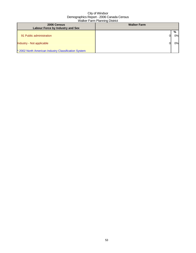| 2006 Census                                          | <b>Walker Farm</b> |    |
|------------------------------------------------------|--------------------|----|
| <b>Labour Force by Industry and Sex</b>              |                    |    |
|                                                      |                    | %  |
| 91 Public administration                             | OI                 | 0% |
| Industry - Not applicable                            |                    | 0% |
| * 2002 North American Industry Classification System |                    |    |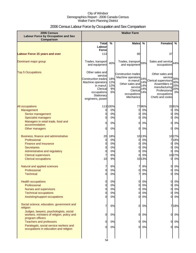## 2006 Census Labour Force by Occupation and Sex Comparison

| 2006 Census<br><b>Labour Force by Occupation and Sex</b><br>Comparison               | <b>Walker Farm</b>                 |            |                                                 |        |                                      |            |
|--------------------------------------------------------------------------------------|------------------------------------|------------|-------------------------------------------------|--------|--------------------------------------|------------|
|                                                                                      | <b>Total</b>                       | $\%$       | <b>Males</b>                                    | %      | <b>Females</b>                       | %          |
|                                                                                      | Labour                             |            |                                                 |        |                                      |            |
|                                                                                      | <b>Force</b>                       |            |                                                 |        |                                      |            |
| <b>Labour Force 15 years and over</b>                                                | 113                                |            | 80                                              |        | 37                                   |            |
| Dominant major group                                                                 | Trades, transport<br>and equipment | 40%        | Trades, transport 59%<br>and equipment          |        | Sales and service 44%<br>occupations |            |
| <b>Top 5 Occupations</b>                                                             | Other sales and                    |            |                                                 |        | Other sales and                      |            |
|                                                                                      | service                            |            | <b>Construction trades</b><br>Machine operators |        | service                              |            |
|                                                                                      | <b>Construction trades</b>         | 18%        | in manuf                                        | 24%    | Clerical supervisors                 | 30%        |
|                                                                                      | Machine operators                  | 12%<br>12% | Other sales and 14%                             | 14%    | Assemblers in                        | 30%<br>20% |
|                                                                                      | in manuf.<br>Clerical              | 9%         | service                                         | 14%    | manufacturing                        | 20%        |
|                                                                                      | occupations                        | 6%         | Clerical                                        | 14%    | Professional                         | 0%         |
|                                                                                      | Stationary                         |            | occupations<br>Mechanics                        |        | occupations<br>Chefs and cooks       |            |
|                                                                                      | engineers, power                   |            |                                                 |        |                                      |            |
| All occupations                                                                      |                                    | 113 100%   |                                                 | 7796%  | 3391%                                |            |
| Management                                                                           | 0                                  | 0%         | 0                                               | 0%     | 0                                    | 0%         |
| Senior management                                                                    | $\overline{0}$                     | 0%         | $\overline{0}$                                  | 0%     | 0                                    | 0%         |
| <b>Specialist managers</b>                                                           | $\Omega$                           | 0%         | $\overline{0}$                                  | 0%     | 0                                    | 0%         |
| Managers in retail trade, food and                                                   | 0                                  | 0%         | $\overline{0}$                                  | 0%     | 0                                    | 0%         |
| accommodation                                                                        |                                    |            |                                                 |        |                                      |            |
| Other managers                                                                       | 0                                  | 0%         | 0l                                              | 0%     | 0                                    | 0%         |
| Business, finance and administrative                                                 | 20                                 | 18%        |                                                 | 10 13% | 1027%                                |            |
| Professional                                                                         | 0                                  | 0%         | 01                                              | 0%     | 718%                                 |            |
| <b>Finance and insurance</b>                                                         | 0                                  | 0%         | $\overline{0}$                                  | 0%     | 0                                    | 0%         |
| <b>Secretaries</b>                                                                   | 0                                  | 0%         | $\overline{0}$                                  | 0%     | 0                                    | 0%         |
| Administrative and regulatory                                                        | 0                                  | 0%         | 0                                               | 0%     | 0                                    | 0%         |
| <b>Clerical supervisors</b>                                                          | $\overline{7}$                     | 6%         | $\Omega$                                        | 0%     | 1027%                                |            |
| <b>Clerical occupations</b>                                                          | 10                                 | 9%         |                                                 | 10 13% | 0                                    | 0%         |
| Natural and applied sciences                                                         | 7                                  | 6%         | 7                                               | 8%     | 0                                    | 0%         |
| Professional                                                                         | $\mathbf 0$                        | 0%         | 0                                               | 0%     | 0                                    | 0%         |
| <b>Technical</b>                                                                     | $\overline{0}$                     | 0%         | 71                                              | 8%     | 0                                    | 0%         |
| <b>Health occupations</b>                                                            | $\overline{0}$                     | 0%         | $\overline{O}$                                  | 0%     | 0                                    | 0%         |
| Professional                                                                         | $\overline{0}$                     | 0%         | $\overline{O}$                                  | 0%     | 0                                    | 0%         |
| <b>Nurses and supervisors</b>                                                        | $\mathbf 0$                        | 0%         | 0                                               | 0%     | 0                                    | 0%         |
| <b>Technical occupations</b>                                                         | $\overline{0}$                     | 0%         | 0                                               | 0%     |                                      | 0%         |
| Assisting/support occupations                                                        | $\Omega$                           | 0%         | 0l                                              | 0%     |                                      | 0%         |
| Social science, education, government and<br>religion                                | 7                                  | 6%         | $\mathbf{0}$                                    | 0%     | 718%                                 |            |
| Judges, lawyers, psychologists, social<br>workers, ministers of religion, policy and | 0                                  | 0%         | $\overline{O}$                                  | 0%     | 0                                    | 0%         |
| program officers<br><b>Teachers and professors</b>                                   | 0                                  | 0%         | $\overline{0}$                                  | 0%     | 0                                    | 0%         |
| Paralegals, social service workers and                                               |                                    |            |                                                 |        |                                      |            |
| occupations in education and religion                                                | $\Omega$                           | 0%         | $\overline{0}$                                  | 0%     | 0                                    | 0%         |
|                                                                                      |                                    |            |                                                 |        |                                      |            |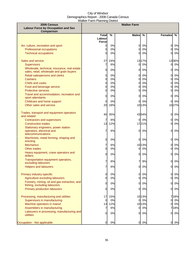| 2006 Census<br><b>Labour Force by Occupation and Sex</b><br>Comparison                 |                        |          | <b>Walker Farm</b>               |               |                      |
|----------------------------------------------------------------------------------------|------------------------|----------|----------------------------------|---------------|----------------------|
|                                                                                        | <b>Total</b>           | %        | <b>Males</b>                     | $\frac{0}{0}$ | <b>Females</b><br>%  |
|                                                                                        | Labour<br><b>Force</b> |          |                                  |               |                      |
| Art, culture, recreation and sport                                                     | 0                      | 0%       | $\overline{0}$                   | 0%            | 0%<br>0              |
| Professional occupations                                                               | 0                      | 0%       | $\Omega$                         | 0%            | 0%<br><sub>O</sub>   |
| <b>Technical occupations</b>                                                           | O                      | 0%       | $\Omega$                         | 0%            | 0%<br><sub>O</sub>   |
| Sales and service                                                                      | 27                     | 24%      |                                  | 1317%         | 1336%                |
| <b>Supervisors</b><br>Wholesale, technical, insurance, real estate                     | 7                      | 6%       | $\overline{0}$                   | 0%            | 0%<br>0              |
| sales, retail, wholesale and grain buyers                                              | $\overline{0}$         | 0%       | $\overline{0}$                   | 0%            | <sub>O</sub><br>0%   |
| Retail salespersons and clerks<br><b>Cashiers</b>                                      | $\overline{0}$<br>0    | 0%<br>0% | $\overline{0}$<br>$\overline{0}$ | 0%<br>0%      | 0<br>0%<br>0%<br>0   |
| <b>Chefs and cooks</b>                                                                 | 0                      | 0%       | 0                                | 0%            | 0%<br>0              |
| Food and beverage service                                                              | 0                      | 0%       | 0                                | 0%            | 0%<br>0              |
| <b>Protective services</b>                                                             | 0                      | 0%       | 0                                | 0%            | 0%<br>0              |
| Travel and accommodation, recreation and<br>sport attendants                           | $\overline{0}$         | 0%       | $\overline{0}$                   | 0%            | 0<br>0%              |
| Childcare and home support                                                             | 0                      | 0%       | $\overline{0}$                   | 0%            | 0%<br>0l             |
| Other sales and service                                                                | 20                     | 18%      |                                  | 1013%         | 1027%                |
| Trades, transport and equipment operators<br>and related                               | 40                     | 35%      |                                  | 4354%         | 0<br>0%              |
| <b>Contractors and supervisors</b>                                                     | $\overline{7}$         | 6%       | $\overline{0}$                   | 0%            | $\overline{O}$<br>0% |
| <b>Construction trades</b>                                                             | 13                     | 12%      |                                  | 1721%         | 0%<br><sub>O</sub>   |
| Stationary engineers, power station<br>operators, electrical and<br>telecommunications | 7                      | 6%       | $\overline{0}$                   | 0%            | 0%<br>0              |
| Machinists, metal forming, shaping and<br>erecting                                     | 0                      | 0%       | $\overline{0}$                   | 0%            | $\overline{0}$<br>0% |
| <b>Mechanics</b>                                                                       | 7                      | 6%       |                                  | 1013%         | <sub>0</sub><br>0%   |
| <b>Other trades</b>                                                                    | $\overline{0}$         | 0%       | $\overline{0}$                   | 0%            | 0%<br><sub>O</sub>   |
| Heavy equipment, crane operators and<br>drillers                                       | 0                      | 0%       | $\overline{0}$                   | 0%            | 0<br>0%              |
| Transportation equipment operators,<br>excluding labourers                             | 7                      | 6%       | 7                                | 8%            | 0<br>0%              |
| <b>Helpers and labourers</b>                                                           | 7                      | 6%       | $\overline{0}$                   | 0%            | $\mathbf{0}$<br>0%   |
| Primary industry-specific                                                              | 0                      | 0%       | $\overline{0}$                   | 0%            | $\overline{0}$<br>0% |
| Agriculture excluding labourers                                                        | 0                      | 0%       | $\overline{0}$                   | 0%            | 0%<br><sub>0</sub>   |
| Forestry, mining, oil and gas extraction, and                                          | $\overline{0}$         | 0%       | $\overline{0}$                   | 0%            | <sub>0</sub><br>0%   |
| fishing, excluding labourers<br>Primary production labourers                           | $\Omega$               | 0%       | $\overline{0}$                   | 0%            | $\mathsf{d}$<br>0%   |
| Processing, manufacturing and utilities                                                | 17                     | 15%      |                                  | 1013%         | 718%                 |
| Supervisors in manufacturing                                                           | 0                      | 0%       | $\overline{0}$                   | 0%            | 0%<br><sub>0</sub>   |
| Machine operators in manuf.                                                            | 13                     | 12%      |                                  | 1013%         | 0%<br>0              |
| Assemblers in manufacturing                                                            | 7                      | 6%       | $\overline{0}$                   | 0%            | 718%                 |
| Labourers in processing, manufacturing and<br>utilities                                | 0                      | 0%       | $\overline{0}$                   | 0%            | 0%<br><sub>0</sub>   |
| Occupation - Not applicable                                                            | <sub>0</sub>           | 0%       | $\overline{0}$                   | 0%            | <sub>0</sub><br>0%   |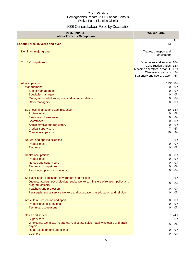## 2006 Census Labour Force by Occupation

| 2006 Census<br><b>Labour Force by Occupation</b>                                                                                                                                                                                                                              | <b>Walker Farm</b>                                                                                                                          |                                         |
|-------------------------------------------------------------------------------------------------------------------------------------------------------------------------------------------------------------------------------------------------------------------------------|---------------------------------------------------------------------------------------------------------------------------------------------|-----------------------------------------|
| <b>Labour Force 15 years and over</b>                                                                                                                                                                                                                                         | 113                                                                                                                                         | $\%$                                    |
| Dominant major group                                                                                                                                                                                                                                                          | Trades, transport and<br>equipment                                                                                                          |                                         |
| <b>Top 5 Occupations</b>                                                                                                                                                                                                                                                      | Other sales and service<br><b>Construction trades</b><br>Machine operators in manuf.<br>Clerical occupations<br>Stationary engineers, power | 18%<br>12%<br>12%<br>9%<br>6%           |
| All occupations<br>Management<br>Senior management<br><b>Specialist managers</b><br>Managers in retail trade, food and accommodation<br>Other managers                                                                                                                        | 0<br>0<br>0<br>0<br>0                                                                                                                       | 113 100%<br>0%<br>0%<br>0%<br>0%<br>0%  |
| Business, finance and administrative<br>Professional<br><b>Finance and insurance</b><br><b>Secretaries</b><br>Administrative and regulatory<br><b>Clerical supervisors</b><br><b>Clerical occupations</b>                                                                     | 20<br>$\overline{0}$<br>$\overline{O}$<br>0<br>$\mathbf 0$<br>$\overline{7}$<br>10                                                          | 18%<br>0%<br>0%<br>0%<br>0%<br>6%<br>9% |
| Natural and applied sciences<br>Professional<br><b>Technical</b>                                                                                                                                                                                                              | 7<br>$\overline{O}$<br>$\overline{0}$                                                                                                       | 6%<br>0%<br>$0\%$                       |
| <b>Health occupations</b><br>Professional<br><b>Nurses and supervisors</b><br><b>Technical occupations</b><br>Assisting/support occupations                                                                                                                                   | 0<br>$\overline{O}$<br>$\mathbf 0$<br>0<br>0                                                                                                | 0%<br>$0\%$<br>$0\%$<br>$0\%$<br>$0\%$  |
| Social science, education, government and religion<br>Judges, lawyers, psychologists, social workers, ministers of religion, policy and<br>program officers<br><b>Teachers and professors</b><br>Paralegals, social service workers and occupations in education and religion | 7<br>$\overline{0}$<br>$\overline{0}$<br>0                                                                                                  | 6%<br>0%<br>0%<br>0%                    |
| Art, culture, recreation and sport<br>Professional occupations<br><b>Technical occupations</b>                                                                                                                                                                                | $\overline{0}$<br>0<br>0                                                                                                                    | 0%<br>0%<br>0%                          |
| Sales and service<br><b>Supervisors</b><br>Wholesale, technical, insurance, real estate sales, retail, wholesale and grain<br>buyers<br>Retail salespersons and clerks<br><b>Cashiers</b>                                                                                     | 27<br>7<br>$\overline{0}$<br>$\overline{0}$<br>0                                                                                            | 24%<br>$6\%$<br>0%<br>0%<br>$0\%$       |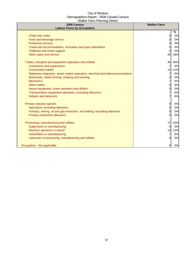| 2006 Census<br><b>Labour Force by Occupation</b>                                 | <b>Walker Farm</b> |      |
|----------------------------------------------------------------------------------|--------------------|------|
|                                                                                  |                    | $\%$ |
| Chefs and cooks                                                                  | 0                  | 0%   |
| Food and beverage service                                                        | 0                  | 0%   |
| <b>Protective services</b>                                                       | 0                  | 0%   |
| Travel and accommodation, recreation and sport attendants                        | 0                  | 0%   |
| Childcare and home support                                                       | 0                  | 0%   |
| Other sales and service                                                          | 20                 | 18%  |
| Trades, transport and equipment operators and related                            | 40                 | 35%  |
| Contractors and supervisors                                                      | 7                  | 6%   |
| <b>Construction trades</b>                                                       | 13                 | 12%  |
| Stationary engineers, power station operators, electrical and telecommunications | 7                  | 6%   |
| Machinists, metal forming, shaping and erecting                                  | 0                  | 0%   |
| <b>Mechanics</b>                                                                 | 7                  | 6%   |
| Other trades                                                                     | 0                  | 0%   |
| Heavy equipment, crane operators and drillers                                    | 0                  | 0%   |
| Transportation equipment operators, excluding labourers                          | $\overline{7}$     | 6%   |
| <b>Helpers and labourers</b>                                                     | 7                  | 6%   |
| Primary industry-specific                                                        | 0                  | 0%   |
| Agriculture excluding labourers                                                  | 0                  | 0%   |
| Forestry, mining, oil and gas extraction, and fishing, excluding labourers       | 0                  | 0%   |
| <b>Primary production labourers</b>                                              | $\Omega$           | 0%   |
| Processing, manufacturing and utilities                                          | 17                 | 15%  |
| Supervisors in manufacturing                                                     | $\overline{0}$     | 0%   |
| Machine operators in manuf.                                                      | 13                 | 12%  |
| Assemblers in manufacturing                                                      | 7                  | 6%   |
| Labourers in processing, manufacturing and utilities                             | 0                  | 0%   |
| Occupation - Not applicable                                                      | $\overline{0}$     | 0%   |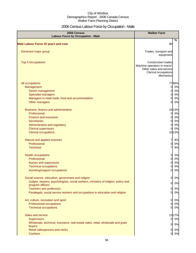## 2006 Census Labour Force by Occupation - Male

| 2006 Census<br><b>Labour Force by Occupation - Male</b>                           | <b>Walker Farm</b>                                                                                                        |       |
|-----------------------------------------------------------------------------------|---------------------------------------------------------------------------------------------------------------------------|-------|
| <b>Male Labour Force 15 years and over</b>                                        | 80                                                                                                                        | $\%$  |
|                                                                                   |                                                                                                                           |       |
| Dominant major group                                                              | Trades, transport and<br>equipment                                                                                        |       |
| <b>Top 5 Occupations</b>                                                          | <b>Construction trades</b><br>Machine operators in manuf.<br>Other sales and service<br>Clerical occupations<br>Mechanics |       |
| All occupations                                                                   |                                                                                                                           | 7796% |
| Management                                                                        | <sub>0</sub>                                                                                                              | 0%    |
| Senior management                                                                 | <sub>0</sub>                                                                                                              | 0%    |
| <b>Specialist managers</b>                                                        | 0                                                                                                                         | 0%    |
| Managers in retail trade, food and accommodation                                  | $\Omega$                                                                                                                  | 0%    |
| Other managers                                                                    | $\Omega$                                                                                                                  | 0%    |
| Business, finance and administrative                                              |                                                                                                                           | 1013% |
| Professional                                                                      | O                                                                                                                         | 0%    |
| Finance and insurance                                                             | 0                                                                                                                         | 0%    |
| <b>Secretaries</b>                                                                | 0                                                                                                                         | 0%    |
| Administrative and regulatory                                                     | 0                                                                                                                         | 0%    |
| <b>Clerical supervisors</b>                                                       | $\Omega$                                                                                                                  | 0%    |
| <b>Clerical occupations</b>                                                       |                                                                                                                           | 1013% |
| Natural and applied sciences                                                      | 7                                                                                                                         | 8%    |
| Professional                                                                      | 0                                                                                                                         | 0%    |
| <b>Technical</b>                                                                  | 7                                                                                                                         | 8%    |
| <b>Health occupations</b>                                                         | $\overline{0}$                                                                                                            | 0%    |
| Professional                                                                      | $\overline{0}$                                                                                                            | 0%    |
| Nurses and supervisors                                                            | $\overline{0}$                                                                                                            | 0%    |
| <b>Technical occupations</b>                                                      | $\Omega$                                                                                                                  | 0%    |
| Assisting/support occupations                                                     | $\Omega$                                                                                                                  | 0%    |
| Social science, education, government and religion                                | $\overline{O}$                                                                                                            | 0%    |
| Judges, lawyers, psychologists, social workers, ministers of religion, policy and | $\overline{O}$                                                                                                            | 0%    |
| program officers<br><b>Teachers and professors</b>                                | O                                                                                                                         | 0%    |
| Paralegals, social service workers and occupations in education and religion      | $\overline{O}$                                                                                                            | 0%    |
| Art, culture, recreation and sport                                                | $\overline{0}$                                                                                                            | 0%    |
| Professional occupations                                                          | <sub>0</sub>                                                                                                              | 0%    |
| <b>Technical occupations</b>                                                      | $\overline{0}$                                                                                                            | 0%    |
| Sales and service                                                                 |                                                                                                                           | 1317% |
| <b>Supervisors</b>                                                                | $\overline{O}$                                                                                                            | 0%    |
| Wholesale, technical, insurance, real estate sales, retail, wholesale and grain   | $\mathbf{0}$                                                                                                              | 0%    |
| buyers                                                                            |                                                                                                                           |       |
| Retail salespersons and clerks<br><b>Cashiers</b>                                 | $\mathsf{d}$<br>$\mathbf{0}$                                                                                              | 0%    |
|                                                                                   |                                                                                                                           | 0%    |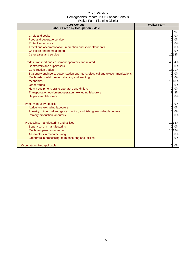| 2006 Census<br><b>Labour Force by Occupation - Male</b>                          | <b>Walker Farm</b>   |
|----------------------------------------------------------------------------------|----------------------|
|                                                                                  | %                    |
| Chefs and cooks                                                                  | $\Omega$<br>0%       |
| Food and beverage service                                                        | 0%<br>$\Omega$       |
| <b>Protective services</b>                                                       | 0%<br>0              |
| Travel and accommodation, recreation and sport attendants                        | 0%<br>$\Omega$       |
| Childcare and home support                                                       | 0%<br>0              |
| Other sales and service                                                          | 1013%                |
| Trades, transport and equipment operators and related                            | 4354%                |
| <b>Contractors and supervisors</b>                                               | 0%<br>$\overline{0}$ |
| <b>Construction trades</b>                                                       | 1721%                |
| Stationary engineers, power station operators, electrical and telecommunications | 0%<br>0              |
| Machinists, metal forming, shaping and erecting                                  | 0%<br>$\Omega$       |
| <b>Mechanics</b>                                                                 | 1013%                |
| <b>Other trades</b>                                                              | 0%<br>0              |
| Heavy equipment, crane operators and drillers                                    | 0%<br>0              |
| Transportation equipment operators, excluding labourers                          | 8%                   |
| <b>Helpers and labourers</b>                                                     | 0%<br>$\Omega$       |
| Primary industry-specific                                                        | 0%<br>$\Omega$       |
| Agriculture excluding labourers                                                  | 0%<br>0              |
| Forestry, mining, oil and gas extraction, and fishing, excluding labourers       | 0%                   |
| <b>Primary production labourers</b>                                              | 0%<br>$\Omega$       |
| Processing, manufacturing and utilities                                          | 1013%                |
| Supervisors in manufacturing                                                     | 0%<br>$\Omega$       |
| Machine operators in manuf.                                                      | 1013%                |
| Assemblers in manufacturing                                                      | 0%<br>$\Omega$       |
| Labourers in processing, manufacturing and utilities                             | 0%<br>0              |
| Occupation - Not applicable                                                      | $0\%$<br>0           |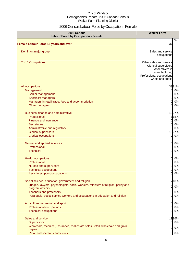## 2006 Census Labour Force by Occupation - Female

| 2006 Census<br><b>Labour Force by Occupation - Female</b>                                                      | <b>Walker Farm</b>                                                                                                               |
|----------------------------------------------------------------------------------------------------------------|----------------------------------------------------------------------------------------------------------------------------------|
| Female Labour Force 15 years and over                                                                          | %<br>37                                                                                                                          |
|                                                                                                                |                                                                                                                                  |
| Dominant major group                                                                                           | Sales and service<br>occupations                                                                                                 |
| <b>Top 5 Occupations</b>                                                                                       | Other sales and service<br>Clerical supervisors<br>Assemblers in<br>manufacturing<br>Professional occupations<br>Chefs and cooks |
| All occupations                                                                                                | 3391%                                                                                                                            |
| Management                                                                                                     | 0%<br>$\Omega$                                                                                                                   |
| Senior management                                                                                              | 0%<br>$\Omega$                                                                                                                   |
| <b>Specialist managers</b>                                                                                     | 0%<br>∩                                                                                                                          |
| Managers in retail trade, food and accommodation                                                               | 0%                                                                                                                               |
| Other managers                                                                                                 | 0%<br>$\Omega$                                                                                                                   |
| Business, finance and administrative                                                                           | 1027%                                                                                                                            |
| Professional                                                                                                   | 718%                                                                                                                             |
| Finance and insurance                                                                                          | 0%<br>U                                                                                                                          |
| <b>Secretaries</b>                                                                                             | 0%<br>$\Omega$                                                                                                                   |
| Administrative and regulatory                                                                                  | 0%<br>0l                                                                                                                         |
| <b>Clerical supervisors</b>                                                                                    | 1027%                                                                                                                            |
| <b>Clerical occupations</b>                                                                                    | 0%<br><sub>0</sub>                                                                                                               |
| Natural and applied sciences                                                                                   | 0%<br><sub>0</sub>                                                                                                               |
| Professional                                                                                                   | 0%<br>$\Omega$                                                                                                                   |
| <b>Technical</b>                                                                                               | 0%<br>$\Omega$                                                                                                                   |
| <b>Health occupations</b>                                                                                      | 0%<br>$\overline{O}$                                                                                                             |
| Professional                                                                                                   | 0%<br>0                                                                                                                          |
| Nurses and supervisors                                                                                         | 0%<br>$\Omega$                                                                                                                   |
| <b>Technical occupations</b>                                                                                   | 0%<br>0                                                                                                                          |
| Assisting/support occupations                                                                                  | 0%                                                                                                                               |
| Social science, education, government and religion                                                             | 718%                                                                                                                             |
| Judges, lawyers, psychologists, social workers, ministers of religion, policy and                              | 0%<br>$\overline{0}$                                                                                                             |
| program officers                                                                                               |                                                                                                                                  |
| <b>Teachers and professors</b><br>Paralegals, social service workers and occupations in education and religion | 0%<br>0<br>0%<br>0                                                                                                               |
|                                                                                                                |                                                                                                                                  |
| Art, culture, recreation and sport                                                                             | 0%<br>O                                                                                                                          |
| Professional occupations                                                                                       | 0%<br>0                                                                                                                          |
| <b>Technical occupations</b>                                                                                   | 0%<br><sub>0</sub>                                                                                                               |
| Sales and service                                                                                              | 1336%                                                                                                                            |
| <b>Supervisors</b>                                                                                             | 0%<br>0                                                                                                                          |
| Wholesale, technical, insurance, real estate sales, retail, wholesale and grain                                |                                                                                                                                  |
| buyers                                                                                                         | 0%<br><sub>0</sub>                                                                                                               |
| Retail salespersons and clerks                                                                                 | 0%<br>$\overline{0}$                                                                                                             |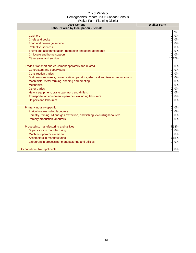| 2006 Census<br><b>Labour Force by Occupation - Female</b>                        | <b>Walker Farm</b> |
|----------------------------------------------------------------------------------|--------------------|
|                                                                                  | %                  |
| <b>Cashiers</b>                                                                  | 0%<br>$\Omega$     |
| Chefs and cooks                                                                  | 0%<br>$\Omega$     |
| Food and beverage service                                                        | 0%<br>∩            |
| <b>Protective services</b>                                                       | 0%<br>0            |
| Travel and accommodation, recreation and sport attendants                        | 0%                 |
| Childcare and home support                                                       | 0%                 |
| Other sales and service                                                          | 1027%              |
| Trades, transport and equipment operators and related                            | $\Omega$<br>0%     |
| <b>Contractors and supervisors</b>                                               | 0%<br>$\Omega$     |
| <b>Construction trades</b>                                                       | 0%                 |
| Stationary engineers, power station operators, electrical and telecommunications | 0%<br>∩            |
| Machinists, metal forming, shaping and erecting                                  | 0%<br>$\Omega$     |
| <b>Mechanics</b>                                                                 | 0%<br>0            |
| <b>Other trades</b>                                                              | 0%<br>O            |
| Heavy equipment, crane operators and drillers                                    | 0%<br>0            |
| Transportation equipment operators, excluding labourers                          | 0%                 |
| <b>Helpers and labourers</b>                                                     | 0%<br>0            |
| Primary industry-specific                                                        | $\Omega$<br>0%     |
| Agriculture excluding labourers                                                  | 0%<br>$\Omega$     |
| Forestry, mining, oil and gas extraction, and fishing, excluding labourers       | 0%                 |
| <b>Primary production labourers</b>                                              | 0%<br><sub>O</sub> |
| Processing, manufacturing and utilities                                          | 718%               |
| Supervisors in manufacturing                                                     | 0%<br>0I           |
| Machine operators in manuf.                                                      | 0%<br>O.           |
| Assemblers in manufacturing                                                      | 18%                |
| Labourers in processing, manufacturing and utilities                             | 0%                 |
| Occupation - Not applicable                                                      | 0%<br>O            |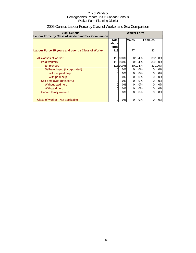| 2006 Census<br>Labour Force by Class of Worker and Sex Comparison | <b>Walker Farm</b> |                              |    |         |         |         |
|-------------------------------------------------------------------|--------------------|------------------------------|----|---------|---------|---------|
|                                                                   | Labour             | <b>Males</b><br><b>Total</b> |    |         | Females |         |
|                                                                   | <b>Force</b>       |                              |    |         |         |         |
| Labour Force 15 years and over by Class of Worker                 | 113                |                              | 77 |         | 33      |         |
| All classes of worker                                             |                    | 113100%                      |    | 80104%  |         | 33 100% |
| Paid workers                                                      |                    | 113100%                      |    | 80 104% |         | 33 100% |
| <b>Employees</b>                                                  |                    | 113100%                      |    | 80 104% |         | 33 100% |
| Self-employed (incorporated)                                      |                    | 0%                           | 0  | 0%      |         | 0%      |
| Without paid help                                                 | 0                  | 0%                           | 0  | 0%      |         | 0%      |
| With paid help                                                    | 0                  | 0%                           | 0  | 0%      |         | 0%      |
| Self-employed (unincorp.)                                         | 0                  | 0%                           | 0  | 0%      | 0       | 0%      |
| Without paid help                                                 | 0                  | 0%                           | 0  | 0%      | 0       | 0%      |
| With paid help                                                    | 0                  | 0%                           | 0  | 0%      |         | 0%      |
| Unpaid family workers                                             | 0                  | 0%                           | 0  | 0%      |         | 0%      |
| Class of worker - Not applicable                                  |                    | 0%                           |    | 0%      |         | 0%      |

## 2006 Census Labour Force by Class of Worker and Sex Comparison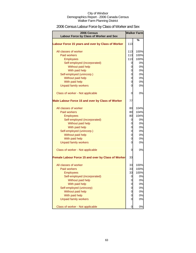## 2006 Census Labour Force by Class of Worker and Sex

| 2006 Census<br>Labour Force by Class of Worker and Sex | <b>Walker Farm</b> |      |
|--------------------------------------------------------|--------------------|------|
|                                                        |                    | %    |
| Labour Force 15 years and over by Class of Worker      | 113                |      |
| All classes of worker                                  | 113                | 100% |
| <b>Paid workers</b>                                    | 113                | 100% |
| <b>Employees</b>                                       | 113                | 100% |
| Self-employed (incorporated)                           | 0                  | 0%   |
| Without paid help                                      | 0                  | 0%   |
| With paid help                                         | 0                  | 0%   |
| Self-employed (unincorp.)                              | 0                  | 0%   |
| Without paid help                                      | 0                  | 0%   |
| With paid help                                         | 0                  | 0%   |
| <b>Unpaid family workers</b>                           | 0                  | 0%   |
| Class of worker - Not applicable                       | 0                  | 0%   |
| Male Labour Force 15 and over by Class of Worker       | 77                 |      |
| All classes of worker                                  | 80                 | 104% |
| <b>Paid workers</b>                                    | 80                 | 104% |
| <b>Employees</b>                                       | 80                 | 104% |
| Self-employed (incorporated)                           | 0                  | 0%   |
| Without paid help                                      | 0                  | 0%   |
| With paid help                                         | 0                  | 0%   |
| Self-employed (unincorp.)                              | 0                  | 0%   |
| Without paid help                                      | 0                  | 0%   |
| With paid help                                         | 0                  | 0%   |
| <b>Unpaid family workers</b>                           | 0                  | 0%   |
| Class of worker - Not applicable                       | 0                  | 0%   |
| Female Labour Force 15 and over by Class of Worker     | 33                 |      |
| All classes of worker                                  | 33                 | 100% |
| <b>Paid workers</b>                                    | 33                 | 100% |
| Employees                                              | 33                 | 100% |
| Self-employed (incorporated)                           | 0                  | 0%   |
| Without paid help                                      | 0                  | 0%   |
| With paid help                                         | 0                  | 0%   |
| Self-employed (unincorp)                               | 0                  | 0%   |
| Without paid help                                      | 0                  | 0%   |
| With paid help                                         | 0                  | 0%   |
| <b>Unpaid family workers</b>                           | 0                  | 0%   |
| Class of worker - Not applicable                       | 0                  | 0%   |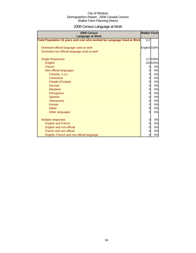# 2006 Census Language at Work

| 2006 Census<br><b>Language at Work</b>                                 | <b>Walker Farm</b> |          |
|------------------------------------------------------------------------|--------------------|----------|
| Total Population 15 years and over who worked by Language Used at Work | 117                |          |
|                                                                        |                    |          |
| Dominant official language used at work                                | English 100%       |          |
| Dominant non-official language used at work                            |                    |          |
| <b>Single Responses</b>                                                |                    | 117100%  |
| English                                                                |                    | 120 103% |
| French                                                                 | 0                  | 0%       |
| Non-official languages                                                 | 0                  | 0%       |
| Chinese, n.o.s.                                                        | 0                  | 0%       |
| Cantonese                                                              | 0                  | 0%       |
| Panjabi (Punjabi)                                                      | 0                  | 0%       |
| German                                                                 | 0                  | 0%       |
| <b>Mandarin</b>                                                        | 0                  | 0%       |
| Portuguese                                                             | 0                  | 0%       |
| Spanish                                                                | 0                  | 0%       |
| Vietnamese                                                             | 0                  | 0%       |
| Korean                                                                 | 0                  | 0%       |
| Italian                                                                | 0                  | 0%       |
| Other languages                                                        | 0                  | 0%       |
|                                                                        |                    |          |
| Multiple responses                                                     | 0                  | 0%       |
| <b>English and French</b>                                              | 0                  | 0%       |
| English and non-official                                               | 0                  | 0%       |
| French and non-official                                                | 0                  | 0%       |
| English, French and non-official language                              | 0                  | 0%       |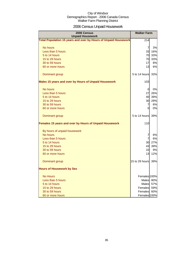## 2006 Census Unpaid Housework

| 2006 Census<br><b>Unpaid Housework</b>                          | <b>Walker Farm</b> |     |
|-----------------------------------------------------------------|--------------------|-----|
| Total Population 15 years and over by Hours of Unpaid Housework | 214                |     |
| No hours                                                        | $\overline{7}$     | 3%  |
| Less than 5 hours                                               | 33                 | 16% |
| 5 to 14 hours                                                   | 70                 | 33% |
| 15 to 29 hours                                                  | 70                 | 33% |
| 30 to 59 hours                                                  | 17                 | 8%  |
| 60 or more hours                                                | 13                 | 6%  |
| Dominant group                                                  | 5 to 14 hours      | 33% |
| Males 15 years and over by Hours of Unpaid Housework            | 103                |     |
| No hours                                                        | 0                  | 0%  |
| Less than 5 hours                                               | 27                 | 26% |
| 5 to 14 hours                                                   | 40                 | 39% |
| 15 to 29 hours                                                  | 30                 | 29% |
| 30 to 59 hours                                                  | 7                  | 6%  |
| 60 or more hours                                                | $\Omega$           | 0%  |
| Dominant group                                                  | 5 to 14 hours      | 39% |
| Females 15 years and over by Hours of Unpaid Housework          | 110                |     |
| By hours of unpaid housework                                    |                    |     |
| No hours                                                        | 7                  | 6%  |
| Less than 5 hours                                               | $\overline{7}$     | 6%  |
| 5 to 14 hours                                                   | 30                 | 27% |
| 15 to 29 hours                                                  | 43                 | 39% |
| 30 to 59 hours                                                  | 10                 | 9%  |
| 60 or more hours                                                | 13                 | 12% |
| Dominant group                                                  | 15 to 29 hours     | 39% |
| <b>Hours of Housework by Sex</b>                                |                    |     |
| <b>No Hours</b>                                                 | Females 100%       |     |
| Less than 5 hours                                               | Males 80%          |     |
| 5 to 14 hours                                                   | Males 57%          |     |
| 15 to 29 hours                                                  | Females 59%        |     |
| 30 to 59 hours                                                  | Females 60%        |     |
| 60 or more hours                                                | Females 100%       |     |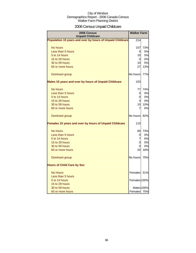## 2006 Census Unpaid Childcare

| 2006 Census<br><b>Unpaid Childcare</b>                    | <b>Walker Farm</b> |            |
|-----------------------------------------------------------|--------------------|------------|
| Population 15 years and over by hours of Unpaid Childcare | 214                |            |
| No hours                                                  | 157                | 73%        |
| Less than 5 hours                                         | 0                  | 0%         |
| 5 to 14 hours                                             | 10                 | 5%         |
| 15 to 29 hours                                            | <sup>O</sup>       | 0%         |
| 30 to 59 hours                                            | 10                 | 5%         |
| 60 or more hours                                          | 27                 | 13%        |
| Dominant group                                            | No hours           | 77%        |
| Males 15 years and over by hours of Unpaid Childcare      | 103                |            |
| No hours                                                  | 77                 | 74%        |
| Less than 5 hours                                         | 0                  | 0%         |
| 5 to 14 hours                                             | 0                  | 0%         |
| 15 to 29 hours                                            | <sub>0</sub>       | 0%         |
| 30 to 59 hours                                            | 10                 | 10%        |
| 60 or more hours                                          | 7                  | 6%         |
| Dominant group                                            | No hours           | 82%        |
| Females 15 years and over by hours of Unpaid Childcare    | 110                |            |
| No hours                                                  | 80                 | 73%        |
| Less than 5 hours                                         | 0                  | 0%         |
| 5 to 14 hours                                             | 7                  | 6%         |
| 15 to 29 hours                                            | 0                  | 0%         |
| 30 to 59 hours                                            | 0                  | 0%         |
| 60 or more hours                                          | 20                 | 18%        |
| Dominant group                                            | No hours           | 75%        |
| <b>Hours of Child Care by Sex</b>                         |                    |            |
| <b>No Hours</b>                                           | Females            | 51%        |
| Less than 5 hours                                         |                    |            |
| 5 to 14 hours                                             | Females 100%       |            |
| 15 to 29 hours                                            |                    |            |
| 30 to 59 hours                                            |                    | Males 100% |
| 60 or more hours                                          | Females 75%        |            |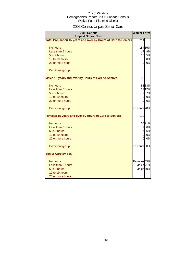## 2006 Census Unpaid Senior Care

| 2006 Census<br><b>Unpaid Senior Care</b>                       | <b>Walker Farm</b>     |        |
|----------------------------------------------------------------|------------------------|--------|
| Total Population 15 years and over by Hours of Care to Seniors | 214                    |        |
| No hours                                                       |                        | 18486% |
| Less than 5 hours                                              | 17                     | 8%     |
| 5 to 9 hours                                                   | 10                     | 5%     |
| 10 to 19 hours                                                 | $\overline{0}$         | 0%     |
| 20 or more hours                                               | $\overline{0}$         | 0%     |
| Dominant group                                                 |                        |        |
| Males 15 years and over by Hours of Care to Seniors            | 100                    |        |
| No hours                                                       |                        | 8383%  |
| Less than 5 hours                                              |                        | 1717%  |
| 5 to 9 hours                                                   | $\overline{7}$         | 7%     |
| 10 to 19 hours                                                 | $\overline{0}$         | 0%     |
| 20 or more hours                                               | <sub>0</sub>           | 0%     |
| Dominant group                                                 | No hours 78%           |        |
| Females 15 years and over by Hours of Care to Seniors          | 110                    |        |
| No hours                                                       |                        | 10091% |
| Less than 5 hours                                              | 7                      | 6%     |
| 5 to 9 hours                                                   | $\overline{7}$         | 6%     |
| 10 to 19 hours                                                 | $\overline{0}$         | 0%     |
| 20 or more hours                                               | $\mathsf{O}$           | 0%     |
| Dominant group                                                 | No hours 88%           |        |
| <b>Senior Care by Sex</b>                                      |                        |        |
| No hours                                                       | Females <sub>55%</sub> |        |
| Less than 5 hours                                              | Males <sub>71%</sub>   |        |
| 5 to 9 hours                                                   | Males <sub>50%</sub>   |        |
| 10 to 19 hours                                                 |                        |        |
| 20 or more hours                                               |                        |        |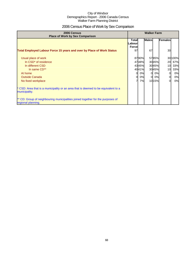## 2006 Census Place of Work by Sex Comparison

| 2006 Census<br><b>Place of Work by Sex Comparison</b>                                                 |                     | <b>Walker Farm</b> |                |       |                 |         |
|-------------------------------------------------------------------------------------------------------|---------------------|--------------------|----------------|-------|-----------------|---------|
|                                                                                                       | Total<br>Labour     |                    | <b>Males</b>   |       | <b>Females</b>  |         |
| <b>Total Employed Labour Force 15 years and over by Place of Work Status</b>                          | <b>Forcel</b><br>97 |                    | 67             |       | <b>30</b>       |         |
| Usual place of work                                                                                   |                     | 8790%              |                | 5785% |                 | 30 100% |
| In CSD <sup>*</sup> of residence                                                                      |                     | 4748%              |                | 3045% | 20              | 67%     |
| In different CSD                                                                                      |                     | 4345%              |                | 3045% | 10 <sup>1</sup> | 33%     |
| In same CD**                                                                                          |                     | 4041%              |                | 3045% | 10              | 33%     |
| At home                                                                                               | $\mathbf{0}$        | 0%                 | $\overline{0}$ | 0%    | 0               | 0%      |
| <b>Outside Canada</b>                                                                                 | $\Omega$            | 0%                 | $\Omega$       | 0%    | $\overline{0}$  | 0%      |
| No fixed workplace                                                                                    |                     | 7%                 |                | 1015% | $\Omega$        | 0%      |
| * CSD: Area that is a municipality or an area that is deemed to be equivalent to a<br>municipality.   |                     |                    |                |       |                 |         |
| ** CD: Group of neighbouring municipalities joined together for the purposes of<br>regional planning. |                     |                    |                |       |                 |         |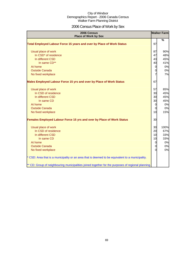## 2006 Census Place of Work by Sex

| 2006 Census<br><b>Place of Work by Sex</b>                                                         |          | <b>Walker Farm</b> |
|----------------------------------------------------------------------------------------------------|----------|--------------------|
| Total Employed Labour Force 15 years and over by Place of Work Status                              | 97       | %                  |
| Usual place of work                                                                                | 87       | 90%                |
| In CSD <sup>*</sup> of residence                                                                   | 47       | 48%                |
| In different CSD                                                                                   | 43       | 45%                |
| In same CD**                                                                                       | 40       | 41%                |
| At home                                                                                            | 0        | 0%                 |
| <b>Outside Canada</b>                                                                              | 0        | 0%                 |
| No fixed workplace                                                                                 |          | 7%                 |
| Males Employed Labour Force 15 yrs and over by Place of Work Status                                | 67       |                    |
| Usual place of work                                                                                | 57       | 85%                |
| In CSD of residence                                                                                | 30       | 45%                |
| In different CSD                                                                                   | 30       | 45%                |
| In same CD                                                                                         | 30       | 45%                |
| At home                                                                                            | 0        | 0%                 |
| <b>Outside Canada</b>                                                                              | 0        | 0%                 |
| No fixed workplace                                                                                 | 10       | 15%                |
| Females Employed Labour Force 15 yrs and over by Place of Work Status                              | 30       |                    |
| Usual place of work                                                                                | 30       | 100%               |
| In CSD of residence                                                                                | 20       | 67%                |
| In different CSD                                                                                   | 10       | 33%                |
| In same CD                                                                                         | 10       | 33%                |
| At home                                                                                            | 0        | 0%                 |
| <b>Outside Canada</b>                                                                              | 0        | 0%                 |
| No fixed workplace                                                                                 | $\Omega$ | 0%                 |
| CSD: Area that is a municipality or an area that is deemed to be equivalent to a municipality.     |          |                    |
| ** CD: Group of neighbouring municipalities joined together for the purposes of regional planning. |          |                    |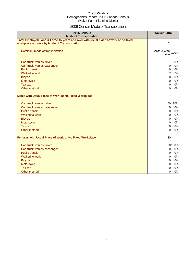## 2006 Census Mode of Transportation

| 2006 Census<br><b>Mode of Transportation</b>                                                                                      | <b>Walker Farm</b>           |          |
|-----------------------------------------------------------------------------------------------------------------------------------|------------------------------|----------|
| Total Employed Labour Force 15 years and over with usual place of work or no fixed<br>workplace address by Mode of Transportation | 97                           |          |
| Dominant mode of transportation                                                                                                   | Car/truck/van-100%<br>driver |          |
| Car, truck, van as driver                                                                                                         | 87                           | 90%      |
| Car, truck, van as passenger                                                                                                      | $\overline{0}$               | 0%       |
| <b>Public transit</b>                                                                                                             | $\overline{O}$               | 0%       |
| Walked to work                                                                                                                    | 7                            | 7%       |
| <b>Bicycle</b>                                                                                                                    | $\overline{0}$               | 0%       |
| Motorcycle                                                                                                                        | $\overline{0}$               | 0%       |
| <b>Taxicab</b>                                                                                                                    | $\mathbf 0$                  | 0%       |
| Other method                                                                                                                      | $\overline{0}$               | 0%       |
| <b>Males with Usual Place of Work or No Fixed Workplace</b>                                                                       | 67                           |          |
| Car, truck, van as driver                                                                                                         | 60                           | 90%      |
| Car, truck, van as passenger                                                                                                      | $\overline{0}$               | 0%       |
| <b>Public transit</b>                                                                                                             | $\overline{0}$               | 0%       |
| Walked to work                                                                                                                    | $\overline{0}$               | 0%       |
| <b>Bicycle</b>                                                                                                                    | $\overline{O}$               | 0%       |
| Motorcycle                                                                                                                        | $\overline{0}$               | 0%       |
| <b>Taxicab</b><br>Other method                                                                                                    | $\overline{O}$<br>$\Omega$   | 0%<br>0% |
| <b>Females with Usual Place of Work or No Fixed Workplace</b>                                                                     | 30                           |          |
| Car, truck, van as driver                                                                                                         |                              | 30 100%  |
| Car, truck, van as passenger                                                                                                      | $\overline{0}$               | 0%       |
| <b>Public transit</b>                                                                                                             | $\overline{0}$               | 0%       |
| Walked to work                                                                                                                    | $\overline{0}$               | 0%       |
| <b>Bicycle</b>                                                                                                                    | $\overline{0}$               | 0%       |
| Motorcycle                                                                                                                        | $\overline{O}$               | 0%       |
| <b>Taxicab</b>                                                                                                                    | $\overline{O}$               | 0%       |
| Other method                                                                                                                      | $\overline{0}$               | 0%       |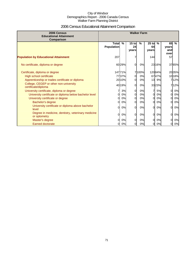## 2006 Census Educational Attainment Comparison

| 2006 Census<br><b>Educational Attainment</b><br>Comparison         | <b>Walker Farm</b>           |        |                        |       |                        |        |                            |               |
|--------------------------------------------------------------------|------------------------------|--------|------------------------|-------|------------------------|--------|----------------------------|---------------|
|                                                                    | Total %<br><b>Population</b> |        | $15$ to<br>24<br>years | $\%$  | $25$ to<br>64<br>vears | %      | 65<br>vears<br>and<br>over | $\frac{0}{n}$ |
| <b>Population by Educational Attainment</b>                        | 207                          |        |                        |       | 144                    |        | 57                         |               |
| No certificate, diploma or degree                                  |                              | 6029%  | $\Omega$               | 0%    |                        | 23 16% |                            | 3765%         |
| Certificate, diploma or degree                                     |                              | 14771% |                        | 7100% |                        | 12084% |                            | 20 35%        |
| High school certificate                                            |                              | 7737%  | $\Omega$               | 0%    |                        | 6747%  |                            | 1018%         |
| Apprenticeship or trades certificate or diploma                    |                              | 2010%  | <sub>0</sub>           | 0%    | 13                     | 9%     |                            | 712%          |
| College, CEGEP or other non-university<br>certificate/diploma      |                              | 40 19% | 0                      | 0%    |                        | 3323%  |                            | 712%          |
| University certificate, diploma or degree                          |                              | 3%     | 0                      | 0%    | 7                      | 5%     | $\Omega$                   | 0%            |
| University certificate or diploma below bachelor level             | 0l                           | 0%     | 0                      | 0%    | 0l                     | 0%     |                            | 0%            |
| University certificate or degree                                   | ΩI                           | 0%     | 0                      | 0%    | ΩI                     | 0%     |                            | 0%            |
| Bachelor's degree                                                  | 0l                           | 0%     | 0                      | 0%    | ΟI                     | 0%     |                            | 0%            |
| University certificate or diploma above bachelor<br>level          | 0l                           | 0%     | 0                      | 0%    | Οl                     | 0%     | $\Omega$                   | 0%            |
| Degree in medicine, dentistry, veterinary medicine<br>or optometry | 0l                           | 0%     | $\Omega$               | 0%    | Οl                     | 0%     | $\Omega$                   | 0%            |
| Master's degree                                                    | <sub>0</sub>                 | 0%     | 0                      | 0%    | 0l                     | 0%     | $\Omega$                   | 0%            |
| <b>Earned doctorate</b>                                            | 01                           | 0%     | 0l                     | 0%    | 0l                     | 0%     | $\Omega$                   | 0%            |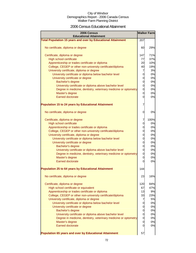### 2006 Census Educational Attainment

| 2006 Census<br><b>Educational Attainment</b>                        |                | <b>Walker Farm</b> |
|---------------------------------------------------------------------|----------------|--------------------|
| <b>Total Population 15 years and over by Educational Attainment</b> | 207            |                    |
| No certificate, diploma or degree                                   | 60             | 29%                |
| Certificate, diploma or degree                                      | 147            | 71%                |
| <b>High school certificate</b>                                      | 77             | 37%                |
| Apprenticeship or trades certificate or diploma                     | 20             | 10%                |
| College, CEGEP or other non-university certificate/diploma          | 40             | 19%                |
| University certificate, diploma or degree                           | 7              | 3%                 |
| University certificate or diploma below bachelor level              | $\mathbf 0$    | 0%                 |
| University certificate or degree                                    | $\mathbf 0$    | 0%                 |
| Bachelor's degree                                                   | $\mathbf 0$    | 0%                 |
| University certificate or diploma above bachelor level              | $\mathbf 0$    | 0%                 |
| Degree in medicine, dentistry, veterinary medicine or optometry     | $\mathbf 0$    | 0%                 |
| Master's degree                                                     | $\mathbf 0$    | 0%                 |
| <b>Earned doctorate</b>                                             | $\overline{0}$ | 0%                 |
| <b>Population 15 to 24 years by Educational Attainment</b>          | 7              |                    |
| No certificate, diploma or degree                                   | 0              | 0%                 |
| Certificate, diploma or degree                                      | $\overline{7}$ | 100%               |
| <b>High school certificate</b>                                      | $\overline{O}$ | 0%                 |
| Apprenticeship or trades certificate or diploma                     | $\overline{0}$ | 0%                 |
| College, CEGEP or other non-university certificate/diploma          | $\mathbf 0$    | 0%                 |
| University certificate, diploma or degree                           | $\mathbf 0$    | 0%                 |
| University certificate or diploma below bachelor level              | $\mathbf 0$    | 0%                 |
| University certificate or degree                                    | $\mathbf 0$    | 0%                 |
| Bachelor's degree                                                   | $\mathbf 0$    | 0%                 |
| University certificate or diploma above bachelor level              | $\mathbf 0$    | 0%                 |
| Degree in medicine, dentistry, veterinary medicine or optometry     | $\mathbf 0$    | 0%                 |
| Master's degree                                                     | $\overline{O}$ | 0%                 |
| <b>Earned doctorate</b>                                             | $\Omega$       | 0%                 |
| <b>Population 25 to 64 years by Educational Attainment</b>          | 144            |                    |
| No certificate, diploma or degree                                   | 23             | 16%                |
| Certificate, diploma or degree                                      | 120            | 84%                |
| High school certificate or equivalent                               | 67             | 47%                |
| Apprenticeship or trades certificate or diploma                     | 13             | 9%                 |
| College, CEGEP or other non-university certificate/diploma          | 33             | 23%                |
| University certificate, diploma or degree                           | 7              | 5%                 |
| University certificate or diploma below bachelor level              | $\mathbf 0$    | 0%                 |
| University certificate or degree                                    | $\overline{O}$ | 0%                 |
| <b>Bachelor's degree</b>                                            | $\overline{0}$ | 0%                 |
| University certificate or diploma above bachelor level              | $\overline{0}$ | 0%                 |
| Degree in medicine, dentistry, veterinary medicine or optometry     | $\mathbf 0$    | 0%                 |
| Master's degree                                                     | $\mathbf 0$    | 0%                 |
| <b>Earned doctorate</b>                                             | $\overline{0}$ | 0%                 |
| Population 65 years and over by Educational Attainment              | 57             |                    |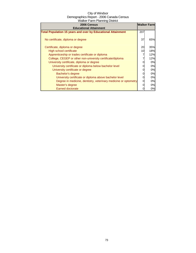| 2006 Census                                                         | <b>Walker Farm</b> |     |
|---------------------------------------------------------------------|--------------------|-----|
| <b>Educational Attainment</b>                                       |                    |     |
| <b>Total Population 15 years and over by Educational Attainment</b> | 207                |     |
| No certificate, diploma or degree                                   | 37                 | 65% |
| Certificate, diploma or degree                                      | 20                 | 35% |
| High school certificate                                             | 10                 | 18% |
| Apprenticeship or trades certificate or diploma                     |                    | 12% |
| College, CEGEP or other non-university certificate/diploma          |                    | 12% |
| University certificate, diploma or degree                           | 0                  | 0%  |
| University certificate or diploma below bachelor level              | 0                  | 0%  |
| University certificate or degree                                    | 0                  | 0%  |
| Bachelor's degree                                                   | 0                  | 0%  |
| University certificate or diploma above bachelor level              | 0                  | 0%  |
| Degree in medicine, dentistry, veterinary medicine or optometry     | 0                  | 0%  |
| Master's degree                                                     |                    | 0%  |
| <b>Earned doctorate</b>                                             |                    | 0%  |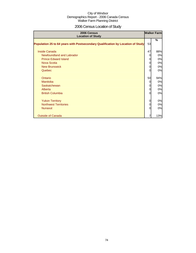## 2006 Census Location of Study

| 2006 Census<br><b>Location of Study</b>                                         |          | <b>Walker Farm</b> |
|---------------------------------------------------------------------------------|----------|--------------------|
| Population 25 to 64 years with Postsecondary Qualification by Location of Study | 53       | %                  |
| <b>Inside Canada</b>                                                            | 47       | 88%                |
| Newfoundland and Labrador                                                       | 0        | 0%                 |
| <b>Prince Edward Island</b>                                                     | 0        | 0%                 |
| <b>Nova Scotia</b>                                                              | 0        | 0%                 |
| <b>New Brunswick</b>                                                            | O        | 0%                 |
| Quebec                                                                          | ი        | 0%                 |
| Ontario                                                                         | 50       | 94%                |
| <b>Manitoba</b>                                                                 | $\Omega$ | 0%                 |
| Saskatchewan                                                                    | O        | 0%                 |
| Alberta                                                                         | 0        | 0%                 |
| <b>British Columbia</b>                                                         | ი        | 0%                 |
| <b>Yukon Territory</b>                                                          | 0        | 0%                 |
| <b>Northwest Territories</b>                                                    | O        | 0%                 |
| <b>Nunavut</b>                                                                  | ი        | 0%                 |
| <b>Outside of Canada</b>                                                        |          | 13%                |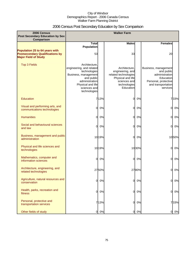## 2006 Census Post Secondary Education by Sex Comparison

| 2006 Census                                                                                             |                                                                                                                                                                        |        | <b>Walker Farm</b>                                                                                                          |       |                                                                                                                             |       |
|---------------------------------------------------------------------------------------------------------|------------------------------------------------------------------------------------------------------------------------------------------------------------------------|--------|-----------------------------------------------------------------------------------------------------------------------------|-------|-----------------------------------------------------------------------------------------------------------------------------|-------|
| <b>Post Secondary Education by Sex</b><br>Comparison                                                    |                                                                                                                                                                        |        |                                                                                                                             |       |                                                                                                                             |       |
|                                                                                                         | <b>Total</b><br>Population                                                                                                                                             |        | <b>Males</b>                                                                                                                |       | <b>Females</b>                                                                                                              |       |
| Population 25 to 64 years with<br><b>Postsecondary Qualifications by</b><br><b>Major Field of Study</b> | 53                                                                                                                                                                     |        | 33                                                                                                                          |       | 20                                                                                                                          |       |
| <b>Top 3 Fields</b>                                                                                     | Architecture,<br>engineering, and related<br>technologies<br>Business, management<br>and public<br>administration<br>Physical and life<br>sciences and<br>technologies |        | Architecture,<br>engineering, and<br>related technologies<br>Physical and life<br>sciences and<br>technologies<br>Education |       | Business, management<br>and public<br>administration<br>Education<br>Personal, protective<br>and transportation<br>services |       |
| Education                                                                                               |                                                                                                                                                                        | 713%   | 0                                                                                                                           | 0%    |                                                                                                                             | 733%  |
| Visual and performing arts, and<br>communications technologies                                          | 0l                                                                                                                                                                     | 0%     | 0                                                                                                                           | 0%    | $\Omega$                                                                                                                    | 0%    |
| <b>Humanities</b>                                                                                       | 0l                                                                                                                                                                     | 0%     | 0                                                                                                                           | 0%    | $\Omega$                                                                                                                    | 0%    |
| Social and behavioural sciences<br>and law                                                              | <sub>0</sub>                                                                                                                                                           | 0%     | 0                                                                                                                           | 0%    | $\Omega$                                                                                                                    | 0%    |
| Business, management and public<br>administration                                                       |                                                                                                                                                                        | 10 19% | 0                                                                                                                           | 0%    |                                                                                                                             | 1050% |
| Physical and life sciences and<br>technologies                                                          |                                                                                                                                                                        | 1019%  |                                                                                                                             | 1030% | $\Omega$                                                                                                                    | 0%    |
| Mathematics, computer and<br>information sciences                                                       | <sub>0</sub>                                                                                                                                                           | 0%     | 0                                                                                                                           | 0%    | 0                                                                                                                           | 0%    |
| Architecture, engineering, and<br>related technologies                                                  |                                                                                                                                                                        | 2750%  |                                                                                                                             | 2780% | 0                                                                                                                           | 0%    |
| Agriculture, natural resources and<br>conservation                                                      | $\mathbf{0}$                                                                                                                                                           | 0%     | 0                                                                                                                           | 0%    | 0l                                                                                                                          | 0%    |
| Health, parks, recreation and<br>fitness                                                                | <sub>0</sub>                                                                                                                                                           | 0%     | 0                                                                                                                           | 0%    | 0l                                                                                                                          | 0%    |
| Personal, protective and<br>transportation services                                                     |                                                                                                                                                                        | 713%   | 0                                                                                                                           | 0%    |                                                                                                                             | 733%  |
| Other fields of study                                                                                   | 0                                                                                                                                                                      | 0%     | 0                                                                                                                           | 0%    | 01                                                                                                                          | 0%    |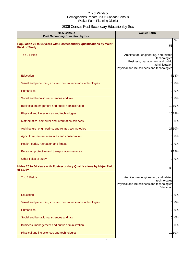# 2006 Census Post Secondary Education by Sex

| 2006 Census<br><b>Post Secondary Education by Sex</b>                                         | <b>Walker Farm</b>                                                                                                                                         |
|-----------------------------------------------------------------------------------------------|------------------------------------------------------------------------------------------------------------------------------------------------------------|
| Population 25 to 64 years with Postsecondary Qualifications by Major<br><b>Field of Study</b> | %<br>53                                                                                                                                                    |
| <b>Top 3 Fields</b>                                                                           | Architecture, engineering, and related<br>technologies<br>Business, management and public<br>administration<br>Physical and life sciences and technologies |
| Education                                                                                     | 713%                                                                                                                                                       |
| Visual and performing arts, and communications technologies                                   | $\mathbf{0}$<br>0%                                                                                                                                         |
| <b>Humanities</b>                                                                             | 0%<br>0                                                                                                                                                    |
| Social and behavioural sciences and law                                                       | 0%<br>$\Omega$                                                                                                                                             |
| Business, management and public administration                                                | 1019%                                                                                                                                                      |
| Physical and life sciences and technologies                                                   | 1019%                                                                                                                                                      |
| Mathematics, computer and information sciences                                                | 0%<br>$\Omega$                                                                                                                                             |
| Architecture, engineering, and related technologies                                           | 2750%                                                                                                                                                      |
| Agriculture, natural resources and conservation                                               | $\overline{0}$<br>0%                                                                                                                                       |
| Health, parks, recreation and fitness                                                         | $\mathbf{0}$<br>0%                                                                                                                                         |
| Personal, protective and transportation services                                              | 713%                                                                                                                                                       |
| Other fields of study                                                                         | $\Omega$<br>0%                                                                                                                                             |
| Males 25 to 64 Years with Postsecondary Qualifications by Major Field<br>of Study             | 33                                                                                                                                                         |
| <b>Top 3 Fields</b>                                                                           | Architecture, engineering, and related                                                                                                                     |
|                                                                                               | technologies<br>Physical and life sciences and technologies<br>Education                                                                                   |
| Education                                                                                     | 0%<br>0                                                                                                                                                    |
| Visual and performing arts, and communications technologies                                   | $\mathbf{0}$<br>0%                                                                                                                                         |
| <b>Humanities</b>                                                                             | $\overline{O}$<br>0%                                                                                                                                       |
| Social and behavioural sciences and law                                                       | $\overline{O}$<br>0%                                                                                                                                       |
| Business, management and public administration                                                | $\mathbf{0}$<br>0%                                                                                                                                         |
| Physical and life sciences and technologies                                                   | 1030%                                                                                                                                                      |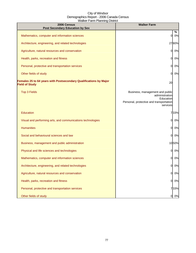| 2006 Census<br><b>Post Secondary Education by Sex</b>                                      | <b>Walker Farm</b>                                                                                                    |
|--------------------------------------------------------------------------------------------|-----------------------------------------------------------------------------------------------------------------------|
| Mathematics, computer and information sciences                                             | %<br>0%<br>0                                                                                                          |
| Architecture, engineering, and related technologies                                        | 2780%                                                                                                                 |
| Agriculture, natural resources and conservation                                            | 0%<br>O                                                                                                               |
| Health, parks, recreation and fitness                                                      | 0%<br>O                                                                                                               |
| Personal, protective and transportation services                                           | 0%<br>O                                                                                                               |
| Other fields of study                                                                      | 0%<br><sup>o</sup>                                                                                                    |
| Females 25 to 64 years with Postsecondary Qualifications by Major<br><b>Field of Study</b> | 20                                                                                                                    |
| <b>Top 3 Fields</b>                                                                        | Business, management and public<br>administration<br>Education<br>Personal, protective and transportation<br>services |
| Education                                                                                  | 733%                                                                                                                  |
| Visual and performing arts, and communications technologies                                | 0%<br>0l                                                                                                              |
| <b>Humanities</b>                                                                          | $\Omega$<br>0%                                                                                                        |
| Social and behavioural sciences and law                                                    | $\Omega$<br>0%                                                                                                        |
| Business, management and public administration                                             | 1050%                                                                                                                 |
| Physical and life sciences and technologies                                                | 0%<br>O                                                                                                               |
| Mathematics, computer and information sciences                                             | <sub>O</sub><br>0%                                                                                                    |
| Architecture, engineering, and related technologies                                        | 0%<br>OI                                                                                                              |
| Agriculture, natural resources and conservation                                            | 0%<br>$\overline{0}$                                                                                                  |
| Health, parks, recreation and fitness                                                      | 0%<br>$\overline{0}$                                                                                                  |
| Personal, protective and transportation services                                           | 733%                                                                                                                  |
| Other fields of study                                                                      | 0%<br>$\mathbf{0}$                                                                                                    |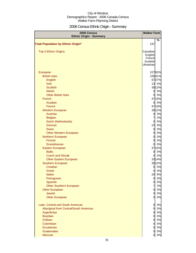## 2006 Census Ethnic Origin - Summary

| 2006 Census<br><b>Ethnic Origin - Summary</b> | <b>Walker Farm</b>    |             |
|-----------------------------------------------|-----------------------|-------------|
|                                               |                       | %           |
| <b>Total Population by Ethnic Origin*</b>     | 247                   |             |
|                                               |                       |             |
| <b>Top 5 Ethnic Origins</b>                   | Canadian              |             |
|                                               | English               |             |
|                                               | French                |             |
|                                               | Scottish<br>Ukrainian |             |
|                                               |                       |             |
| European                                      |                       | 22792%      |
| <b>British Isles</b>                          |                       | 10041%      |
| English                                       |                       | 6727%       |
| <b>Irish</b>                                  |                       | 13 5%       |
| <b>Scottish</b>                               |                       | 30 12%      |
| Welsh                                         | $\overline{0}$        | 0%          |
| <b>Other British Isles</b>                    | $\overline{0}$        | 0%          |
| French                                        |                       | 4719%       |
| Acadian                                       | $\overline{0}$        | 0%          |
| French                                        |                       | 4719%       |
| <b>Western European</b>                       |                       | 3012%       |
| Austrian                                      | $\overline{0}$        | 0%          |
| <b>Belgian</b>                                | $\overline{7}$        | 3%          |
| Dutch (Netherlands)                           | $\overline{0}$        | 0%          |
| German                                        | 23                    | 9%          |
| <b>Swiss</b>                                  | $\overline{0}$        | 0%          |
| <b>Other Western European</b>                 | $\overline{0}$        | 0%          |
| Northern European                             | $\mathbf 0$           | 0%          |
| <b>Finnish</b>                                | $\mathbf 0$           | 0%          |
| Scandinavian                                  | $\overline{0}$        | 0%          |
| Eastern European                              |                       | 3715%       |
| <b>Baltic</b><br><b>Czech and Slovak</b>      | $\overline{0}$        | 0%          |
| <b>Other Eastern European</b>                 | $\overline{0}$        | 0%<br>3314% |
| Southern European                             |                       | 30 12%      |
| Croatian                                      | $\overline{0}$        | 0%          |
| Greek                                         | $\overline{0}$        | 0%          |
| Italian                                       | 20                    | 8%          |
| Portuguese                                    | $\overline{0}$        | 0%          |
| Spanish                                       | $\overline{0}$        | 0%          |
| <b>Other Southern European</b>                | $\overline{7}$        | 3%          |
| <b>Other European</b>                         | $\overline{0}$        | 0%          |
| Jewish                                        | $\mathbf 0$           | 0%          |
| <b>Other European</b>                         | $\overline{0}$        | 0%          |
| Latin, Central and South American             | $\overline{0}$        | 0%          |
| Aboriginal from Central/South American        | $\overline{O}$        | 0%          |
| Argentinian                                   | $\overline{0}$        | 0%          |
| <b>Brazilian</b>                              | $\overline{0}$        | 0%          |
| Chilean                                       | $\overline{O}$        | 0%          |
| Colombian                                     | $\overline{O}$        | 0%          |
| Ecuadorian                                    | $\overline{0}$        | 0%          |
| Guatemalan                                    | $\overline{0}$        | 0%          |
| Mexican                                       | 0                     | 0%          |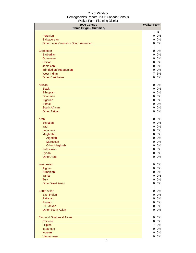| 2006 Census<br><b>Ethnic Origin - Summary</b> | <b>Walker Farm</b> |       |
|-----------------------------------------------|--------------------|-------|
|                                               |                    | %     |
| Peruvian                                      | $\overline{0}$     | 0%    |
| Salvadorean                                   | $\overline{0}$     | 0%    |
| Other Latin, Central or South American        | 0                  | 0%    |
| Caribbean                                     | $\overline{0}$     | 0%    |
| <b>Barbadian</b>                              | $\overline{0}$     | 0%    |
| Guyanese                                      | $\overline{O}$     | 0%    |
| <b>Haitian</b>                                | $\overline{0}$     | 0%    |
| Jamaican                                      | 0                  | 0%    |
| Trinidadian/Tobagonian                        | 0                  | 0%    |
| <b>West Indian</b>                            | $\overline{7}$     | 3%    |
| <b>Other Caribbean</b>                        | 0                  | 0%    |
| African                                       | $\mathbf 0$        | 0%    |
| <b>Black</b>                                  | 0                  | 0%    |
| Ethiopian                                     | $\overline{0}$     | 0%    |
| Ghanaian                                      | $\mathbf 0$        | 0%    |
| Nigerian                                      | $\mathbf 0$        | 0%    |
| Somali                                        | 0                  | 0%    |
| South African                                 | 0                  | 0%    |
| <b>Other African</b>                          | 0                  | 0%    |
| Arab                                          | $\overline{0}$     | 0%    |
| Egyptian                                      | 0                  | 0%    |
| Iraqi                                         | $\mathbf 0$        | 0%    |
| Lebanese                                      | 0                  | 0%    |
| Maghrebi                                      | 0                  | 0%    |
| Algerian                                      | 0                  | 0%    |
| Moroccan                                      | 0                  | 0%    |
| <b>Other Maghrebi</b>                         | 0                  | 0%    |
| Palestinian                                   | 0                  | 0%    |
| Syrian                                        | 0                  | 0%    |
| <b>Other Arab</b>                             | 0                  | 0%    |
| <b>West Asian</b>                             | 0                  | $0\%$ |
| Afghan                                        | $\overline{0}$     | 0%    |
| Armenian                                      | $\mathsf{O}$       | 0%    |
| <b>Iranian</b>                                | $\overline{O}$     | 0%    |
| <b>Turk</b>                                   | $\overline{0}$     | 0%    |
| <b>Other West Asian</b>                       | 0l                 | 0%    |
| <b>South Asian</b>                            | $\overline{0}$     | 0%    |
| East Indian                                   | $\mathsf{d}$       | 0%    |
| Pakistani                                     | $\mathsf{d}$       | 0%    |
| Punjabi                                       | $\overline{a}$     | 0%    |
| Sri Lankan                                    | $\overline{0}$     | 0%    |
| <b>Other South Asian</b>                      | 0l                 | 0%    |
| <b>East and Southeast Asian</b>               | $\overline{0}$     | 0%    |
| <b>Chinese</b>                                | <sub>0</sub>       | 0%    |
| Filipino                                      | $\overline{7}$     | 3%    |
| Japanese                                      | 0                  | 0%    |
| Korean                                        | 0                  | 0%    |
| Vietnamese                                    | 0                  | 0%    |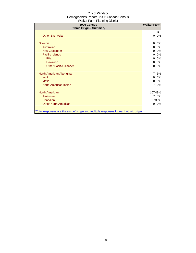| 2006 Census<br><b>Ethnic Origin - Summary</b>                                        | <b>Walker Farm</b> |         |
|--------------------------------------------------------------------------------------|--------------------|---------|
| <b>Other East Asian</b>                                                              | 0                  | ℅<br>0% |
| Oceania                                                                              | 0                  | 0%      |
| Australian                                                                           | 0                  | 0%      |
| <b>New Zealander</b>                                                                 | 0                  | 0%      |
| Pacific Islands                                                                      | 0                  | 0%      |
| Fijian                                                                               | 0                  | 0%      |
| Hawaiian                                                                             | $\overline{0}$     | 0%      |
| <b>Other Pacific Islander</b>                                                        | 0                  | 0%      |
| North American Aboriginal                                                            | 7                  | 3%      |
| <b>Inuit</b>                                                                         | $\overline{0}$     | 0%      |
| <b>Métis</b>                                                                         | 0                  | 0%      |
| North American Indian                                                                | 7                  | 3%      |
| <b>North American</b>                                                                |                    | 10743%  |
| American                                                                             | 7                  | 3%      |
| Canadian                                                                             |                    | 9739%   |
| <b>Other North American</b>                                                          | $\mathbf{0}$       | 0%      |
| *Total responses are the sum of single and multiple responses for each ethnic origin |                    |         |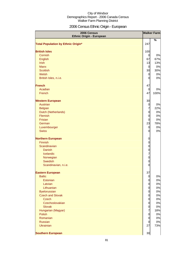## 2006 Census Ethnic Origin - European

| 2006 Census                               |                                  | <b>Walker Farm</b> |
|-------------------------------------------|----------------------------------|--------------------|
| <b>Ethnic Origin - European</b>           |                                  | %                  |
| <b>Total Population by Ethnic Origin*</b> | 247                              |                    |
|                                           |                                  |                    |
| <b>British Isles</b>                      | 100                              |                    |
| Cornish                                   | $\mathbf 0$                      | 0%                 |
| English                                   | 67                               | 67%                |
| <b>Irish</b>                              | 13                               | 13%                |
| <b>Manx</b>                               | $\overline{0}$                   | 0%                 |
| <b>Scottish</b>                           | 30                               | 30%                |
| Welsh                                     | $\overline{0}$                   | 0%<br>0%           |
| British Isles, n.i.e.                     | 0                                |                    |
| <b>French</b>                             | 47                               |                    |
| Acadian                                   | $\overline{0}$                   | 0%                 |
| French                                    | 47                               | 100%               |
|                                           |                                  |                    |
| <b>Western European</b>                   | 30                               |                    |
| <b>Austrian</b>                           | $\overline{0}$                   | 0%                 |
| <b>Belgian</b>                            | $\overline{7}$                   | 22%                |
| Dutch (Netherlands)                       | $\mathbf 0$                      | 0%                 |
| Flemish                                   | $\mathbf 0$                      | 0%                 |
| Frisian                                   | $\overline{0}$                   | 0%                 |
| German                                    | 23                               | 78%                |
| Luxembourger<br><b>Swiss</b>              | $\overline{0}$<br>$\overline{0}$ | 0%<br>0%           |
|                                           |                                  |                    |
| <b>Northern European</b>                  | $\mathbf 0$                      |                    |
| Finnish                                   | $\mathbf 0$                      |                    |
| Scandinavian                              | $\mathbf 0$                      |                    |
| <b>Danish</b>                             | $\mathbf 0$                      |                    |
| Icelandic                                 | $\overline{7}$                   |                    |
| Norwegian                                 | $\mathbf 0$                      |                    |
| Swedish                                   | $\mathbf 0$                      |                    |
| Scandinavian, n.i.e.                      | $\mathbf 0$                      |                    |
| <b>Eastern European</b>                   | 37                               |                    |
| <b>Baltic</b>                             | $\mathbf 0$                      | 0%                 |
| Estonian                                  | $\overline{0}$                   | 0%                 |
| Latvian                                   | $\overline{0}$                   | 0%                 |
| Lithuanian                                | $\overline{0}$                   | 0%                 |
| <b>Byelorussian</b>                       | $\mathbf 0$                      | 0%                 |
| <b>Czech and Slovak</b>                   | $\mathbf 0$                      | 0%                 |
| <b>Czech</b>                              | $\mathbf 0$                      | 0%                 |
| Czechoslovakian                           | $\mathbf 0$                      | 0%                 |
| Slovak                                    | $\overline{0}$                   | 0%                 |
| Hungarian (Magyar)                        | $\overline{7}$                   | 18%                |
| Polish                                    | $\mathbf 0$                      | 0%                 |
| Romanian<br>Russian                       | $\mathbf 0$<br>$\overline{0}$    | 0%<br>0%           |
| <b>Ukrainian</b>                          | 27                               | 73%                |
|                                           |                                  |                    |
| <b>Southern European</b>                  | 30                               |                    |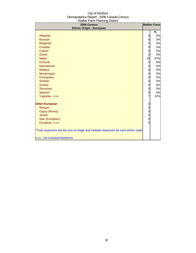| 2006 Census                                                                          |          | <b>Walker Farm</b> |
|--------------------------------------------------------------------------------------|----------|--------------------|
| <b>Ethnic Origin - European</b>                                                      |          | $\%$               |
| Albanian                                                                             |          | 0%                 |
| <b>Bosnian</b>                                                                       | 0<br>0   | 0%                 |
| <b>Bulgarian</b>                                                                     | 0        | 0%                 |
| Croatian                                                                             | 0        | 0%                 |
| Cypriot                                                                              | 0        | 0%                 |
| <b>Greek</b>                                                                         | 0        | 0%                 |
| Italian                                                                              | 20       | 67%                |
| Kosovar                                                                              | 0        | 0%                 |
| Macedonian                                                                           | 0        | 0%                 |
| <b>Maltese</b>                                                                       | 0        | 0%                 |
| Montenegrin                                                                          | 0        | 0%                 |
| Portuguese                                                                           | 0        | 0%                 |
| Serbian                                                                              | 0        | 0%                 |
| <b>Sicilian</b>                                                                      | 0        | 0%                 |
| Slovenian                                                                            | 0        | 0%                 |
| Spanish                                                                              | 0        | 0%                 |
| Yugoslav, n.i.e.                                                                     | 7        | 22%                |
|                                                                                      |          |                    |
| <b>Other European</b>                                                                | 0        |                    |
| <b>Basque</b>                                                                        | 0        |                    |
| Gypsy (Roma)                                                                         | 0        |                    |
| <b>Jewish</b>                                                                        | 0        |                    |
| Slav (European)                                                                      | 0        |                    |
| European, n.i.e.                                                                     | $\Omega$ |                    |
|                                                                                      |          |                    |
| *Total responses are the sum of single and multiple responses for each ethnic origin |          |                    |
| n.i.e.: not included elsewhere                                                       |          |                    |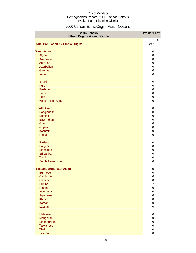## 2006 Census Ethnic Origin - Asian, Oceanic

| <b>Walker Farm</b><br>2006 Census<br>Ethnic Origin - Asian, Oceanic |                                  |
|---------------------------------------------------------------------|----------------------------------|
|                                                                     | $\%$                             |
| <b>Total Population by Ethnic Origin*</b>                           | 247                              |
| <b>West Asian</b>                                                   | $\mathbf 0$                      |
| Afghan                                                              | $\mathbf 0$                      |
| Armenian                                                            |                                  |
| Assyrian                                                            | $\begin{matrix}0\\0\end{matrix}$ |
| Azerbaijani                                                         | $\mathbf{0}$                     |
| Georgian                                                            | $\mathbf 0$                      |
| <b>Iranian</b>                                                      | $\mathbf 0$                      |
| <b>Israeli</b>                                                      | $\mathbf 0$                      |
| <b>Kurd</b>                                                         | $\mathbf 0$                      |
| Pashtun                                                             | $\mathbf 0$                      |
| <b>Tatar</b>                                                        | $\mathbf{0}$                     |
| <b>Turk</b>                                                         | $\mathbf 0$                      |
| West Asian, n.i.e.                                                  | $\overline{0}$                   |
| <b>South Asian</b>                                                  | $\mathbf 0$                      |
| Bangladeshi                                                         | $\mathbf{0}$                     |
| Bengali                                                             |                                  |
| East Indian                                                         | 000                              |
| Goan                                                                |                                  |
| Gujarati                                                            |                                  |
| Kashmiri                                                            | $\mathbf 0$                      |
| <b>Nepali</b>                                                       | $\mathbf 0$                      |
| Pakistani                                                           | $\boldsymbol{0}$                 |
| Punjabi                                                             | $\overline{0}$                   |
| <b>Sinhalese</b>                                                    | $\mathbf 0$                      |
| Sri Lankan                                                          | $\mathbf 0$                      |
| Tamil                                                               | $\overline{0}$                   |
| South Asian, n.i.e.                                                 | $\overline{0}$                   |
| <b>East and Southeast Asian</b>                                     | $\boldsymbol{0}$                 |
| <b>Burmese</b>                                                      | $\overline{0}$                   |
| Cambodian                                                           | $\overline{0}$                   |
| <b>Chinese</b>                                                      |                                  |
| Filipino                                                            |                                  |
| <b>Hmong</b>                                                        |                                  |
| Indonesian                                                          |                                  |
| Japanese                                                            |                                  |
| <b>Khmer</b><br>Korean                                              |                                  |
| Laotian                                                             | 0000000                          |
|                                                                     |                                  |
| Malaysian                                                           | $\mathbf 0$                      |
| Mongolian<br>Singaporean                                            | $\mathbf 0$<br>$\mathbf{0}$      |
| <b>Taiwanese</b>                                                    | $\mathbf{0}$                     |
| Thai                                                                | $\overline{0}$                   |
| Tibetan                                                             | $\overline{0}$                   |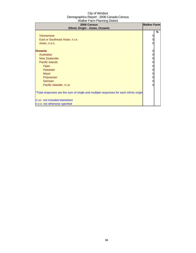| 2006 Census<br>Ethnic Origin - Asian, Oceanic                                                                                                                                                                        | <b>Walker Farm</b>                        |      |
|----------------------------------------------------------------------------------------------------------------------------------------------------------------------------------------------------------------------|-------------------------------------------|------|
| <b>Vietnamese</b><br>East or Southeast Asian, n.i.e.<br>Asian, n.o.s.<br><b>Oceania</b><br>Australian<br><b>New Zealander</b><br><b>Pacific Islands</b><br>Fijian<br><b>Hawaiian</b>                                 | 0<br>0<br>0<br>0<br>0<br>0<br>0<br>0<br>0 | $\%$ |
| Maori<br>Polynesian<br>Samoan<br>Pacific Islander, n.i.e.<br>*Total responses are the sum of single and multiple responses for each ethnic origin<br>n.i.e.: not included elsewhere<br>n.o.s: not otherwise specfied | 0<br>0<br>0<br>0                          |      |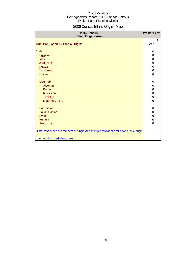## 2006 Census Ethnic Origin - Arab

| 2006 Census<br>Ethnic Origin - Arab                                                  | <b>Walker Farm</b>               |      |
|--------------------------------------------------------------------------------------|----------------------------------|------|
| <b>Total Population by Ethnic Origin*</b>                                            | 247                              | $\%$ |
| <b>Arab</b>                                                                          | 0                                |      |
| Egyptian                                                                             | $\mathbf 0$                      |      |
| Iraqi                                                                                |                                  |      |
| Jordanian                                                                            |                                  |      |
| <b>Kuwaiti</b>                                                                       | $\circ$ $\circ$ $\circ$          |      |
| Lebanese                                                                             |                                  |      |
| Libyan                                                                               | $\mathbf 0$                      |      |
| Maghrebi                                                                             | $\mathbf 0$                      |      |
| Algerian                                                                             | $\mathbf 0$                      |      |
| <b>Berber</b>                                                                        | $\mathbf{0}$                     |      |
| <b>Moroccan</b>                                                                      | $\begin{matrix}0\\0\end{matrix}$ |      |
| Tunisian                                                                             |                                  |      |
| Maghrebi, n.i.e.                                                                     | $\mathbf 0$                      |      |
| Palestinian                                                                          | 0                                |      |
| Saudi Arabian                                                                        | $\mathbf 0$                      |      |
| Syrian                                                                               | $\begin{matrix}0\\0\end{matrix}$ |      |
| Yemeni                                                                               |                                  |      |
| Arab, n.i.e.                                                                         | $\overline{0}$                   |      |
| *Total responses are the sum of single and multiple responses for each ethnic origin |                                  |      |
| n.i.e.: not included elsewhere                                                       |                                  |      |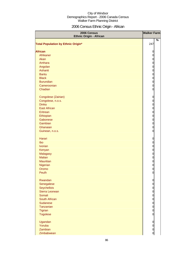## 2006 Census Ethnic Origin - African

| 2006 Census<br><b>Ethnic Origin - African</b> | <b>Walker Farm</b>                           |
|-----------------------------------------------|----------------------------------------------|
| <b>Total Population by Ethnic Origin*</b>     | %<br>247                                     |
|                                               |                                              |
| <b>African</b>                                | $\mathbf 0$                                  |
| Afrikaner<br>Akan                             | $\overline{0}$                               |
| Amhara                                        | $\circ$ $\circ$ $\circ$                      |
| Angolan                                       |                                              |
| Ashanti                                       |                                              |
| <b>Bantu</b>                                  | $\mathbf{0}$                                 |
| <b>Black</b>                                  | $\mathbf{0}$                                 |
| <b>Burundian</b>                              | $\mathbf 0$                                  |
| Cameroonian                                   | $\mathbf 0$                                  |
| Chadian                                       | $\mathbf 0$                                  |
|                                               |                                              |
| Congolese (Zairian)                           | $\mathbf 0$                                  |
| Congolese, n.o.s.                             | $\mathbf 0$                                  |
| <b>Dinka</b>                                  | $\mathbf 0$                                  |
| <b>East African</b>                           | $\mathbf{0}$                                 |
| Eritrean                                      | $\mathbf{0}$                                 |
| Ethiopian                                     | $\mathbf{0}$                                 |
| Gabonese                                      | $\mathbf{0}$                                 |
| Gambian                                       |                                              |
| Ghanaian                                      | $\begin{matrix}0\\0\end{matrix}$             |
| Guinean, n.o.s.                               | $\mathbf 0$                                  |
|                                               |                                              |
| Harari                                        | $\mathbf 0$                                  |
| Ibo                                           | $\mathbf 0$                                  |
| <b>Ivorian</b>                                | $\mathbf 0$                                  |
| Kenyan                                        | $\mathbf 0$                                  |
| <b>Malagasy</b>                               | $\mathbf 0$                                  |
| <b>Malian</b>                                 | $\mathbf 0$                                  |
| <b>Mauritian</b>                              | $\mathbf 0$                                  |
| Nigerian                                      | $\overline{0}$                               |
| Oromo                                         | $\overline{0}$                               |
| Peulh                                         | $\overline{0}$                               |
|                                               |                                              |
| Rwandan                                       | $\overline{O}$                               |
| Senegalese                                    | $\mathbf 0$                                  |
| Seychellois                                   | $\overline{0}$                               |
| Sierra Leonean                                | $\overline{0}$                               |
| Somali                                        |                                              |
| South African                                 |                                              |
| <b>Sudanese</b>                               |                                              |
| Tanzanian                                     | $\begin{array}{c}\n0 \\ 0 \\ 0\n\end{array}$ |
| <b>Tigrian</b>                                |                                              |
| <b>Togolese</b>                               | $\mathbf 0$                                  |
| Ugandan                                       | $\mathbf 0$                                  |
| Yoruba                                        | $\mathbf 0$                                  |
| Zambian                                       | $\overline{0}$                               |
| Zimbabwean                                    | $\overline{O}$                               |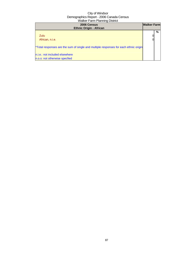| 2006 Census<br><b>Ethnic Origin - African</b>                                                                                                           | <b>Walker Farm</b> |   |
|---------------------------------------------------------------------------------------------------------------------------------------------------------|--------------------|---|
| Zulu<br>African, n.i.e.                                                                                                                                 |                    | % |
| *Total responses are the sum of single and multiple responses for each ethnic origin<br>n.i.e.: not included elsewhere<br>n.o.s: not otherwise specfied |                    |   |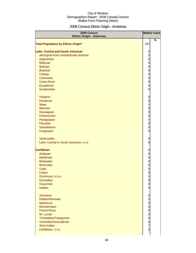## 2006 Census Ethnic Origin - Americas

| 2006 Census<br><b>Ethnic Origin - Americas</b> | <b>Walker Farm</b>             |  |
|------------------------------------------------|--------------------------------|--|
| <b>Total Population by Ethnic Origin*</b>      | %<br>247                       |  |
|                                                |                                |  |
| <b>Latin, Central and South American</b>       | 0                              |  |
| Aboriginal from Central/South America          | $\mathbf 0$                    |  |
| Argentinian                                    | $\mathbf 0$                    |  |
| <b>Belizean</b>                                | $\overline{0}$                 |  |
| <b>Bolivian</b>                                | $\overline{0}$                 |  |
| <b>Brazilian</b>                               | $\overline{0}$                 |  |
| Chilean                                        | $\overline{0}$                 |  |
| Colombian                                      | $\overline{0}$                 |  |
| <b>Costa Rican</b>                             | $\overline{0}$                 |  |
| Ecuadorian                                     | $\mathbf 0$                    |  |
| Guatemalan                                     | $\overline{0}$                 |  |
|                                                |                                |  |
| Hispanic                                       | $\mathbf 0$                    |  |
| Honduran                                       | $\mathbf 0$                    |  |
| Maya                                           | $\mathbf 0$                    |  |
| <b>Mexican</b>                                 | $\mathbf 0$                    |  |
| Nicaraguan                                     | $\mathbf 0$                    |  |
| Panamanian                                     | $\mathbf 0$                    |  |
| Paraguayan                                     | $\mathbf 0$                    |  |
| Peruvian                                       | $\mathbf 0$                    |  |
| Salvadorean                                    | $\mathbf 0$                    |  |
| Uruguayan                                      | $\overline{0}$                 |  |
|                                                |                                |  |
| Venezuelan                                     | 0                              |  |
| Latin, Central or South American, n.i.e.       | $\overline{0}$                 |  |
|                                                |                                |  |
| <b>Caribbean</b>                               | $\mathbf 0$                    |  |
| Antiguan                                       | $\mathbf 0$                    |  |
| <b>Bahamian</b>                                | $\mathbf 0$                    |  |
| <b>Barbadian</b>                               | $\mathbf{0}$                   |  |
| Bermudan                                       | $\mathbf 0$                    |  |
| Carib                                          | $\mathbf 0$                    |  |
| Cuban                                          | $\overline{0}$                 |  |
| Dominican, n.o.s.                              | $\mathbf 0$                    |  |
| Grenadian                                      | $\mathbf 0$                    |  |
| Guyanese                                       | $\overline{0}$                 |  |
| <b>Haitian</b>                                 | $\mathbf 0$                    |  |
| <b>Jamaican</b>                                |                                |  |
| Kittitian/Nevisian                             | $\overline{0}$<br>$\mathbf{0}$ |  |
| <b>Martinican</b>                              | $\mathbf{0}$                   |  |
| <b>Montserratan</b>                            | $\mathbf{0}$                   |  |
| <b>Puerto Rican</b>                            | $\mathbf{0}$                   |  |
| St. Lucian                                     | $\overline{0}$                 |  |
| Trinidadian/Tobagonian                         | $\overline{0}$                 |  |
| Vincentian/Grenadinian                         | $\overline{0}$                 |  |
| West Indian                                    | $\overline{7}$                 |  |
| Caribbean, n.i.e.                              | 0                              |  |
|                                                |                                |  |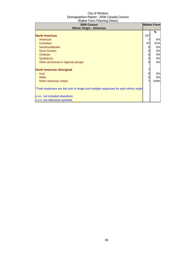| 2006 Census<br><b>Ethnic Origin - Americas</b>                                       |     | <b>Walker Farm</b> |
|--------------------------------------------------------------------------------------|-----|--------------------|
|                                                                                      |     | %                  |
| <b>North American</b>                                                                | 107 |                    |
| American                                                                             |     | 6%                 |
| Canadian                                                                             | 97  | 91%                |
| Newfoundlander                                                                       |     | 0%                 |
| Nova Scotian                                                                         |     | 0%                 |
| Ontarian                                                                             |     | 0%                 |
| Québécois                                                                            |     | 0%                 |
| Other provincial or regional groups                                                  |     | 0%                 |
| <b>North American Aboriginal</b>                                                     |     |                    |
| <b>Inuit</b>                                                                         |     | 0%                 |
| <b>Métis</b>                                                                         |     | 0%                 |
| North American Indian                                                                |     | 100%               |
| *Total responses are the sum of single and multiple responses for each ethnic origin |     |                    |
| n.i.e.: not included elsewhere                                                       |     |                    |
| n.o.s: not otherwise specfied                                                        |     |                    |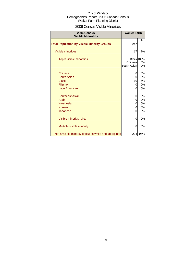### 2006 Census Visible Minorities

| 2006 Census<br><b>Visible Minorities</b>               | <b>Walker Farm</b>      |                               |
|--------------------------------------------------------|-------------------------|-------------------------------|
| <b>Total Population by Visible Minority Groups</b>     | 247                     | %                             |
| <b>Visible minorities</b>                              | 17                      | 7%                            |
| Top 3 visible minorities                               | Chinesel<br>South Asian | <b>Black 100%</b><br>0%<br>0% |
| <b>Chinese</b>                                         | 0                       | 0%                            |
| South Asian                                            | $\Omega$                | 0%                            |
| <b>Black</b>                                           | 10                      | 4%                            |
| Filipino                                               | $\Omega$                | 0%                            |
| <b>Latin American</b>                                  | $\Omega$                | 0%                            |
| Southeast Asian                                        | 0                       | 0%                            |
| Arab                                                   | 0                       | 0%                            |
| <b>West Asian</b>                                      | 0                       | 0%                            |
| Korean                                                 | 0                       | 0%                            |
| Japanese                                               | $\Omega$                | 0%                            |
| Visible minority, n.i.e.                               | 0                       | 0%                            |
| Multiple visible minority                              | 0                       | 0%                            |
| Not a visible minority (includes white and aboriginal) | 234                     | 95%                           |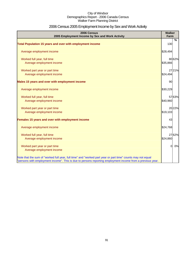## 2006 Census 2005 Employment Income by Sex and Work Activity

| 2006 Census<br>2005 Employment Income by Sex and Work Activity                                                                                                                                                            | Walker<br>Farm |        |
|---------------------------------------------------------------------------------------------------------------------------------------------------------------------------------------------------------------------------|----------------|--------|
|                                                                                                                                                                                                                           |                | %      |
| Total Population 15 years and over with employment income                                                                                                                                                                 | 130            |        |
| Average employment income                                                                                                                                                                                                 | \$28,494       |        |
| Worked full year, full time                                                                                                                                                                                               |                | 8062%  |
| Average employment income                                                                                                                                                                                                 | \$35,866       |        |
| Worked part year or part time                                                                                                                                                                                             |                | 2721%  |
| Average employment income                                                                                                                                                                                                 | \$24,494       |        |
| Males 15 years and over with employment income                                                                                                                                                                            | 90             |        |
| Average employment income                                                                                                                                                                                                 | \$30,229       |        |
| Worked full year, full time                                                                                                                                                                                               |                | 57 63% |
| Average employment income                                                                                                                                                                                                 | \$40,960       |        |
| Worked part year or part time                                                                                                                                                                                             |                | 20 22% |
| Average employment income                                                                                                                                                                                                 | \$19,103       |        |
| Females 15 years and over with employment income                                                                                                                                                                          | 43             |        |
| Average employment income                                                                                                                                                                                                 | \$24,768       |        |
| Worked full year, full time                                                                                                                                                                                               |                | 27 62% |
| Average employment income                                                                                                                                                                                                 | \$24,860       |        |
| Worked part year or part time                                                                                                                                                                                             | $\overline{0}$ | 0%     |
| Average employment income                                                                                                                                                                                                 |                |        |
| Note that the sum of "worked full year, full time" and "worked part year or part time" counts may not equal<br>"persons with employment income". This is due to persons reporting employment income from a previous year. |                |        |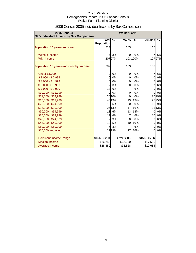| 2006 Census<br>2005 Individual Income by Sex Comparison |                                   | <b>Walker Farm</b> |                |               |                |        |
|---------------------------------------------------------|-----------------------------------|--------------------|----------------|---------------|----------------|--------|
|                                                         | <b>Total</b><br><b>Population</b> | $\frac{0}{0}$      | <b>Males</b>   | $\frac{0}{2}$ | <b>Females</b> | %      |
| <b>Population 15 years and over</b>                     | 214                               |                    | 103            |               | 110            |        |
| Without income                                          |                                   | 3%                 | $\Omega$       | 0%            | 7              | 6%     |
| With income                                             |                                   | 20797%             |                | 103 100%      |                | 10797% |
| Population 15 years and over by Income                  | 207                               |                    | 103            |               | 107            |        |
| <b>Under \$1,000</b>                                    | $\overline{0}$                    | 0%                 | 0              | 0%            | $\overline{7}$ | 6%     |
| $$1,000 - $2,999$                                       | $\overline{0}$                    | 0%                 | 0              | 0%            | $\mathbf 0$    | 0%     |
| $$3,000 - $4,999$                                       | $\overline{0}$                    | 0%                 | 0              | 0%            | $\overline{7}$ | 6%     |
| $$5,000 - $6,999$                                       | 7                                 | 3%                 | $\mathbf 0$    | 0%            | $\overline{7}$ | 6%     |
| $$7,000 - $9,999$                                       | 13                                | 6%                 | $\overline{7}$ | 6%            | $\overline{0}$ | 0%     |
| \$10,000 - \$11,999                                     | $\overline{0}$                    | 0%                 | $\mathbf 0$    | 0%            | $\overline{0}$ | 0%     |
| \$12,000 - \$14,999                                     |                                   | 2010%              | $\Omega$       | 0%            |                | 2019%  |
| \$15,000 - \$19,999                                     |                                   | 40 19%             | 13             | 13%           |                | 2725%  |
| \$20,000 - \$24,999                                     |                                   | 10 5%              | $\overline{0}$ | 0%            |                | 10 9%  |
| \$25,000 - \$29,999                                     |                                   | 2713%              | 17             | 16%           |                | 13 13% |
| \$30,000 - \$34,999                                     | 13                                | 6%                 | 13             | 13%           | $\overline{0}$ | 0%     |
| \$35,000 - \$39,999                                     | 13                                | 6%                 | $\overline{7}$ | 6%            | 10             | 9%     |
| \$40,000 - \$44,999                                     | $\overline{7}$                    | 3%                 | $\overline{0}$ | 0%            | $\overline{7}$ | 6%     |
| \$45,000 - \$49,999                                     | 10                                | 5%                 | 10             | 10%           | $\overline{0}$ | 0%     |
| \$50,000 - \$59,999                                     | 7                                 | 3%                 | $\overline{7}$ | 6%            | $\overline{0}$ | 0%     |
| \$60,000 and over                                       |                                   | 27 13%             | 27             | 26%           | $\Omega$       | 0%     |
| <b>Dominant Income Range</b>                            | \$15K - \$20K                     |                    | Over \$60K     |               | \$15K - \$20K  |        |
| <b>Median Income</b>                                    | \$26,250                          |                    | \$35,000       |               | \$17,500       |        |
| Average Income                                          | \$28,889                          |                    | \$38,528       |               | \$19,684       |        |

## 2006 Census 2005 Individual Income by Sex Comparison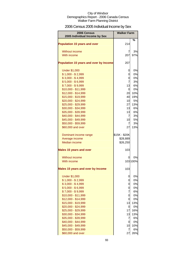## 2006 Census 2005 Individual Income by Sex

| <b>2006 Census</b><br>2005 Individual Income by Sex | <b>Walker Farm</b> |          |
|-----------------------------------------------------|--------------------|----------|
| <b>Population 15 years and over</b>                 | 214                | %        |
| <b>Without income</b>                               | 7                  | 3%       |
| With income                                         | 207                | 97%      |
| Population 15 years and over by Income              | 207                |          |
| <b>Under \$1,000</b>                                | 0                  | 0%       |
| $$1,000 - $2,999$                                   | 0                  | 0%       |
| $$3,000 - $4,999$                                   | 0                  | 0%       |
| $$5,000 - $6,999$                                   | $\overline{7}$     | 3%       |
| $$7,000 - $9,999$                                   | 13                 | 6%       |
| \$10,000 - \$11,999                                 | 0                  | 0%       |
| \$12,000 - \$14,999                                 | 20                 | 10%      |
| \$15,000 - \$19,999                                 | 40                 | 19%      |
| \$20,000 - \$24,999                                 | 10                 | 5%       |
| \$25,000 - \$29,999                                 | 27                 | 13%      |
| \$30,000 - \$34,999                                 | 13                 | 6%       |
| \$35,000 - \$39,999                                 | 13                 | 6%       |
| \$40,000 - \$44,999                                 | 7                  | 3%       |
| \$45,000 - \$49,999                                 | 10                 | 5%       |
| \$50,000 - \$59,999                                 | $\overline{7}$     | 3%       |
| \$60,000 and over                                   | 27                 | 13%      |
| Dominant income range                               | \$15K - \$20K      |          |
| Average income                                      | \$28,889           |          |
| <b>Median income</b>                                | \$26,250           |          |
| <b>Males 15 years and over</b>                      | 103                |          |
| Without income                                      | 0                  | 0%       |
| With income                                         |                    | 103 100% |
| <b>Males 15 years and over by Income</b>            | 103                |          |
| <b>Under \$1,000</b>                                | 0                  | 0%       |
| $$1,000 - $2,999$                                   | 0                  | 0%       |
| $$3,000 - $4,999$                                   | 0                  | 0%       |
| $$5,000 - $6,999$                                   | 0                  | 0%       |
| $$7,000 - $9,999$                                   | 7                  | 6%       |
| \$10,000 - \$11,999                                 | 0                  | 0%       |
| \$12,000 - \$14,999                                 | 0                  | 0%       |
| \$15,000 - \$19,999                                 | 13                 | 13%      |
| \$20,000 - \$24,999                                 | 0                  | 0%       |
| \$25,000 - \$29,999                                 | 17                 | 16%      |
| \$30,000 - \$34,999                                 | 13                 | 13%      |
| \$35,000 - \$39,999                                 | 7                  | 6%       |
| \$40,000 - \$44,999                                 | 0                  | 0%       |
| \$45,000 - \$49,999                                 | 10                 | 10%      |
| \$50,000 - \$59,999                                 | 7                  | 6%       |
| \$60,000 and over                                   | 27                 | 26%      |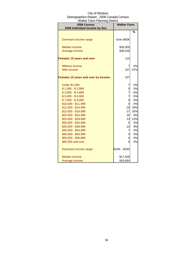| 2006 Census<br>2005 Individual Income by Sex | <b>Walker Farm</b> |     |
|----------------------------------------------|--------------------|-----|
|                                              |                    | %   |
|                                              |                    |     |
| Dominant income range                        | Over \$60K         |     |
| <b>Median income</b>                         | \$35,000           |     |
| Average income                               | \$38,528           |     |
|                                              |                    |     |
| <b>Females 15 years and over</b>             | 110                |     |
| <b>Without income</b>                        | 7                  | 6%  |
| With income                                  | 107                | 97% |
|                                              |                    |     |
| Females 15 years and over by Income          | 107                |     |
| <b>Under \$1,000</b>                         | 7                  | 6%  |
| $$1,000 - $2,999$                            | 0                  | 0%  |
| $$3,000 - $4,999$                            | 7                  | 6%  |
| $$5,000 - $6,999$                            | 7                  | 6%  |
| $$7,000 - $9,999$                            | 0                  | 0%  |
| $$10,000 - $11,999$                          | 0                  | 0%  |
| \$12,000 - \$14,999                          | 20                 | 19% |
| \$15,000 - \$19,999                          | 27                 | 25% |
| \$20,000 - \$24,999                          | 10                 | 9%  |
| \$25,000 - \$29,999                          | 13                 | 13% |
| \$30,000 - \$34,999                          | 0                  | 0%  |
| \$35,000 - \$39,999                          | 10                 | 9%  |
| \$40,000 - \$44,999                          | 7                  | 6%  |
| \$45,000 - \$49,999                          | 0                  | 0%  |
| \$50,000 - \$59,999                          | 0                  | 0%  |
| \$60,000 and over                            | 0                  | 0%  |
| Dominant income range                        | \$15K - \$20K      |     |
| Median income                                | \$17,500           |     |
| Average income                               | \$19,684           |     |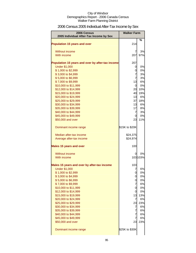|  | 2006 Census 2005 Individual After-Tax Income by Sex |  |
|--|-----------------------------------------------------|--|
|  |                                                     |  |

| 2006 Census<br>2005 Individual After-Tax Income by Sex | <b>Walker Farm</b>  |          |
|--------------------------------------------------------|---------------------|----------|
|                                                        |                     | %        |
| <b>Population 15 years and over</b>                    | 214                 |          |
| Without income                                         | 7                   | 3%       |
| With income                                            | 207                 | 97%      |
|                                                        |                     |          |
| Population 15 years and over by after-tax income       | 207                 |          |
| <b>Under \$1,000</b>                                   | 0                   | 0%       |
| \$1,000 to \$2,999                                     | 0<br>$\overline{7}$ | 0%       |
| \$3,000 to \$4,999<br>\$5,000 to \$6,999               | $\overline{7}$      | 3%<br>3% |
| \$7,000 to \$9,999                                     | 13                  | 6%       |
| \$10,000 to \$11,999                                   | $\Omega$            | 0%       |
| \$12,000 to \$14,999                                   | 20                  | 10%      |
| \$15,000 to \$19,999                                   | 40                  | 19%      |
| \$20,000 to \$24,999                                   | 13                  | 6%       |
| \$25,000 to \$29,999                                   | 37                  | 18%      |
| \$30,000 to \$34,999                                   | 13                  | 6%       |
| \$35,000 to \$39,999                                   | 17                  | 8%       |
| \$40,000 to \$44,999                                   | $\overline{7}$      | 3%       |
| \$45,000 to \$49,999                                   | 0                   | 0%       |
| \$50,000 and over                                      | 23                  | 11%      |
| Dominant income range                                  | \$15K to \$20K      |          |
| Median after-tax income                                | \$24,375            |          |
| Average after-tax income                               | \$24,974            |          |
| <b>Males 15 years and over</b>                         | 100                 |          |
| Without income                                         | 0                   | 0%       |
| With income                                            |                     | 103 103% |
|                                                        |                     |          |
| Males 15 years and over by after-tax income            | 103                 |          |
| <b>Under \$1,000</b><br>\$1,000 to \$2,999             | 7<br>$\Omega$       | 6%<br>0% |
| \$3,000 to \$4,999                                     | 0                   | 0%       |
| \$5,000 to \$6,999                                     | 0                   | 0%       |
| \$7,000 to \$9,999                                     | 7                   | 6%       |
| \$10,000 to \$11,999                                   | 0                   | 0%       |
| \$12,000 to \$14,999                                   | 0                   | 0%       |
| \$15,000 to \$19,999                                   | 13                  | 13%      |
| \$20,000 to \$24,999                                   | 7                   | 6%       |
| \$25,000 to \$29,999                                   | 23                  | 23%      |
| \$30,000 to \$34,999                                   | 7                   | 6%       |
| \$35,000 to \$39,999<br>\$40,000 to \$44,999           | 7<br>7              | 6%<br>6% |
| \$45,000 to \$49,999                                   | $\overline{7}$      | 6%       |
| \$50,000 and over                                      | 23                  | 23%      |
|                                                        |                     |          |
| Dominant income range                                  | \$25K to \$30K      |          |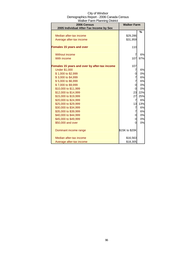| City of Windsor                          |
|------------------------------------------|
| Demographics Report - 2006 Canada Census |
| <b>Walker Farm Planning District</b>     |

| 2006 Census<br>2005 Individual After-Tax Income by Sex | <b>Walker Farm</b> |     |
|--------------------------------------------------------|--------------------|-----|
|                                                        |                    | %   |
| Median after-tax income                                | \$29,286           |     |
| Average after-tax income                               | \$31,959           |     |
| <b>Females 15 years and over</b>                       | 110                |     |
| Without income                                         | 7                  | 6%  |
| With income                                            | 107                | 97% |
| Females 15 years and over by after-tax income          | 107                |     |
| <b>Under \$1,000</b>                                   | 7                  | 6%  |
| \$1,000 to \$2,999                                     | 0                  | 0%  |
| \$3,000 to \$4,999                                     | 7                  | 6%  |
| \$5,000 to \$6,999                                     | 7                  | 6%  |
| \$7,000 to \$9,999                                     | 0                  | 0%  |
| \$10,000 to \$11,999                                   | 0                  | 0%  |
| \$12,000 to \$14,999                                   | 23                 | 22% |
| \$15,000 to \$19,999                                   | 27                 | 25% |
| \$20,000 to \$24,999                                   | $\overline{7}$     | 6%  |
| \$25,000 to \$29,999                                   | 13                 | 13% |
| \$30,000 to \$34,999                                   | 7                  | 6%  |
| \$35,000 to \$39,999                                   | 7                  | 6%  |
| \$40,000 to \$44,999                                   | 0                  | 0%  |
| \$45,000 to \$49,999                                   | 0                  | 0%  |
| \$50,000 and over                                      | 0                  | 0%  |
| Dominant income range                                  | \$15K to \$20K     |     |
| Median after-tax income                                | \$16,563           |     |
| Average after-tax income                               | \$18,305           |     |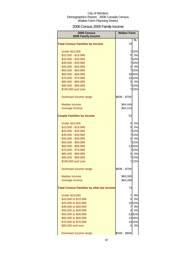## 2006 Census 2005 Family Income

| 2006 Census                                      | <b>Walker Farm</b> |          |
|--------------------------------------------------|--------------------|----------|
| 2005 Family Income                               |                    |          |
| <b>Total Census Families by Income</b>           | 70                 | %        |
| <b>Under \$10,000</b>                            |                    | 710%     |
| \$10,000 - \$19,999                              |                    | 0 0%     |
| \$20,000 - \$29,999                              |                    | 710%     |
| \$30,000 - \$39,999                              |                    | 710%     |
| \$40,000 - \$49,999                              |                    | 0 0%     |
| \$50,000 - \$59,999                              |                    | 710%     |
| \$60,000 - \$69,999                              |                    | 3043%    |
| \$70,000 - \$79,999                              |                    | 1014%    |
| \$80,000 - \$89,999                              |                    | $0\,0\%$ |
| \$90,000 - \$99,999                              |                    | 710%     |
| \$100,000 and over                               |                    | 7 10%    |
| Dominant income range                            | \$60K - \$70K      |          |
| Median income                                    | \$64,444           |          |
| Average income                                   | \$63,224           |          |
| <b>Couple Families by Income</b>                 | 53                 |          |
| <b>Under \$10,000</b>                            | $\overline{a}$     | 0%       |
| \$10,000 - \$19,999                              | 01                 | 0%       |
| \$20,000 - \$29,999                              |                    | 713%     |
| \$30,000 - \$39,999                              |                    | 713%     |
| \$40,000 - \$49,999                              |                    | 0 0%     |
| \$50,000 - \$59,999                              |                    | 713%     |
| \$60,000 - \$69,999                              |                    | 1325%    |
| \$70,000 - \$79,999                              |                    | 713%     |
| \$80,000 - \$89,999                              |                    | 0 0%     |
| \$90,000 - \$99,999                              |                    | 713%     |
| \$100,000 and over                               |                    | 713%     |
| Dominant income range                            | \$60K - \$70K      |          |
| Median income                                    | \$65,000           |          |
| Average income                                   | \$64,285           |          |
| <b>Total Census Families by after-tax Income</b> | 73                 |          |
| <b>Under \$10,000</b>                            | 7                  | 9%       |
| \$10,000 to \$19,999                             | 0                  | 0%       |
| \$20,000 to \$29,999                             |                    | 1014%    |
| \$30,000 to \$39,999                             | 7                  | 9%       |
| \$40,000 to \$49,999                             | 01                 | 0%       |
| \$50,000 to \$59,999                             |                    | 2332%    |
| \$60,000 to \$69,999                             |                    | 1318%    |
| \$70,000 to \$79,999                             |                    | 10 14%   |
| \$80,000 and over                                | 0                  | 0%       |
| Dominant income range                            | \$50K - \$60K      |          |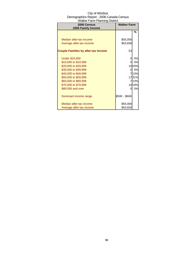| rrainci i ann'i iamin'ny District<br>2006 Census<br>2005 Family Income | <b>Walker Farm</b> |        |
|------------------------------------------------------------------------|--------------------|--------|
|                                                                        |                    | %      |
|                                                                        |                    |        |
| Median after-tax income                                                | \$55,000           |        |
| Average after-tax income                                               | \$53,658           |        |
| <b>Couple Families by after-tax Income</b>                             | 53                 |        |
| <b>Under \$10,000</b>                                                  | 0                  | 0%     |
| \$10,000 to \$19,999                                                   | 01                 | 0%     |
| \$20,000 to \$29,999                                                   |                    | 10 19% |
| \$30,000 to \$39,999                                                   | 0                  | 0%     |
| \$40,000 to \$49,999                                                   |                    | 713%   |
| \$50,000 to \$59,999                                                   |                    | 1731%  |
| \$60,000 to \$69,999                                                   |                    | 713%   |
| \$70,000 to \$79,999                                                   |                    | 10 19% |
| \$80,000 and over                                                      | 0                  | 0%     |
| Dominant income range                                                  | \$50K - \$60K      |        |
| Median after-tax income                                                | \$55,000           |        |
| Average after-tax income                                               | \$53,650           |        |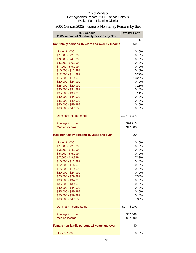## 2006 Census 2005 Income of Non-family Persons by Sex

| 2006 Census<br>2005 Income of Non-family Persons by Sex | <b>Walker Farm</b> |            |
|---------------------------------------------------------|--------------------|------------|
| Non-family persons 15 years and over by Income          | 60                 | %          |
| <b>Under \$1,000</b>                                    | 0                  | 0%         |
| $$1,000 - $2,999$                                       |                    | 0 0%       |
| $$3,000 - $4,999$                                       | $\mathsf{Q}$       | 0%         |
| $$5,000 - $6,999$                                       |                    | 0 0%       |
| $$7,000 - $9,999$                                       |                    | 0 0%       |
| \$10,000 - \$11,999                                     |                    | 0 0%       |
| \$12,000 - \$14,999                                     |                    | 1322%      |
| \$15,000 - \$19,999                                     |                    | 1322%      |
| \$20,000 - \$24,999                                     |                    | 0 0%       |
| \$25,000 - \$29,999                                     |                    | 711%       |
| \$30,000 - \$34,999                                     |                    | 0 0%       |
| \$35,000 - \$39,999                                     |                    | 711%       |
| \$40,000 - \$44,999                                     |                    | 0 0%       |
| \$45,000 - \$49,999                                     |                    | 0 0%       |
| \$50,000 - \$59,999                                     |                    | 0 0%       |
| \$60,000 and over                                       | 0l                 | 0%         |
| Dominant income range                                   | \$12K - \$15K      |            |
| Average income                                          | \$24,913           |            |
| <b>Median income</b>                                    | \$17,500           |            |
| Male non-family persons 15 years and over               | 20                 |            |
| <b>Under \$1,000</b>                                    | 0                  | 0%         |
| $$1,000 - $2,999$                                       | $\overline{0}$     | 0%         |
| $$3,000 - $4,999$                                       | 0                  | 0%         |
| $$5,000 - $6,999$                                       | 0                  | 0%         |
| $$7,000 - $9,999$                                       |                    | 733%       |
| \$10,000 - \$11,999                                     |                    | 0 0%       |
| \$12,000 - \$14,999                                     | $\mathsf{o}$       | 0%         |
| \$15,000 - \$19,999                                     | 0                  | 0%         |
| \$20,000 - \$24,999                                     | ΩI                 | 0%         |
| \$25,000 - \$29,999                                     |                    | 733%       |
| \$30,000 - \$34,999                                     | $\overline{0}$     | 0%         |
| \$35,000 - \$39,999                                     |                    | 0 0%       |
| \$40,000 - \$44,999                                     |                    | 0 0%       |
| \$45,000 - \$49,999                                     |                    | 0 0%<br>0% |
| \$50,000 - \$59,999<br>\$60,000 and over                | 0l                 | 733%       |
|                                                         |                    |            |
| Dominant income range                                   | \$7K - \$10K       |            |
| Average income                                          | \$32,568           |            |
| Median income                                           | \$27,500           |            |
| Female non-family persons 15 years and over             | 40                 |            |
| <b>Under \$1,000</b>                                    | 0                  | 0%         |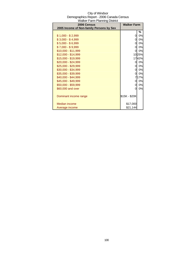| 2006 Census                              | <b>Walker Farm</b> |       |
|------------------------------------------|--------------------|-------|
| 2005 Income of Non-family Persons by Sex |                    |       |
|                                          |                    | ℅     |
| $$1,000 - $2,999$                        | 0                  | 0%    |
| $$3,000 - $4,999$                        | 0                  | 0%    |
| $$5,000 - $6,999$                        | 0                  | 0%    |
| $$7,000 - $9,999$                        | 0                  | 0%    |
| \$10,000 - \$11,999                      | $\overline{0}$     | 0%    |
| \$12,000 - \$14,999                      |                    | 1025% |
| \$15,000 - \$19,999                      |                    | 1742% |
| \$20,000 - \$24,999                      | 0                  | 0%    |
| \$25,000 - \$29,999                      | 0l                 | 0%    |
| \$30,000 - \$34,999                      | 0                  | 0%    |
| \$35,000 - \$39,999                      | $\overline{0}$     | 0%    |
| \$40,000 - \$44,999                      |                    | 717%  |
| \$45,000 - \$49,999                      | $\overline{0}$     | 0%    |
| \$50,000 - \$59,999                      | 0                  | 0%    |
| \$60,000 and over                        | 0                  | 0%    |
|                                          |                    |       |
| Dominant income range                    | \$15K - \$20K      |       |
|                                          |                    |       |
| Median income                            | \$17,000           |       |
| Average income                           | \$21,144           |       |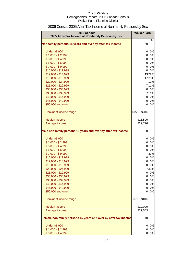| 2006 Census<br>2005 After-Tax Income of Non-family Persons by Sex | <b>Walker Farm</b> |       |
|-------------------------------------------------------------------|--------------------|-------|
| Non-family persons 15 years and over by after-tax income          | 60                 | $\%$  |
|                                                                   |                    |       |
| <b>Under \$1,000</b>                                              | 0                  | 0%    |
| $$1,000 - $2,999$                                                 | 0                  | 0%    |
| $$3,000 - $4,999$                                                 | 0                  | 0%    |
| $$5,000 - $6,999$                                                 | $\overline{0}$     | 0%    |
| $$7,000 - $9,999$                                                 | $\overline{0}$     | 0%    |
| \$10,000 - \$11,999                                               | $\Omega$           | 0%    |
| \$12,000 - \$14,999                                               |                    | 1322% |
| \$15,000 - \$19,999                                               |                    | 1728% |
| \$20,000 - \$24,999                                               |                    | 711%  |
| \$25,000 - \$29,999                                               |                    | 711%  |
| \$30,000 - \$34,999                                               | 0l                 | 0%    |
| \$35,000 - \$39,999                                               |                    | 711%  |
| \$40,000 - \$44,999                                               | $\overline{0}$     | 0%    |
| \$45,000 - \$49,999                                               | $\overline{0}$     | 0%    |
| \$50,000 and over                                                 | $\Omega$           | 0%    |
| Dominant income range                                             | \$15K - \$20K      |       |
| Median income                                                     | \$18,500           |       |
| Average income                                                    | \$22,776           |       |
|                                                                   |                    |       |
| Male non-family persons 15 years and over by after-tax income     | 20                 |       |
| <b>Under \$1,000</b>                                              | $\overline{0}$     | 0%    |
| $$1,000 - $2,999$                                                 | $\overline{0}$     | 0%    |
| $$3,000 - $4,999$                                                 | <sub>0</sub>       | 0%    |
| $$5,000 - $6,999$                                                 | $\overline{0}$     | 0%    |
| $$7,000 - $9,999$                                                 |                    | 733%  |
| \$10,000 - \$11,999                                               |                    | 0 0%  |
| \$12,000 - \$14,999                                               |                    | 0 0%  |
| \$15,000 - \$19,999                                               | 01                 | 0%    |
| \$20,000 - \$24,999                                               |                    | 733%  |
| \$25,000 - \$29,999                                               | $\overline{O}$     | $0\%$ |
| \$30,000 - \$34,999                                               | $\overline{0}$     | 0%    |
| \$35,000 - \$39,999                                               | $\overline{0}$     | 0%    |
| \$40,000 - \$44,999                                               | $\overline{0}$     | 0%    |
| \$45,000 - \$49,999                                               | 0                  | 0%    |
| \$50,000 and over                                                 | 0                  | 0%    |
| Dominant income range                                             | \$7K - \$10K       |       |
| Median income                                                     | \$10,000           |       |
| Average income                                                    | \$27,553           |       |
| Female non-family persons 15 years and over by after-tax income   | 40                 |       |
| <b>Under \$1,000</b>                                              | 0                  | 0%    |
| $$1,000 - $2,999$                                                 | 0                  | 0%    |
| $$3,000 - $4,999$                                                 | 0                  | 0%    |

## 2006 Census 2005 After-Tax Income of Non-family Persons by Sex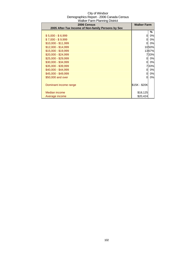| 2006 Census                                        | <b>Walker Farm</b> |       |
|----------------------------------------------------|--------------------|-------|
| 2005 After-Tax Income of Non-family Persons by Sex |                    |       |
|                                                    |                    | ℅     |
| $$5,000 - $6,999$                                  | 0                  | 0%    |
| $$7,000 - $9,999$                                  | 0                  | 0%    |
| \$10,000 - \$11,999                                | <sup>O</sup>       | 0%    |
| $$12,000 - $14,999$                                |                    | 1050% |
| \$15,000 - \$19,999                                |                    | 1367% |
| \$20,000 - \$24,999                                |                    | 733%  |
| \$25,000 - \$29,999                                | 0l                 | 0%    |
| \$30,000 - \$34,999                                | 0                  | 0%    |
| \$35,000 - \$39,999                                |                    | 733%  |
| \$40,000 - \$44,999                                | 0l                 | 0%    |
| \$45,000 - \$49,999                                | 0                  | 0%    |
| \$50,000 and over                                  | 0                  | 0%    |
|                                                    |                    |       |
| Dominant income range                              | \$15K - \$20K      |       |
|                                                    |                    |       |
| Median income                                      | \$18,125           |       |
| Average income                                     | \$20,424           |       |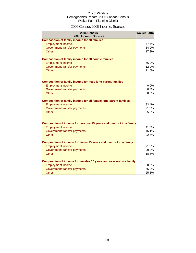### 2006 Census 2005 Income: Sources

| 2006 Census<br>2005 Income: Sources                                     | <b>Walker Farm</b> |
|-------------------------------------------------------------------------|--------------------|
| <b>Composition of family income for all families</b>                    |                    |
| <b>Employment income</b>                                                | 77.4%              |
| Government transfer payments                                            | 14.9%              |
| Other                                                                   | 17.8%              |
| <b>Composition of family income for all couple families</b>             |                    |
| <b>Employment income</b>                                                | 76.2%              |
| Government transfer payments                                            | 12.9%              |
| Other                                                                   | 21.0%              |
| <b>Composition of family income for male lone-parent families</b>       |                    |
| <b>Employment income</b>                                                | 0.0%               |
| Government transfer payments                                            | 0.0%               |
| Other                                                                   | 0.0%               |
| <b>Composition of family income for all female lone-parent families</b> |                    |
| <b>Employment income</b>                                                | 83.4%              |
| Government transfer payments                                            | 21.3%              |
| Other                                                                   | 5.6%               |
| Composition of income for persons 15 years and over not in a family     |                    |
| <b>Employment income</b>                                                | 41.3%              |
| Government transfer payments                                            | 46.1%              |
| Other                                                                   | 22.7%              |
| Composition of income for males 15 years and over not in a family       |                    |
| <b>Employment income</b>                                                | 71.3%              |
| Government transfer payments                                            | 20.3%              |
| Other                                                                   | 18.6%              |
| Composition of income for females 15 years and over not in a family     |                    |
| <b>Employment income</b>                                                | 0.0%               |
| Government transfer payments                                            | 65.9%              |
| Other                                                                   | 25.8%              |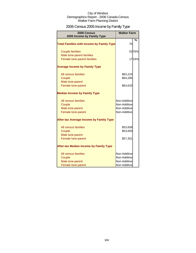## 2006 Census 2005 Income by Family Type

| 2006 Census<br>2005 Income by Family Type                | <b>Walker Farm</b>           |               |
|----------------------------------------------------------|------------------------------|---------------|
| <b>Total Families with Income by Family Type</b>         | 70                           | $\frac{0}{0}$ |
| <b>Couple families</b>                                   |                              | 5376%         |
| Male lone-parent families<br>Female lone-parent families |                              | 1724%         |
| <b>Average Income by Family Type</b>                     |                              |               |
| All census families                                      | \$63,224                     |               |
| Couple<br>Male lone-parent                               | \$64,285                     |               |
| Female lone-parent                                       | \$64,633                     |               |
| <b>Median Income by Family Type</b>                      |                              |               |
| All census families                                      | Non-Additive                 |               |
| Couple                                                   | Non-Additive                 |               |
| Male lone-parent<br>Female lone-parent                   | Non-Additive<br>Non-Additive |               |
| <b>After-tax Average Income by Family Type</b>           |                              |               |
| All census families                                      | \$53,658                     |               |
| Couple                                                   | \$53,650                     |               |
| Male lone-parent<br>Female lone-parent                   | \$57,301                     |               |
| <b>After-tax Median Income by Family Type</b>            |                              |               |
| All census families                                      | Non-Additive                 |               |
| Couple                                                   | Non-Additive                 |               |
| Male lone-parent                                         | Non-Additive                 |               |
| Female lone-parent                                       | Non-Additive                 |               |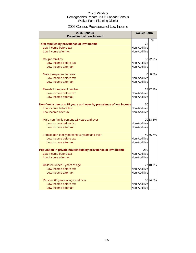### 2006 Census Prevalence of Low Income

| 2006 Census<br><b>Prevalence of Low Income</b>                       | <b>Walker Farm</b> |          |
|----------------------------------------------------------------------|--------------------|----------|
|                                                                      |                    | %        |
| Total families by prevalence of low income                           | 73                 |          |
| Low income before tax                                                | Non-Additive       |          |
| Low income after tax                                                 | Non-Additive       |          |
|                                                                      |                    |          |
| <b>Couple families</b>                                               |                    | 53 72.7% |
| Low income before tax                                                | Non-Additive       |          |
| Low income after tax                                                 | Non-Additive       |          |
| Male lone-parent families                                            | $\Omega$           | 0.0%     |
| Low income before tax                                                | Non-Additive       |          |
| Low income after tax                                                 | Non-Additive       |          |
|                                                                      |                    |          |
| Female lone-parent families                                          |                    | 1722.7%  |
| Low income before tax                                                | Non-Additive       |          |
| Low income after tax                                                 | Non-Additive       |          |
| Non-family persons 15 years and over by prevalence of low income     | 60                 |          |
| Low income before tax                                                | Non-Additive       |          |
| Low income after tax                                                 | Non-Additive       |          |
| Male non-family persons 15 years and over                            |                    | 20 33.3% |
| Low income before tax                                                | Non-Additive       |          |
| Low income after tax                                                 | Non-Additive       |          |
|                                                                      |                    | 40 66.7% |
| Female non-family persons 15 years and over<br>Low income before tax | Non-Additive       |          |
| Low income after tax                                                 | Non-Additive       |          |
|                                                                      |                    |          |
| Population in private households by prevalence of low income         | 250                |          |
| Low income before tax                                                | Non-Additive       |          |
| Low income after tax                                                 | Non-Additive       |          |
| Children under 6 years of age                                        |                    | 2710.7%  |
| Low income before tax                                                | Non-Additive       |          |
| Low income after tax                                                 | Non-Additive       |          |
| Persons 65 years of age and over                                     |                    | 6024.0%  |
| Low income before tax                                                | Non-Additive       |          |
| Low income after tax                                                 | Non-Additive       |          |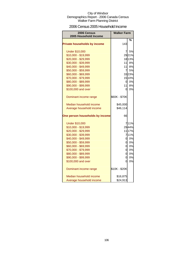### 2006 Census 2005 Household Income

| 2006 Census<br>2005 Household Income | <b>Walker Farm</b> |           |
|--------------------------------------|--------------------|-----------|
|                                      |                    | %         |
| <b>Private households by income</b>  | 143                |           |
| <b>Under \$10,000</b>                | 7                  | 5%        |
| \$10,000 - \$19,999                  |                    | 2921%     |
| \$20,000 - \$29,999                  |                    | 1813%     |
| \$30,000 - \$39,999                  | 11                 | <b>8%</b> |
| \$40,000 - \$49,999                  | 11                 | 8%        |
| \$50,000 - \$59,999                  | $\overline{7}$     | 5%        |
| \$60,000 - \$69,999                  |                    | 3323%     |
| \$70,000 - \$79,999                  |                    | 1510%     |
| \$80,000 - \$89,999                  | 0                  | 0%        |
| \$90,000 - \$99,999                  | 11                 | 8%        |
| \$100,000 and over                   | O                  | 0%        |
| Dominant income range                | \$60K - \$70K      |           |
| Median household income              | \$45,000           |           |
| Average household income             | \$46,114           |           |
| One person households by income      | 66                 |           |
| <b>Under \$10,000</b>                |                    | 711%      |
| \$10,000 - \$19,999                  |                    | 2944%     |
| \$20,000 - \$29,999                  |                    | 11 17%    |
| \$30,000 - \$39,999                  |                    | 711%      |
| \$40,000 - \$49,999                  | 01                 | 0%        |
| \$50,000 - \$59,999                  | Οl                 | 0%        |
| \$60,000 - \$69,999                  | ol                 | 0%        |
| \$70,000 - \$79,999                  | 0                  | 0%        |
| \$80,000 - \$89,999                  | ol                 | 0%        |
| \$90,000 - \$99,999                  | 0                  | 0%        |
| \$100,000 and over                   | 0                  | 0%        |
| Dominant income range                | \$10K - \$20K      |           |
| Median household income              | \$16,875           |           |
| Average household income             | \$24,913           |           |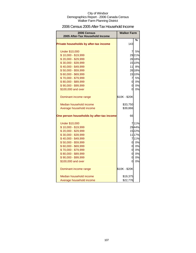### 2006 Census 2005 After-Tax Household Income

| 2006 Census                               | <b>Walker Farm</b> |        |
|-------------------------------------------|--------------------|--------|
| 2005 After-Tax Household Income           |                    |        |
| Private households by after-tax income    | 143                | %      |
| <b>Under \$10,000</b>                     | 71                 | 5%     |
| \$10,000 - \$19,999                       |                    | 2921%  |
| \$20,000 - \$29,999                       |                    | 26 18% |
| \$30,000 - \$39,999                       |                    | 1510%  |
| \$40,000 - \$49,999                       |                    | 11 8%  |
| \$50,000 - \$59,999                       |                    | 26 18% |
| \$60,000 - \$69,999                       |                    | 1510%  |
| \$70,000 - \$79,999                       |                    | 7 5%   |
| \$80,000 - \$89,999                       | 01                 | 0%     |
| \$90,000 - \$99,999                       | $\overline{O}$     | 0%     |
| \$100,000 and over                        | ΩI                 | 0%     |
| Dominant income range                     | \$10K - \$20K      |        |
| Median household income                   | \$33,750           |        |
| Average household income                  | \$39,866           |        |
| One person households by after-tax income | 66                 |        |
| <b>Under \$10,000</b>                     |                    | 711%   |
| \$10,000 - \$19,999                       |                    | 2944%  |
| \$20,000 - \$29,999                       |                    | 1522%  |
| \$30,000 - \$39,999                       |                    | 11 17% |
| \$40,000 - \$49,999                       |                    | 711%   |
| \$50,000 - \$59,999                       |                    | 0 0%   |
| \$60,000 - \$69,999                       |                    | 0 0%   |
| \$70,000 - \$79,999                       | $\overline{O}$     | 0%     |
| \$80,000 - \$89,999                       | <sub>0</sub>       | 0%     |
| \$90,000 - \$99,999                       | 0                  | 0%     |
| \$100,000 and over                        | 0                  | 0%     |
| Dominant income range                     | \$10K - \$20K      |        |
| Median household income                   | \$19,375           |        |
| Average household income                  | \$22,776           |        |